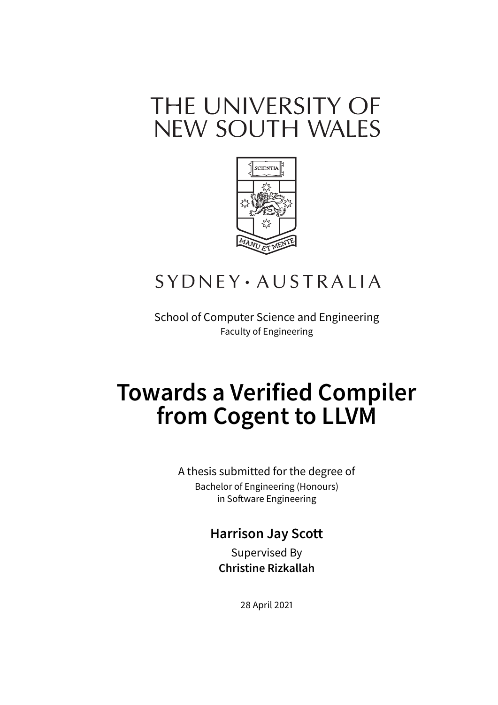# THE UNIVERSITY OF NEW SOUTH WALES



# **SYDNEY** · AUSTRALIA

School of Computer Science and Engineering Faculty of Engineering

# **Towards a Verified Compiler from Cogent to LLVM**

A thesis submitted for the degree of Bachelor of Engineering (Honours) in Software Engineering

### **Harrison Jay Scott**

Supervised By **Christine Rizkallah**

28 April 2021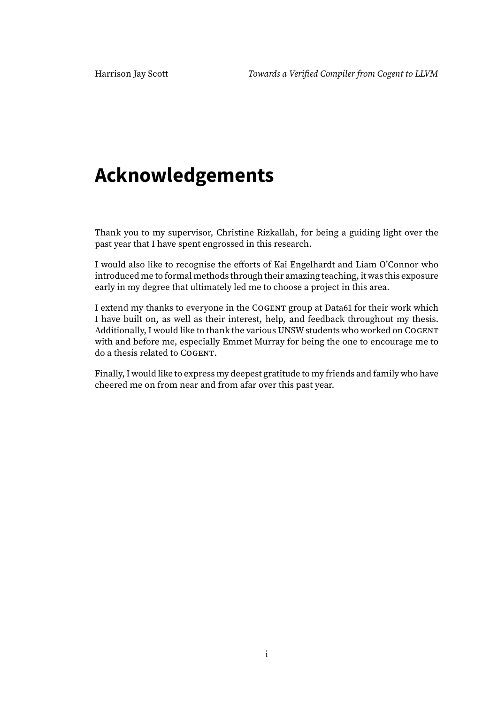# **Acknowledgements**

Thank you to my supervisor, Christine Rizkallah, for being a guiding light over the past year that I have spent engrossed in this research.

I would also like to recognise the efforts of Kai Engelhardt and Liam O'Connor who introduced me to formal methods through their amazing teaching, it was this exposure early in my degree that ultimately led me to choose a project in this area.

I extend my thanks to everyone in the COGENT group at Data61 for their work which I have built on, as well as their interest, help, and feedback throughout my thesis. Additionally, I would like to thank the various UNSW students who worked on COGENT with and before me, especially Emmet Murray for being the one to encourage me to do a thesis related to COGENT.

Finally, I would like to express my deepest gratitude to my friends and family who have cheered me on from near and from afar over this past year.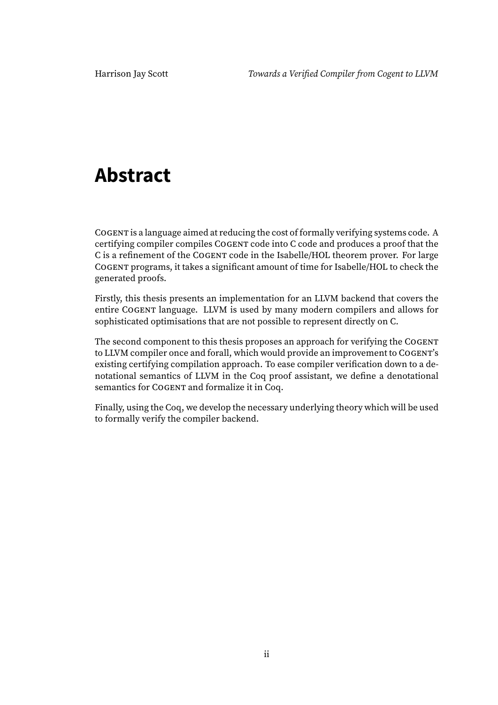# **Abstract**

COGENT is a language aimed at reducing the cost of formally verifying systems code. A certifying compiler compiles COGENT code into C code and produces a proof that the C is a refinement of the COGENT code in the Isabelle/HOL theorem prover. For large COGENT programs, it takes a significant amount of time for Isabelle/HOL to check the generated proofs.

Firstly, this thesis presents an implementation for an LLVM backend that covers the entire COGENT language. LLVM is used by many modern compilers and allows for sophisticated optimisations that are not possible to represent directly on C.

The second component to this thesis proposes an approach for verifying the COGENT to LLVM compiler once and forall, which would provide an improvement to COGENT's existing certifying compilation approach. To ease compiler verification down to a denotational semantics of LLVM in the Coq proof assistant, we define a denotational semantics for COGENT and formalize it in Coq.

Finally, using the Coq, we develop the necessary underlying theory which will be used to formally verify the compiler backend.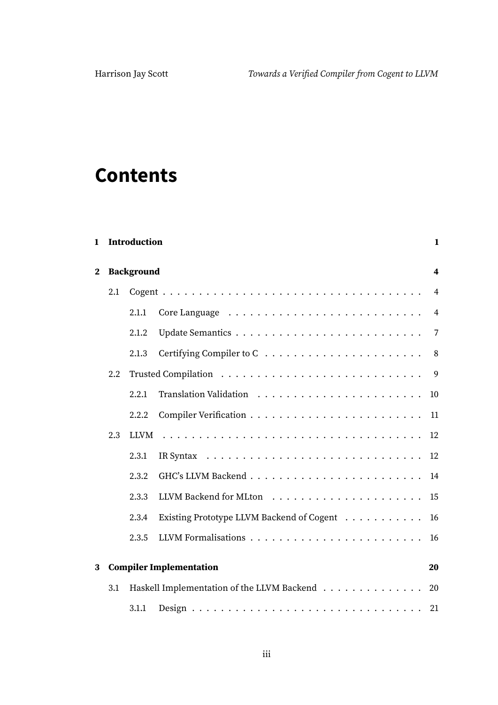# **Contents**

| $\mathbf{1}$ |     | <b>Introduction</b><br>$\mathbf{1}$ |                                               |                |
|--------------|-----|-------------------------------------|-----------------------------------------------|----------------|
| $\mathbf{2}$ |     | <b>Background</b>                   |                                               |                |
|              | 2.1 |                                     |                                               | $\overline{4}$ |
|              |     | 2.1.1                               |                                               | $\overline{4}$ |
|              |     | 2.1.2                               |                                               |                |
|              |     | 2.1.3                               |                                               | 8 <sup>8</sup> |
|              | 2.2 |                                     |                                               |                |
|              |     | 2.2.1                               |                                               |                |
|              |     | 2.2.2                               |                                               |                |
|              | 2.3 | <b>LLVM</b>                         |                                               | 12             |
|              |     | 2.3.1                               |                                               | 12             |
|              |     | 2.3.2                               |                                               | 14             |
|              |     | 2.3.3                               |                                               | 15             |
|              |     | 2.3.4                               | Existing Prototype LLVM Backend of Cogent     | 16             |
|              |     | 2.3.5                               |                                               | 16             |
| 3            |     |                                     | <b>Compiler Implementation</b>                | 20             |
|              | 3.1 |                                     | Haskell Implementation of the LLVM Backend 20 |                |
|              |     | 3.1.1                               |                                               | 21             |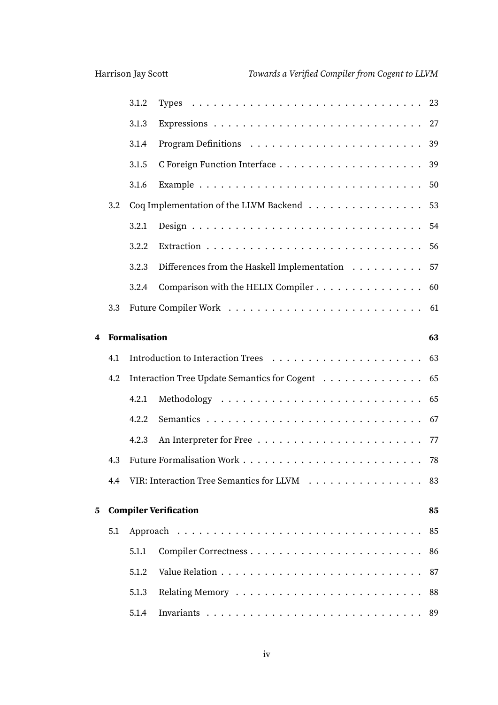|   |     | 3.1.2                |                                                 |    |
|---|-----|----------------------|-------------------------------------------------|----|
|   |     | 3.1.3                |                                                 |    |
|   |     | 3.1.4                |                                                 |    |
|   |     | 3.1.5                |                                                 |    |
|   |     | 3.1.6                |                                                 | 50 |
|   | 3.2 |                      | Coq Implementation of the LLVM Backend 53       |    |
|   |     | 3.2.1                |                                                 | 54 |
|   |     | 3.2.2                |                                                 |    |
|   |     | 3.2.3                | Differences from the Haskell Implementation 57  |    |
|   |     | 3.2.4                | Comparison with the HELIX Compiler 60           |    |
|   | 3.3 |                      |                                                 |    |
| 4 |     | <b>Formalisation</b> |                                                 | 63 |
|   | 4.1 |                      |                                                 |    |
|   | 4.2 |                      | Interaction Tree Update Semantics for Cogent 65 |    |
|   |     | 4.2.1                |                                                 |    |
|   |     | 4.2.2                |                                                 |    |
|   |     | 4.2.3                |                                                 |    |
|   | 4.3 |                      |                                                 |    |
|   | 4.4 |                      | VIR: Interaction Tree Semantics for LLVM        | 83 |
| 5 |     |                      | <b>Compiler Verification</b>                    | 85 |
|   | 5.1 |                      |                                                 | 85 |
|   |     | 5.1.1                |                                                 | 86 |
|   |     | 5.1.2                |                                                 | 87 |
|   |     | 5.1.3                |                                                 | 88 |
|   |     | 5.1.4                |                                                 |    |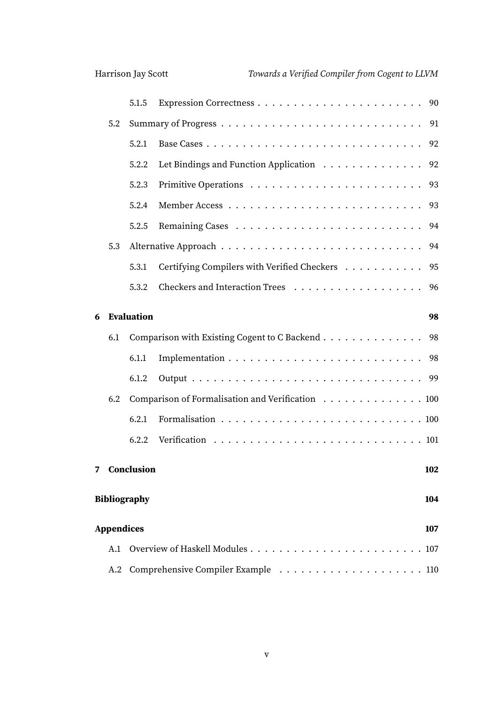|                            |     | 5.1.5        |                                                  |     |  |
|----------------------------|-----|--------------|--------------------------------------------------|-----|--|
|                            | 5.2 |              |                                                  |     |  |
|                            |     | 5.2.1        |                                                  |     |  |
|                            |     | 5.2.2        | Let Bindings and Function Application 92         |     |  |
|                            |     | 5.2.3        |                                                  |     |  |
|                            |     | 5.2.4        |                                                  | 93  |  |
|                            |     | 5.2.5        |                                                  | 94  |  |
|                            | 5.3 |              |                                                  | 94  |  |
|                            |     | 5.3.1        | Certifying Compilers with Verified Checkers      | 95  |  |
|                            |     | 5.3.2        |                                                  |     |  |
| 6                          |     | Evaluation   |                                                  | 98  |  |
|                            | 6.1 |              | Comparison with Existing Cogent to C Backend 98  |     |  |
|                            |     | 6.1.1        |                                                  |     |  |
|                            |     | 6.1.2        |                                                  |     |  |
|                            | 6.2 |              | Comparison of Formalisation and Verification 100 |     |  |
|                            |     | 6.2.1        |                                                  |     |  |
|                            |     | 6.2.2        |                                                  |     |  |
|                            |     | 7 Conclusion |                                                  | 102 |  |
| <b>Bibliography</b><br>104 |     |              |                                                  |     |  |
| Appendices<br>107          |     |              |                                                  |     |  |
|                            | A.1 |              |                                                  |     |  |
|                            |     |              |                                                  |     |  |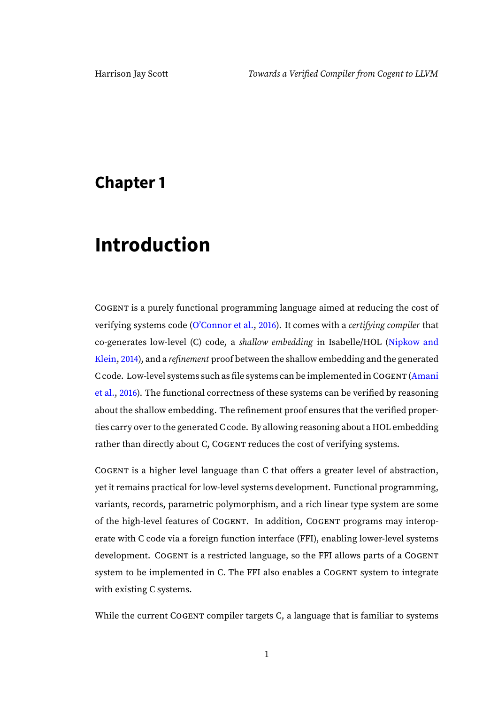### <span id="page-6-0"></span>**Chapter 1**

## **Introduction**

COGENT is a purely functional programming language aimed at reducing the cost of verifying systems code [\(O'Connor et al.,](#page-110-0) [2016\)](#page-110-0). It comes with a certifying compiler that co-generates low-level (C) code, a shallow embedding in Isabelle/HOL [\(Nipkow and](#page-110-1) [Klein,](#page-110-1) [2014\)](#page-110-1), and a refinement proof between the shallow embedding and the generated C code. Low-level systems such as file systems can be implemented in COGENT [\(Amani](#page-109-0) [et al.,](#page-109-0) [2016\)](#page-109-0). The functional correctness of these systems can be verified by reasoning about the shallow embedding. The refinement proof ensures that the verified properties carry over to the generated C code. By allowing reasoning about a HOL embedding rather than directly about C, COGENT reduces the cost of verifying systems.

COGENT is a higher level language than C that offers a greater level of abstraction, yet it remains practical for low-level systems development. Functional programming, variants, records, parametric polymorphism, and a rich linear type system are some of the high-level features of COGENT. In addition, COGENT programs may interoperate with C code via a foreign function interface (FFI), enabling lower-level systems development. COGENT is a restricted language, so the FFI allows parts of a COGENT system to be implemented in C. The FFI also enables a COGENT system to integrate with existing C systems.

While the current COGENT compiler targets C, a language that is familiar to systems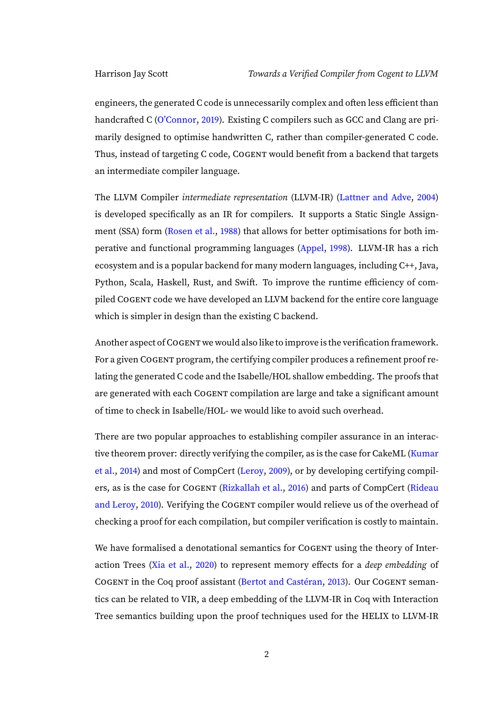engineers, the generated C code is unnecessarily complex and often less efficient than handcrafted C [\(O'Connor,](#page-110-2) [2019\)](#page-110-2). Existing C compilers such as GCC and Clang are primarily designed to optimise handwritten C, rather than compiler-generated C code. Thus, instead of targeting C code, COGENT would benefit from a backend that targets an intermediate compiler language.

The LLVM Compiler intermediate representation (LLVM-IR) [\(Lattner and Adve,](#page-110-3) [2004\)](#page-110-3) is developed specifically as an IR for compilers. It supports a Static Single Assignment (SSA) form [\(Rosen et al.,](#page-111-0) [1988\)](#page-111-0) that allows for better optimisations for both imperative and functional programming languages [\(Appel,](#page-109-1) [1998\)](#page-109-1). LLVM-IR has a rich ecosystem and is a popular backend for many modern languages, including C++, Java, Python, Scala, Haskell, Rust, and Swift. To improve the runtime efficiency of compiled COGENT code we have developed an LLVM backend for the entire core language which is simpler in design than the existing C backend.

Another aspect of COGENT we would also like to improve is the verification framework. For a given COGENT program, the certifying compiler produces a refinement proof relating the generated C code and the Isabelle/HOL shallow embedding. The proofs that are generated with each COGENT compilation are large and take a significant amount of time to check in Isabelle/HOL- we would like to avoid such overhead.

There are two popular approaches to establishing compiler assurance in an interactive theorem prover: directly verifying the compiler, as is the case for CakeML [\(Kumar](#page-110-4) [et al.,](#page-110-4) [2014\)](#page-110-4) and most of CompCert [\(Leroy,](#page-110-5) [2009\)](#page-110-5), or by developing certifying compilers, as is the case for COGENT [\(Rizkallah et al.,](#page-111-1) [2016\)](#page-111-1) and parts of CompCert [\(Rideau](#page-111-2) [and Leroy,](#page-111-2) [2010\)](#page-111-2). Verifying the COGENT compiler would relieve us of the overhead of checking a proof for each compilation, but compiler verification is costly to maintain.

We have formalised a denotational semantics for COGENT using the theory of Interaction Trees [\(Xia et al.,](#page-111-3) [2020\)](#page-111-3) to represent memory effects for a deep embedding of COGENT in the Coq proof assistant [\(Bertot and Castéran,](#page-109-2) [2013\)](#page-109-2). Our COGENT semantics can be related to VIR, a deep embedding of the LLVM-IR in Coq with Interaction Tree semantics building upon the proof techniques used for the HELIX to LLVM-IR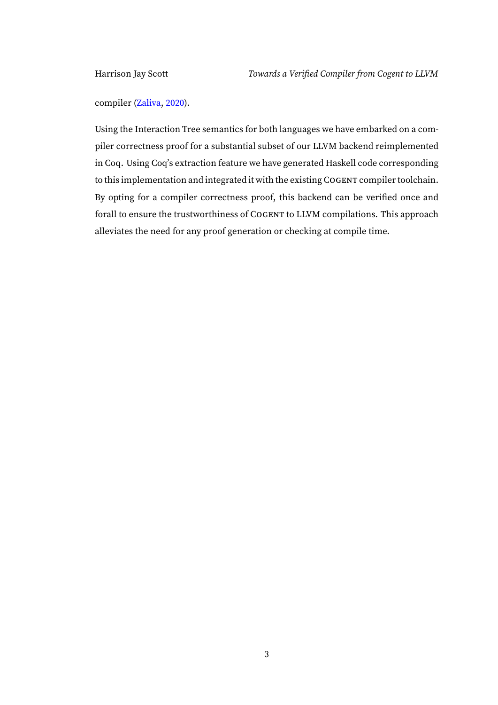compiler [\(Zaliva,](#page-111-4) [2020\)](#page-111-4).

Using the Interaction Tree semantics for both languages we have embarked on a compiler correctness proof for a substantial subset of our LLVM backend reimplemented in Coq. Using Coq's extraction feature we have generated Haskell code corresponding to this implementation and integrated it with the existing COGENT compiler toolchain. By opting for a compiler correctness proof, this backend can be verified once and forall to ensure the trustworthiness of COGENT to LLVM compilations. This approach alleviates the need for any proof generation or checking at compile time.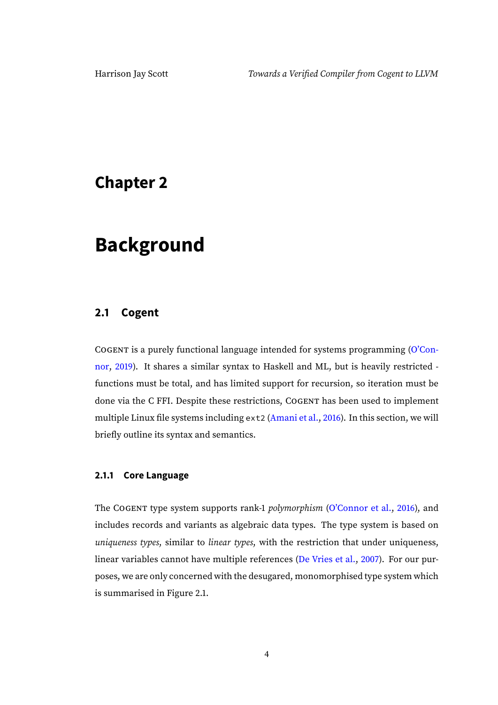### <span id="page-9-0"></span>**Chapter 2**

### **Background**

### <span id="page-9-1"></span>**2.1 Cogent**

COGENT is a purely functional language intended for systems programming [\(O'Con](#page-110-2)[nor,](#page-110-2) [2019\)](#page-110-2). It shares a similar syntax to Haskell and ML, but is heavily restricted functions must be total, and has limited support for recursion, so iteration must be done via the C FFI. Despite these restrictions, COGENT has been used to implement multiple Linux file systems including ext2 [\(Amani et al.,](#page-109-0) [2016\)](#page-109-0). In this section, we will briefly outline its syntax and semantics.

#### <span id="page-9-2"></span>**2.1.1 Core Language**

The COGENT type system supports rank-1 *polymorphism* [\(O'Connor et al.,](#page-110-0) [2016\)](#page-110-0), and includes records and variants as algebraic data types. The type system is based on uniqueness types, similar to linear types, with the restriction that under uniqueness, linear variables cannot have multiple references [\(De Vries et al.,](#page-109-3) [2007\)](#page-109-3). For our purposes, we are only concerned with the desugared, monomorphised type system which is summarised in Figure [2.1.](#page-10-0)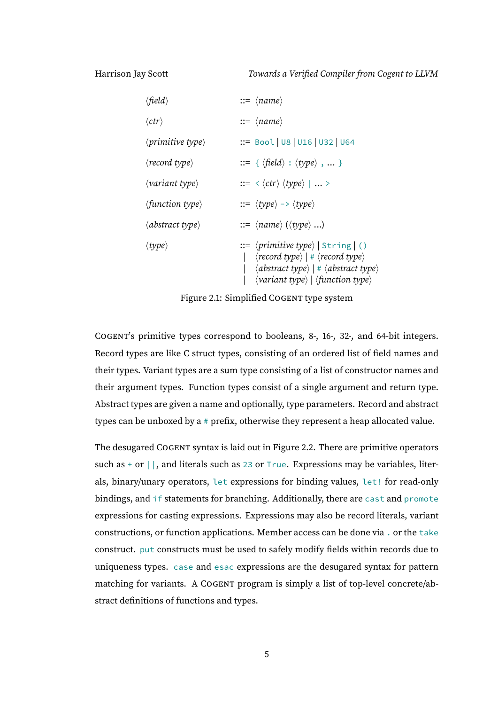Harrison Jay Scott Towards a Verified Compiler from Cogent to LLVM

| $\langle$ field $\rangle$         | $ ::= \langle name \rangle$                                                                                                                                                                                                                                              |
|-----------------------------------|--------------------------------------------------------------------------------------------------------------------------------------------------------------------------------------------------------------------------------------------------------------------------|
| $\langle \text{ctr} \rangle$      | $ ::= \langle name \rangle$                                                                                                                                                                                                                                              |
| $\langle primitive type \rangle$  | ::= Bool   U8   U16   U32   U64                                                                                                                                                                                                                                          |
| $\langle record type \rangle$     | $ ::= \{ \langle \text{field} \rangle : \langle \text{type} \rangle, \dots \}$                                                                                                                                                                                           |
| $\langle variant\ type \rangle$   | $\;\;::=\;\langle \langle \mathit{ctr} \rangle \langle \mathit{type} \rangle \;   \;  \; \rangle$                                                                                                                                                                        |
| $\langle$ function type $\rangle$ | $ ::= \langle type \rangle \rightarrow \langle type \rangle$                                                                                                                                                                                                             |
| $\langle abstract\ type\rangle$   | $ ::= \langle name \rangle (\langle type \rangle )$                                                                                                                                                                                                                      |
| $\langle type \rangle$            | $ ::= \langle primitive type \rangle   String   ()$<br>$\langle record type \rangle$   # $\langle record type \rangle$<br><abstract #="" <="" <abstract="" a="" type=""  =""><br/><math>\langle variant\ type \rangle   \langle function\ type \rangle</math></abstract> |

<span id="page-10-0"></span>Figure 2.1: Simplified COGENT type system

COGENT's primitive types correspond to booleans, 8-, 16-, 32-, and 64-bit integers. Record types are like C struct types, consisting of an ordered list of field names and their types. Variant types are a sum type consisting of a list of constructor names and their argument types. Function types consist of a single argument and return type. Abstract types are given a name and optionally, type parameters. Record and abstract types can be unboxed by a # prefix, otherwise they represent a heap allocated value.

The desugared COGENT syntax is laid out in Figure [2.2.](#page-11-0) There are primitive operators such as  $+$  or  $||$ , and literals such as 23 or True. Expressions may be variables, literals, binary/unary operators, let expressions for binding values, let! for read-only bindings, and if statements for branching. Additionally, there are cast and promote expressions for casting expressions. Expressions may also be record literals, variant constructions, or function applications. Member access can be done via . or the take construct. put constructs must be used to safely modify fields within records due to uniqueness types. case and esac expressions are the desugared syntax for pattern matching for variants. A COGENT program is simply a list of top-level concrete/abstract definitions of functions and types.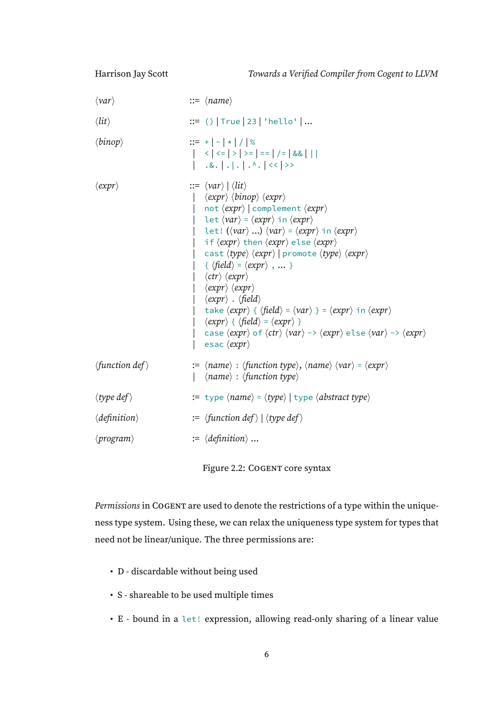| $\langle var \rangle$            | $ ::= \langle name \rangle$                                                                                                                                                                                                                                                                                                                                                                                                                                                                                                                                                                                                                                                                                                                                                                                                                                                                                                                                                                                                                                                                                                                                                                                                                                                        |
|----------------------------------|------------------------------------------------------------------------------------------------------------------------------------------------------------------------------------------------------------------------------------------------------------------------------------------------------------------------------------------------------------------------------------------------------------------------------------------------------------------------------------------------------------------------------------------------------------------------------------------------------------------------------------------------------------------------------------------------------------------------------------------------------------------------------------------------------------------------------------------------------------------------------------------------------------------------------------------------------------------------------------------------------------------------------------------------------------------------------------------------------------------------------------------------------------------------------------------------------------------------------------------------------------------------------------|
| $\langle lit \rangle$            | $ ::= ()   True   23   'hello'   $                                                                                                                                                                                                                                                                                                                                                                                                                                                                                                                                                                                                                                                                                                                                                                                                                                                                                                                                                                                                                                                                                                                                                                                                                                                 |
| $\langle binop \rangle$          | $ ::= +   -   *   /   %$                                                                                                                                                                                                                                                                                                                                                                                                                                                                                                                                                                                                                                                                                                                                                                                                                                                                                                                                                                                                                                                                                                                                                                                                                                                           |
| $\langle expr \rangle$           | $ ::= \langle var \rangle   \langle lit \rangle$<br>$\langle expr \rangle \langle binop \rangle \langle expr \rangle$<br>not $\langle expr \rangle$ complement $\langle expr \rangle$<br>let $\langle var \rangle = \langle expr \rangle$ in $\langle expr \rangle$<br>let! ( $\langle var \rangle$ ) $\langle var \rangle = \langle expr \rangle$ in $\langle expr \rangle$<br>if $\langle expr \rangle$ then $\langle expr \rangle$ else $\langle expr \rangle$<br>cast $\langle type \rangle$ $\langle expr \rangle$   promote $\langle type \rangle$ $\langle expr \rangle$<br>{ $\langle$ field $\rangle$ = $\langle expr \rangle$ ,  }<br>$\langle \text{ctr} \rangle$ $\langle \text{expr} \rangle$<br>$\langle expr \rangle \langle expr \rangle$<br>$\langle expr \rangle$ . $\langle field \rangle$<br>take $\langle expr \rangle$ { $\langle field \rangle = \langle var \rangle$ } = $\langle expr \rangle$ in $\langle expr \rangle$<br>$\langle expr \rangle \{ \langle field \rangle = \langle expr \rangle \}$<br>case $\langle \text{expr} \rangle$ of $\langle \text{ctr} \rangle$ $\langle \text{var} \rangle \rightarrow \langle \text{expr} \rangle$ else $\langle \text{var} \rangle \rightarrow \langle \text{expr} \rangle$<br>esac $\langle expr \rangle$ |
| $\langle$ function def $\rangle$ | $\mathcal{L} = \langle name \rangle : \langle function type \rangle, \langle name \rangle \langle var \rangle = \langle expr \rangle$<br>$\langle name \rangle : \langle function type \rangle$                                                                                                                                                                                                                                                                                                                                                                                                                                                                                                                                                                                                                                                                                                                                                                                                                                                                                                                                                                                                                                                                                    |
| $\langle type\ def \rangle$      | := type $\langle name \rangle = \langle type \rangle$   type $\langle abstract\ type \rangle$                                                                                                                                                                                                                                                                                                                                                                                                                                                                                                                                                                                                                                                                                                                                                                                                                                                                                                                                                                                                                                                                                                                                                                                      |
| $\langle definition \rangle$     | $:= \langle function \, def \rangle \mid \langle type \, def \rangle$                                                                                                                                                                                                                                                                                                                                                                                                                                                                                                                                                                                                                                                                                                                                                                                                                                                                                                                                                                                                                                                                                                                                                                                                              |
| $\langle program \rangle$        | $:= \langle definition \rangle \dots$                                                                                                                                                                                                                                                                                                                                                                                                                                                                                                                                                                                                                                                                                                                                                                                                                                                                                                                                                                                                                                                                                                                                                                                                                                              |
|                                  |                                                                                                                                                                                                                                                                                                                                                                                                                                                                                                                                                                                                                                                                                                                                                                                                                                                                                                                                                                                                                                                                                                                                                                                                                                                                                    |

Figure 2.2: COGENT core syntax

<span id="page-11-0"></span>Permissions in COGENT are used to denote the restrictions of a type within the uniqueness type system. Using these, we can relax the uniqueness type system for types that need not be linear/unique. The three permissions are:

- D discardable without being used
- S shareable to be used multiple times
- E bound in a let! expression, allowing read-only sharing of a linear value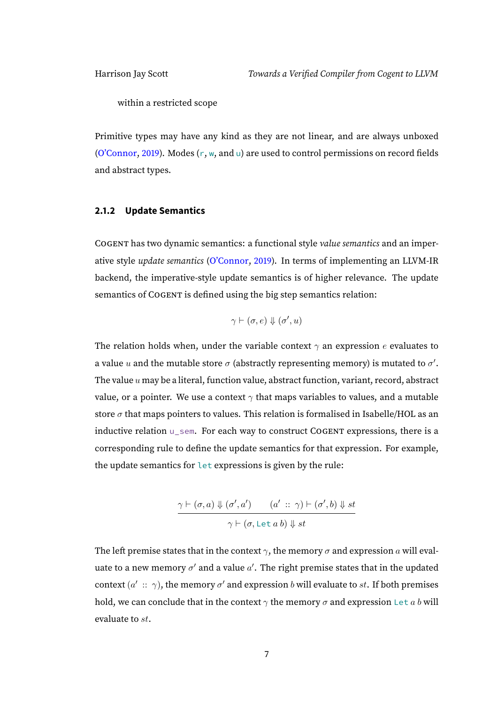within a restricted scope

Primitive types may have any kind as they are not linear, and are always unboxed [\(O'Connor,](#page-110-2) [2019\)](#page-110-2). Modes  $(r, w, and u)$  are used to control permissions on record fields and abstract types.

#### <span id="page-12-0"></span>**2.1.2 Update Semantics**

COGENT has two dynamic semantics: a functional style value semantics and an imperative style update semantics [\(O'Connor,](#page-110-2) [2019\)](#page-110-2). In terms of implementing an LLVM-IR backend, the imperative-style update semantics is of higher relevance. The update semantics of COGENT is defined using the big step semantics relation:

$$
\gamma \vdash (\sigma, e) \Downarrow (\sigma', u)
$$

The relation holds when, under the variable context  $\gamma$  an expression e evaluates to a value  $u$  and the mutable store  $\sigma$  (abstractly representing memory) is mutated to  $\sigma'$ . The value  $u$  may be a literal, function value, abstract function, variant, record, abstract value, or a pointer. We use a context  $\gamma$  that maps variables to values, and a mutable store  $\sigma$  that maps pointers to values. This relation is formalised in Isabelle/HOL as an inductive relation u\_sem. For each way to construct COGENT expressions, there is a corresponding rule to define the update semantics for that expression. For example, the update semantics for let expressions is given by the rule:

$$
\frac{\gamma \vdash (\sigma, a) \Downarrow (\sigma', a') \qquad (a' \ :: \ \gamma) \vdash (\sigma', b) \Downarrow st}{\gamma \vdash (\sigma, \texttt{Let } a b) \Downarrow st}
$$

The left premise states that in the context  $\gamma$ , the memory  $\sigma$  and expression a will evaluate to a new memory  $\sigma'$  and a value  $a'.$  The right premise states that in the updated context  $(a' \ :: \ \gamma)$ , the memory  $\sigma'$  and expression  $b$  will evaluate to  $st.$  If both premises hold, we can conclude that in the context  $\gamma$  the memory  $\sigma$  and expression Let a b will evaluate to st.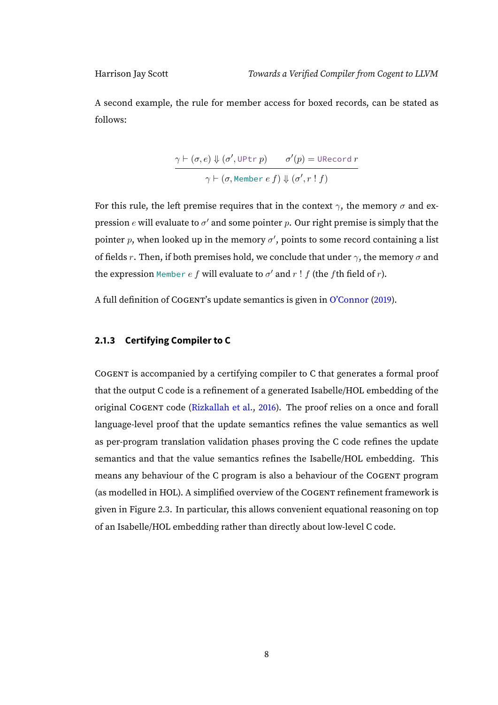A second example, the rule for member access for boxed records, can be stated as follows:

$$
\frac{\gamma \vdash (\sigma, e) \Downarrow (\sigma', \text{UPtr } p) \qquad \sigma'(p) = \text{URecord } r}{\gamma \vdash (\sigma, \text{Member } e \ f) \Downarrow (\sigma', r \, ! \, f)}
$$

For this rule, the left premise requires that in the context  $\gamma$ , the memory  $\sigma$  and expression  $e$  will evaluate to  $\sigma'$  and some pointer  $p.$  Our right premise is simply that the pointer p, when looked up in the memory  $\sigma'$ , points to some record containing a list of fields r. Then, if both premises hold, we conclude that under  $\gamma$ , the memory  $\sigma$  and the expression <code>Member</code>  $e$   $f$  will evaluate to  $\sigma'$  and  $r$  !  $f$  (the  $f$ th field of  $r$ ).

A full definition of COGENT's update semantics is given in [O'Connor](#page-110-2) [\(2019\)](#page-110-2).

#### <span id="page-13-0"></span>**2.1.3 Certifying Compiler to C**

COGENT is accompanied by a certifying compiler to C that generates a formal proof that the output C code is a refinement of a generated Isabelle/HOL embedding of the original COGENT code [\(Rizkallah et al.,](#page-111-1) [2016\)](#page-111-1). The proof relies on a once and forall language-level proof that the update semantics refines the value semantics as well as per-program translation validation phases proving the C code refines the update semantics and that the value semantics refines the Isabelle/HOL embedding. This means any behaviour of the C program is also a behaviour of the COGENT program (as modelled in HOL). A simplified overview of the COGENT refinement framework is given in Figure [2.3.](#page-14-1) In particular, this allows convenient equational reasoning on top of an Isabelle/HOL embedding rather than directly about low-level C code.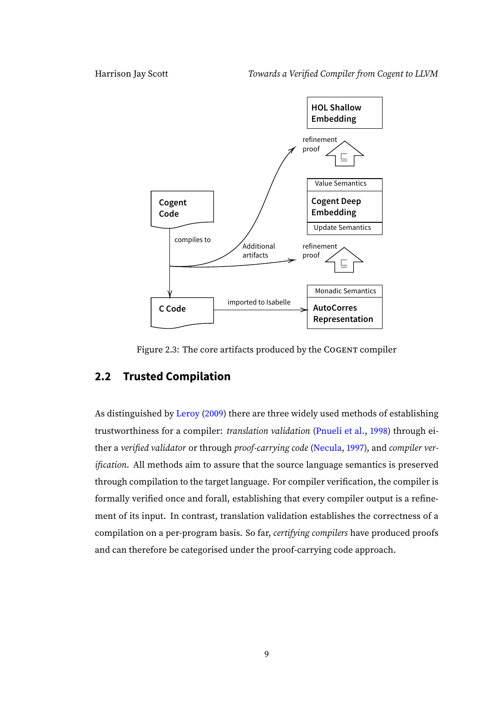

Figure 2.3: The core artifacts produced by the COGENT compiler

### <span id="page-14-1"></span><span id="page-14-0"></span>**2.2 Trusted Compilation**

As distinguished by [Leroy](#page-110-5) [\(2009\)](#page-110-5) there are three widely used methods of establishing trustworthiness for a compiler: *translation validation* [\(Pnueli et al.,](#page-111-5) [1998\)](#page-111-5) through ei-ther a verified validator or through proof-carrying code [\(Necula,](#page-110-6) [1997\)](#page-110-6), and compiler verification. All methods aim to assure that the source language semantics is preserved through compilation to the target language. For compiler verification, the compiler is formally verified once and forall, establishing that every compiler output is a refinement of its input. In contrast, translation validation establishes the correctness of a compilation on a per-program basis. So far, certifying compilers have produced proofs and can therefore be categorised under the proof-carrying code approach.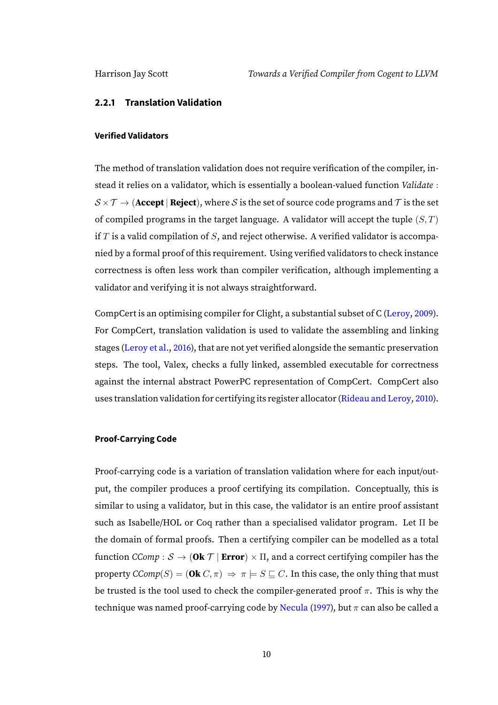#### <span id="page-15-0"></span>**2.2.1 Translation Validation**

#### **Verified Validators**

The method of translation validation does not require verification of the compiler, instead it relies on a validator, which is essentially a boolean-valued function Validate :  $S \times T \rightarrow$  (**Accept** | **Reject**), where S is the set of source code programs and T is the set of compiled programs in the target language. A validator will accept the tuple  $(S, T)$ if  $T$  is a valid compilation of  $S$ , and reject otherwise. A verified validator is accompanied by a formal proof of this requirement. Using verified validators to check instance correctness is often less work than compiler verification, although implementing a validator and verifying it is not always straightforward.

CompCert is an optimising compiler for Clight, a substantial subset of C [\(Leroy,](#page-110-5) [2009\)](#page-110-5). For CompCert, translation validation is used to validate the assembling and linking stages [\(Leroy et al.,](#page-110-7) [2016\)](#page-110-7), that are not yet verified alongside the semantic preservation steps. The tool, Valex, checks a fully linked, assembled executable for correctness against the internal abstract PowerPC representation of CompCert. CompCert also uses translation validation for certifying its register allocator [\(Rideau and Leroy,](#page-111-2) [2010\)](#page-111-2).

#### **Proof-Carrying Code**

Proof-carrying code is a variation of translation validation where for each input/output, the compiler produces a proof certifying its compilation. Conceptually, this is similar to using a validator, but in this case, the validator is an entire proof assistant such as Isabelle/HOL or Coq rather than a specialised validator program. Let Π be the domain of formal proofs. Then a certifying compiler can be modelled as a total function  $CComp : S \to (\mathbf{0k} \top | Error) \times \Pi$ , and a correct certifying compiler has the property  $\text{CComp}(S) = (\text{Ok } C, \pi) \Rightarrow \pi \models S \sqsubseteq C$ . In this case, the only thing that must be trusted is the tool used to check the compiler-generated proof  $\pi$ . This is why the technique was named proof-carrying code by [Necula](#page-110-6) [\(1997\)](#page-110-6), but  $\pi$  can also be called a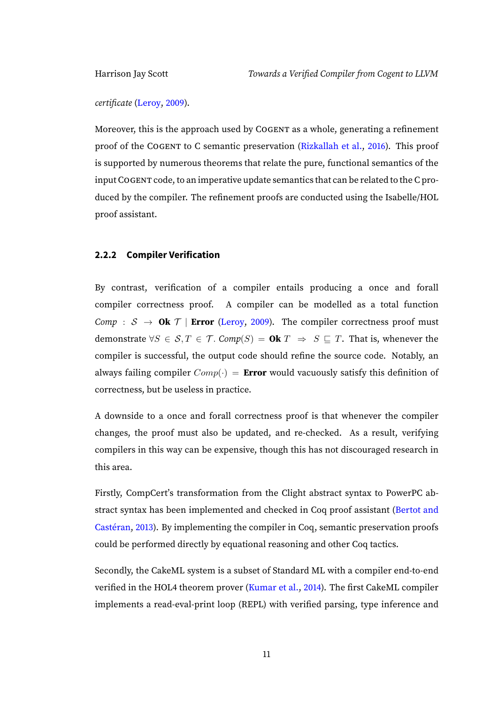certificate [\(Leroy,](#page-110-5) [2009\)](#page-110-5).

Moreover, this is the approach used by COGENT as a whole, generating a refinement proof of the COGENT to C semantic preservation [\(Rizkallah et al.,](#page-111-1) [2016\)](#page-111-1). This proof is supported by numerous theorems that relate the pure, functional semantics of the input COGENT code, to an imperative update semantics that can be related to the C produced by the compiler. The refinement proofs are conducted using the Isabelle/HOL proof assistant.

#### <span id="page-16-0"></span>**2.2.2 Compiler Verification**

By contrast, verification of a compiler entails producing a once and forall compiler correctness proof. A compiler can be modelled as a total function Comp :  $S \rightarrow$  **Ok**  $\mathcal{T}$  | **Error** [\(Leroy,](#page-110-5) [2009\)](#page-110-5). The compiler correctness proof must demonstrate  $\forall S \in S, T \in T$ . Comp(S) = **Ok**  $T \Rightarrow S \sqsubseteq T$ . That is, whenever the compiler is successful, the output code should refine the source code. Notably, an always failing compiler  $Comp(\cdot) = Error$  would vacuously satisfy this definition of correctness, but be useless in practice.

A downside to a once and forall correctness proof is that whenever the compiler changes, the proof must also be updated, and re-checked. As a result, verifying compilers in this way can be expensive, though this has not discouraged research in this area.

Firstly, CompCert's transformation from the Clight abstract syntax to PowerPC ab-stract syntax has been implemented and checked in Coq proof assistant [\(Bertot and](#page-109-2) [Castéran,](#page-109-2) [2013\)](#page-109-2). By implementing the compiler in Coq, semantic preservation proofs could be performed directly by equational reasoning and other Coq tactics.

Secondly, the CakeML system is a subset of Standard ML with a compiler end-to-end verified in the HOL4 theorem prover [\(Kumar et al.,](#page-110-4) [2014\)](#page-110-4). The first CakeML compiler implements a read-eval-print loop (REPL) with verified parsing, type inference and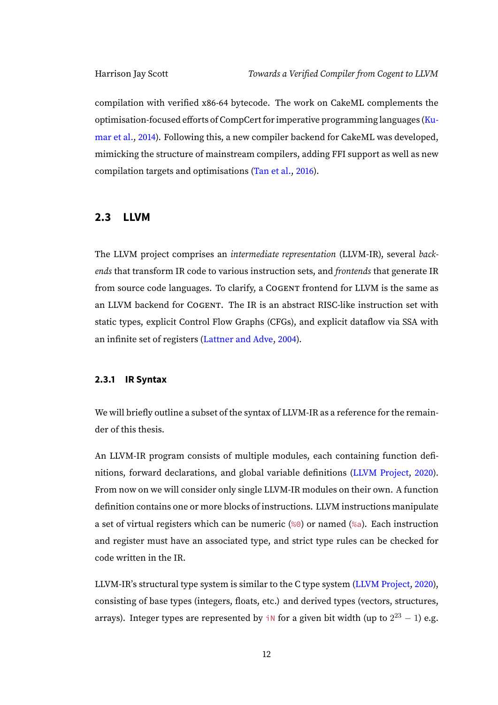compilation with verified x86-64 bytecode. The work on CakeML complements the optimisation-focused efforts of CompCert for imperative programming languages [\(Ku](#page-110-4)[mar et al.,](#page-110-4) [2014\)](#page-110-4). Following this, a new compiler backend for CakeML was developed, mimicking the structure of mainstream compilers, adding FFI support as well as new compilation targets and optimisations [\(Tan et al.,](#page-111-6) [2016\)](#page-111-6).

#### <span id="page-17-0"></span>**2.3 LLVM**

The LLVM project comprises an intermediate representation (LLVM-IR), several backends that transform IR code to various instruction sets, and frontends that generate IR from source code languages. To clarify, a COGENT frontend for LLVM is the same as an LLVM backend for COGENT. The IR is an abstract RISC-like instruction set with static types, explicit Control Flow Graphs (CFGs), and explicit dataflow via SSA with an infinite set of registers [\(Lattner and Adve,](#page-110-3) [2004\)](#page-110-3).

#### <span id="page-17-1"></span>**2.3.1 IR Syntax**

We will briefly outline a subset of the syntax of LLVM-IR as a reference for the remainder of this thesis.

An LLVM-IR program consists of multiple modules, each containing function definitions, forward declarations, and global variable definitions [\(LLVM Project,](#page-110-8) [2020\)](#page-110-8). From now on we will consider only single LLVM-IR modules on their own. A function definition contains one or more blocks of instructions. LLVM instructions manipulate a set of virtual registers which can be numeric (%0) or named (%a). Each instruction and register must have an associated type, and strict type rules can be checked for code written in the IR.

LLVM-IR's structural type system is similar to the C type system [\(LLVM Project,](#page-110-8) [2020\)](#page-110-8), consisting of base types (integers, floats, etc.) and derived types (vectors, structures, arrays). Integer types are represented by in for a given bit width (up to  $2^{23} - 1$ ) e.g.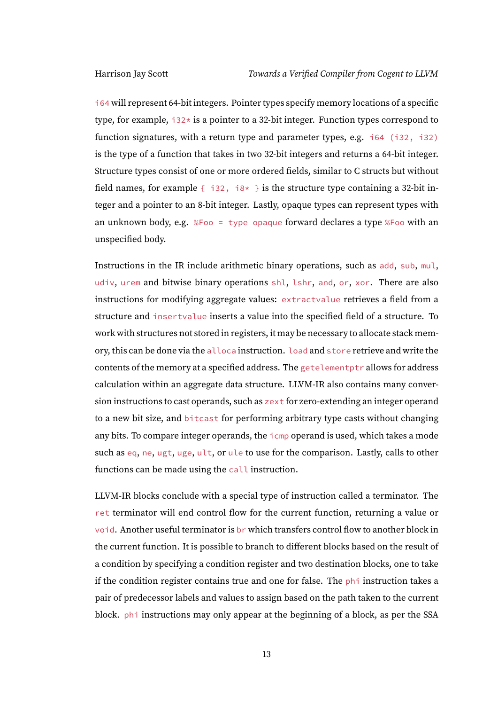i64 will represent 64-bit integers. Pointer types specify memory locations of a specific type, for example,  $i32*$  is a pointer to a 32-bit integer. Function types correspond to function signatures, with a return type and parameter types, e.g. i64 (i32, i32) is the type of a function that takes in two 32-bit integers and returns a 64-bit integer. Structure types consist of one or more ordered fields, similar to C structs but without field names, for example  $\{-132, 18* \}$  is the structure type containing a 32-bit integer and a pointer to an 8-bit integer. Lastly, opaque types can represent types with an unknown body, e.g. %Foo = type opaque forward declares a type %Foo with an unspecified body.

Instructions in the IR include arithmetic binary operations, such as add, sub, mul, udiv, urem and bitwise binary operations shl, lshr, and, or, xor. There are also instructions for modifying aggregate values: extractvalue retrieves a field from a structure and insertvalue inserts a value into the specified field of a structure. To work with structures not stored in registers, it may be necessary to allocate stack memory, this can be done via the alloca instruction. load and store retrieve and write the contents of the memory at a specified address. The getelementptr allows for address calculation within an aggregate data structure. LLVM-IR also contains many conversion instructions to cast operands, such as zext for zero-extending an integer operand to a new bit size, and bitcast for performing arbitrary type casts without changing any bits. To compare integer operands, the icmp operand is used, which takes a mode such as eq, ne, ugt, uge, ult, or ule to use for the comparison. Lastly, calls to other functions can be made using the call instruction.

LLVM-IR blocks conclude with a special type of instruction called a terminator. The ret terminator will end control flow for the current function, returning a value or void. Another useful terminator is br which transfers control flow to another block in the current function. It is possible to branch to different blocks based on the result of a condition by specifying a condition register and two destination blocks, one to take if the condition register contains true and one for false. The phi instruction takes a pair of predecessor labels and values to assign based on the path taken to the current block. phi instructions may only appear at the beginning of a block, as per the SSA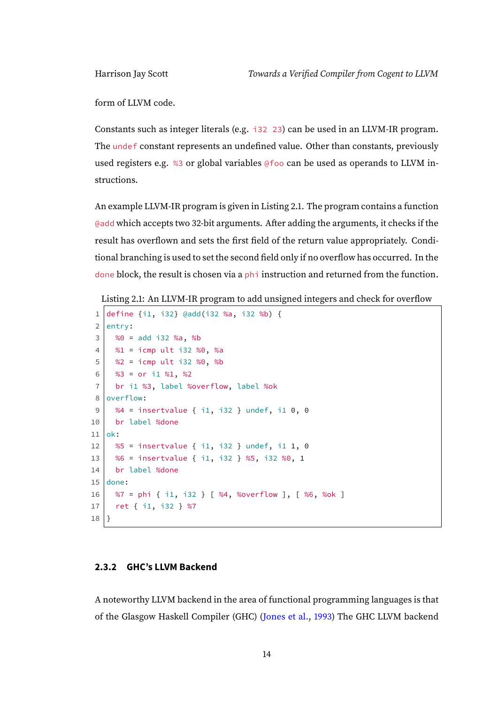form of LLVM code.

Constants such as integer literals (e.g. i32 23) can be used in an LLVM-IR program. The undef constant represents an undefined value. Other than constants, previously used registers e.g. %3 or global variables @foo can be used as operands to LLVM instructions.

An example LLVM-IR program is given in Listing [2.1.](#page-19-1) The program contains a function @add which accepts two 32-bit arguments. After adding the arguments, it checks if the result has overflown and sets the first field of the return value appropriately. Conditional branching is used to set the second field only if no overflow has occurred. In the done block, the result is chosen via a phi instruction and returned from the function.

```
Listing 2.1: An LLVM-IR program to add unsigned integers and check for overflow
```

```
1 define {i1, i32} @add(i32 %a, i32 %b) {
 2 entry:
 3 \mid 80 = add i32 %a, %b
 4 %1 = icmp ult i32 %0, %a
 5 %2 = icmp ult i32 %0, %b
 6 \frac{83}{10} = or i1 %1, %2
 7 br i1 %3, label %overflow, label %ok
 8 overflow:
 9 %4 = insertvalue { i1, i32 } undef, i1 0, 0
10 br label %done
11 ok:
12 \begin{array}{|l} \n\text{85} = \text{insertvalue} \{ i1, i32 \} \n\end{array} undef, i1 1, 0
13 %6 = insertvalue { i1, i32 } %5, i32 %0, 1
14 br label %done
15 done:
16 %7 = phi { i1, i32 } [ %4, %overflow ], [ %6, %ok ]
17 ret { i1, i32 } %7
18|}
```
#### <span id="page-19-0"></span>**2.3.2 GHC's LLVM Backend**

A noteworthy LLVM backend in the area of functional programming languages is that of the Glasgow Haskell Compiler (GHC) [\(Jones et al.,](#page-109-4) [1993\)](#page-109-4) The GHC LLVM backend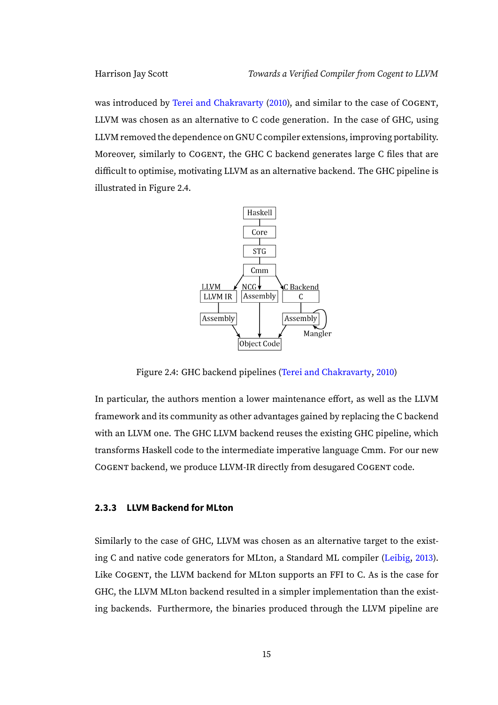was introduced by [Terei and Chakravarty](#page-111-7) [\(2010\)](#page-111-7), and similar to the case of COGENT, LLVM was chosen as an alternative to C code generation. In the case of GHC, using LLVM removed the dependence on GNU C compiler extensions, improving portability. Moreover, similarly to COGENT, the GHC C backend generates large C files that are difficult to optimise, motivating LLVM as an alternative backend. The GHC pipeline is illustrated in Figure [2.4.](#page-20-1)



<span id="page-20-1"></span>Figure 2.4: GHC backend pipelines [\(Terei and Chakravarty,](#page-111-7) [2010\)](#page-111-7)

In particular, the authors mention a lower maintenance effort, as well as the LLVM framework and its community as other advantages gained by replacing the C backend with an LLVM one. The GHC LLVM backend reuses the existing GHC pipeline, which transforms Haskell code to the intermediate imperative language Cmm. For our new COGENT backend, we produce LLVM-IR directly from desugared COGENT code.

#### <span id="page-20-0"></span>**2.3.3 LLVM Backend for MLton**

Similarly to the case of GHC, LLVM was chosen as an alternative target to the existing C and native code generators for MLton, a Standard ML compiler [\(Leibig,](#page-110-9) [2013\)](#page-110-9). Like COGENT, the LLVM backend for MLton supports an FFI to C. As is the case for GHC, the LLVM MLton backend resulted in a simpler implementation than the existing backends. Furthermore, the binaries produced through the LLVM pipeline are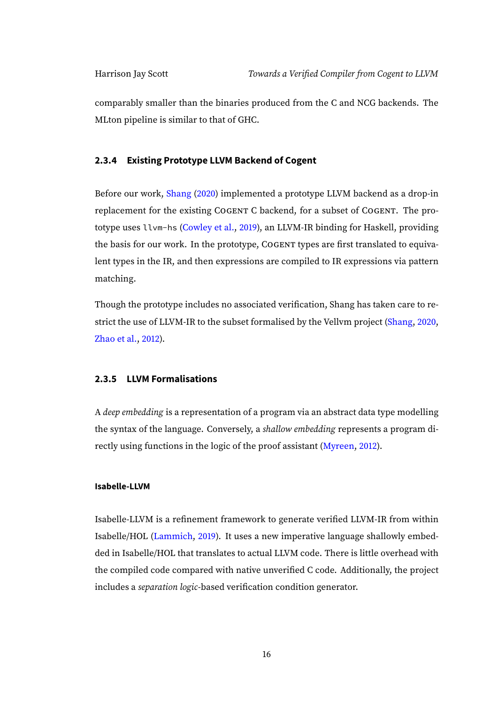comparably smaller than the binaries produced from the C and NCG backends. The MLton pipeline is similar to that of GHC.

#### <span id="page-21-0"></span>**2.3.4 Existing Prototype LLVM Backend of Cogent**

Before our work, [Shang](#page-111-8) [\(2020\)](#page-111-8) implemented a prototype LLVM backend as a drop-in replacement for the existing COGENT C backend, for a subset of COGENT. The prototype uses llvm-hs [\(Cowley et al.,](#page-109-5) [2019\)](#page-109-5), an LLVM-IR binding for Haskell, providing the basis for our work. In the prototype, COGENT types are first translated to equivalent types in the IR, and then expressions are compiled to IR expressions via pattern matching.

Though the prototype includes no associated verification, Shang has taken care to restrict the use of LLVM-IR to the subset formalised by the Vellvm project [\(Shang,](#page-111-8) [2020,](#page-111-8) [Zhao et al.,](#page-111-9) [2012\)](#page-111-9).

#### <span id="page-21-1"></span>**2.3.5 LLVM Formalisations**

A deep embedding is a representation of a program via an abstract data type modelling the syntax of the language. Conversely, a shallow embedding represents a program directly using functions in the logic of the proof assistant [\(Myreen,](#page-110-10) [2012\)](#page-110-10).

#### **Isabelle-LLVM**

Isabelle-LLVM is a refinement framework to generate verified LLVM-IR from within Isabelle/HOL [\(Lammich,](#page-110-11) [2019\)](#page-110-11). It uses a new imperative language shallowly embedded in Isabelle/HOL that translates to actual LLVM code. There is little overhead with the compiled code compared with native unverified C code. Additionally, the project includes a separation logic-based verification condition generator.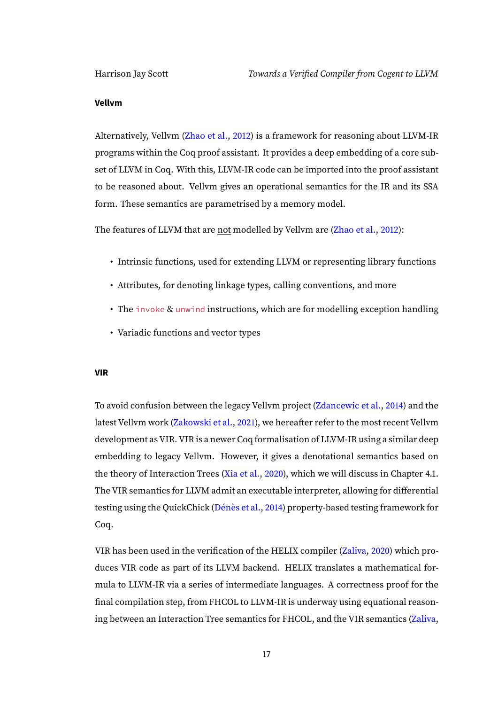#### **Vellvm**

Alternatively, Vellvm [\(Zhao et al.,](#page-111-9) [2012\)](#page-111-9) is a framework for reasoning about LLVM-IR programs within the Coq proof assistant. It provides a deep embedding of a core subset of LLVM in Coq. With this, LLVM-IR code can be imported into the proof assistant to be reasoned about. Vellvm gives an operational semantics for the IR and its SSA form. These semantics are parametrised by a memory model.

The features of LLVM that are not modelled by Vellvm are [\(Zhao et al.,](#page-111-9) [2012\)](#page-111-9):

- Intrinsic functions, used for extending LLVM or representing library functions
- Attributes, for denoting linkage types, calling conventions, and more
- The invoke & unwind instructions, which are for modelling exception handling
- Variadic functions and vector types

#### **VIR**

To avoid confusion between the legacy Vellvm project [\(Zdancewic et al.,](#page-111-10) [2014\)](#page-111-10) and the latest Vellvm work [\(Zakowski et al.,](#page-111-11) [2021\)](#page-111-11), we hereafter refer to the most recent Vellvm development as VIR. VIR is a newer Coq formalisation of LLVM-IR using a similar deep embedding to legacy Vellvm. However, it gives a denotational semantics based on the theory of Interaction Trees [\(Xia et al.,](#page-111-3) [2020\)](#page-111-3), which we will discuss in Chapter [4.1.](#page-68-1) The VIR semantics for LLVM admit an executable interpreter, allowing for differential testing using the QuickChick [\(Dénès et al.,](#page-109-6) [2014\)](#page-109-6) property-based testing framework for Coq.

VIR has been used in the verification of the HELIX compiler [\(Zaliva,](#page-111-4) [2020\)](#page-111-4) which produces VIR code as part of its LLVM backend. HELIX translates a mathematical formula to LLVM-IR via a series of intermediate languages. A correctness proof for the final compilation step, from FHCOL to LLVM-IR is underway using equational reasoning between an Interaction Tree semantics for FHCOL, and the VIR semantics [\(Zaliva,](#page-111-4)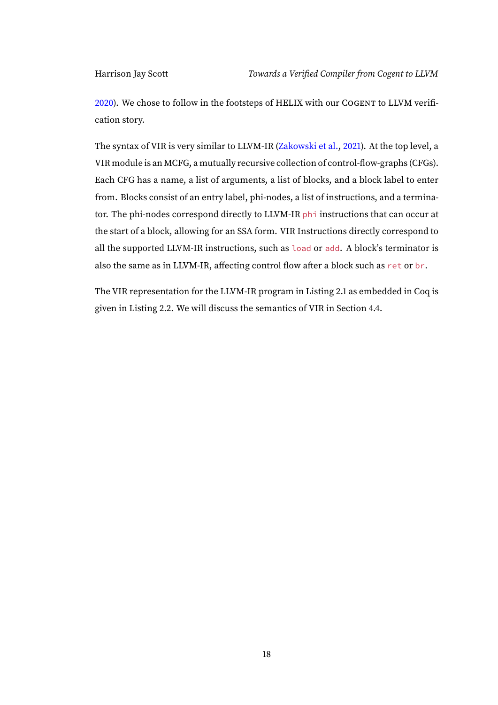[2020\)](#page-111-4). We chose to follow in the footsteps of HELIX with our COGENT to LLVM verification story.

The syntax of VIR is very similar to LLVM-IR [\(Zakowski et al.,](#page-111-11) [2021\)](#page-111-11). At the top level, a VIR module is an MCFG, a mutually recursive collection of control-flow-graphs (CFGs). Each CFG has a name, a list of arguments, a list of blocks, and a block label to enter from. Blocks consist of an entry label, phi-nodes, a list of instructions, and a terminator. The phi-nodes correspond directly to LLVM-IR phi instructions that can occur at the start of a block, allowing for an SSA form. VIR Instructions directly correspond to all the supported LLVM-IR instructions, such as load or add. A block's terminator is also the same as in LLVM-IR, affecting control flow after a block such as ret or br.

The VIR representation for the LLVM-IR program in Listing [2.1](#page-19-1) as embedded in Coq is given in Listing [2.2.](#page-24-0) We will discuss the semantics of VIR in Section [4.4.](#page-88-0)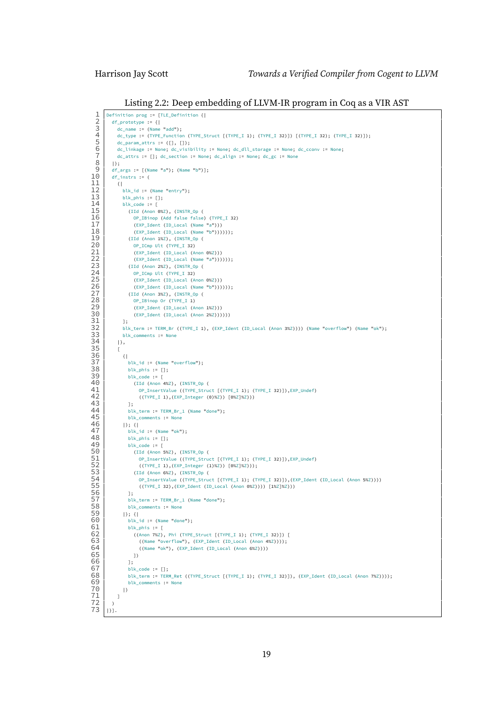Listing 2.2: Deep embedding of LLVM-IR program in Coq as a VIR AST

```
1 Definition prog := [TLE_Definition {|<br>
df_prototype := {|<br>
dc_name := (Name "add");<br>
dc_type := (TYPE_Function (TYPE_S<br>
dc_param attrs := ([1, [1);
               df\_prototype := \{dc_name := (Name "add");
                   4 dc_type := (TYPE_Function (TYPE_Struct [(TYPE_I 1); (TYPE_I 32)]) [(TYPE_I 32); (TYPE_I 32)]);
   \begin{array}{c} 5 \ 6 \ 6 \ \end{array} dc_param_attrs := ([], []);<br>
\begin{array}{c} 6 \ 7 \ \end{array} dc_attrs := []; dc section :
                  6 dc_linkage := None; dc_visibility := None; dc_dll_storage := None; dc_cconv := None;
   7 \mid dc_attrs := []; dc_section := None; dc_align := None; dc_gc := None<br>8 | |}:
   \begin{array}{c|c} 8 & 13 \\ 9 & 46 \end{array}9 df_args := [(Name "a"); (Name "b")];
               df instrs := (\begin{array}{c|c} 11 & \cdots \\ 12 & \cdots \end{array}\begin{array}{c|c} 12 & \text{blk_id := (Name "entry");} \\ 13 & \text{blk\_phi := []}; \end{array}\begin{array}{c|c}\n 13 & \text{blk}_\text{phys} := \text{[]};\n 14 & \text{blk}_\text{code} := \text{[]} \n \end{array}\begin{array}{c|c|c|c} 14 & \text{blk\_code} := [ \\ \hline 15 & & \text{(Id. (Area))} \end{array}15 (IId (Anon 0%Z), (INSTR_Op (<br>16 0P_IBinop (Add false false
16 OP_IBinop (Add false false) (TYPE_I 32)<br>17 (EXP Ident (ID Local (Name "a")))
17 (EXP_Ident (ID_Local (Name "a")))<br>18 (EXP_Ident (ID_Local (Name "b")))
\frac{18}{19} (EXP_Ident (ID_Local (Name "b"))))));<br>(EXP_Ident (ID_Local (Name "b"))))));
\begin{array}{c|c}\n 19 & \text{(IId (Anon 1%2), (INSTR\_Op (1%2))} \\
 \hline\n 0 \text{P} & \text{ICmp Ult (TYPE I 32)}\n \end{array}20 OP_ICmp Ult (TYPE_I 32)<br>21 (EXP Ident (ID Local (A
21 (EXP_Ident (ID_Local (Anon 0%Z)))<br>22 (EXP_Ident (ID_Local (Name "a")))<br>23 (IId (Anon 2%Z), (INSTR_Op (
                              (FXP Ident (ID Local (Name "a"))))));
23 (IId (Anon 2%Z), (INSTR_Op (<br>24 0P ICmp Ult (TYPE I 32)
24 OP_ICmp Ult (TYPE_I 32)<br>25 (EXP_Ident (ID_Local (A
25 (EXP_Ident (ID_Local (Anon 0%Z)))<br>
26 (EXP_Ident (ID_Local (Name "b")))<br>
27 (IId (Anon 3%Z), (INSTR_Op (<br>
0P_IBinop Or (TYPE_I 1)
                              26 (EXP_Ident (ID_Local (Name "b"))))));
                          27 (IId (Anon 3%Z), (INSTR_Op (
28 OP_IBinop Or (TYPE_I 1)<br>29 (EXP Ident (ID Local (A)
\begin{bmatrix} 29 \\ 30 \end{bmatrix} (EXP_Ident (ID_Local (Anon 1%Z)))<br>(EXP_Ident (ID_Local (Anon 2%Z)))
                               30 (EXP_Ident (ID_Local (Anon 2%Z))))))
\frac{31}{32}32 blk_term := TERM_Br ((TYPE_I 1), (EXP_Ident (ID_Local (Anon 3%Z)))) (Name "overflow") (Name "ok");
\begin{array}{c|c}\n 33 & \text{blk\_comments} := \text{None} \\
 34 & \text{I},\n \end{array}|,
\begin{array}{c|c} 35 & \begin{array}{c} 1 \end{array} \\ 0 & 1 \end{array}\begin{array}{c|c}\n 36 & \text{if} \\
 37 & \text{if}\n \end{array}\begin{array}{c|c} 37 & \text{blk_id := (Name "overflow");} \\ 38 & \text{blk\_phi := []}; \end{array}\begin{array}{c|c|c|c|c} 38 & \text{blk}_\text{phys} & \text{:} & \texttt{[]}; \\ 39 & \text{blk}_\text{code} & \text{:} & \texttt{[]} \end{array}\begin{array}{c|c} 39 & \multicolumn{1}{c}{}{\text{blk\_code}} := \left[ \right. \ \end{array}40 (IId (Anon 4%Z), (INSTR_Op (<br>41 OP_InsertValue ((TYPE_Struc
41 OP_InsertValue ((TYPE_Struct [(TYPE_I 1); (TYPE_I 32)]), EXP_Undef)<br>((TYPE_I 1), (EXP_Integer (0)%Z)) [0%Z]%Z)))
                                  42 ((TYPE_I 1),(EXP_Integer (0)%Z)) [0%Z]%Z)))
\begin{array}{c|c}\n 43 & 13 \\
 44 & 15\n \end{array}44 blk_term := TERM_Br_1 (Name "done");<br>45 blk comments := None
\begin{array}{c|c}\n 45 & \text{blk\_comments} := \text{None} \\
 46 & \text{I}; \text{I}\n \end{array}\begin{array}{c|c|c|c|c|c} 46 & & & & \text{if } & \text{if } & \text{if } & \text{if } & \text{if } & \text{if } & \text{if } & \text{if } & \text{if } & \text{if } & \text{if } & \text{if } & \text{if } & \text{if } & \text{if } & \text{if } & \text{if } & \text{if } & \text{if } & \text{if } & \text{if } & \text{if } & \text{if } & \text{if } & \text{if } & \text{if } & \text{if } & \text{if } & \text{if } & \text{if } & \text{if } & \text{if } & \text{if\begin{array}{c|c} 47 & \text{blk_id := (Name "ok");} \\ 48 & \text{blk phi}: \end{array}48 blk_phis := [];<br>49 blk_code := [
\begin{array}{c|c} 49 & \multicolumn{1}{c}{\text{blk\_code}} := 0 \\ \hline 50 & & & \text{(IId (Anon.)} \end{array}50 (IId (Anon 5%Z), (INSTR_Op (51)
51 OP_InsertValue ((TYPE_Struct [(TYPE_I 1); (TYPE_I 32)]), EXP_Undef)<br>52 ((TYPE I 1), (EXP Integer (1)%Z)) [0%Z]%Z)));
52 ((TYPE_I 1),(EXP_Integer (1)%Z)) [0%Z]%Z)));<br>53 (IId (Anon 6%Z), (INSTR_Op (
53 (IId (Anon 6%Z), (INSTR_Op (<br>54 0P_InsertValue ((TYPE_Struc
                                   54 OP_InsertValue ((TYPE_Struct [(TYPE_I 1); (TYPE_I 32)]),(EXP_Ident (ID_Local (Anon 5%Z))))
                           ((TYPE_I 32), (EXP_Ildent (ID\_Local (Anon 0%Z)))) [1%Z]%Z))]:
55<br>56<br>57
57 blk_term := TERM_Br_1 (Name "done");<br>58 blk comments := None
\begin{array}{c|c}\n 58 & \text{blk\_comments} := \text{None} \\
 \hline\n 59 & \text{I} : \text{II}\n \end{array}\begin{array}{c|c|c|c|c|c} 59 & & & & \text{B}; & \text{C} \\ \hline 60 & & & & & \text{D} & \end{array}\begin{array}{c|c}\n60 & \text{blk_id} := (\texttt{Name "done"});\n61 & \text{blk bits} := \lceil \end{array}61 blk_phis := [<br>62 ((Anon 7%Z)
62 ((Anon 7%Z), Phi (TYPE_Struct [(TYPE_I 1); (TYPE_I 32)]) [<br>63 ((Name "overflow"), (EXP Ident (ID Local (Anon 4%Z))));
63 ((Name "overflow"), (EXP_Ident (ID_Local (Anon 4%Z))));<br>64 ((Name "ok"), (EXP Ident (ID Local (Anon 6%Z))))
                              ((Name "ok"), (EXP_Ident (ID_Local (Anon 6%Z))))<br>])
65
\begin{array}{c|c}\n 66 & 15 \\
 67 & 616\n \end{array}67 blk_code := [];<br>68 blk term := TER
68 blk_term := TERM_Ret ((TYPE_Struct [(TYPE_I 1); (TYPE_I 32)]), (EXP_Ident (ID_Local (Anon 7%Z))));<br>69 blk_comments := None
                       blk\_comments := Non<br>|}
70 |}
 71 ]
 72 )
           |3].
```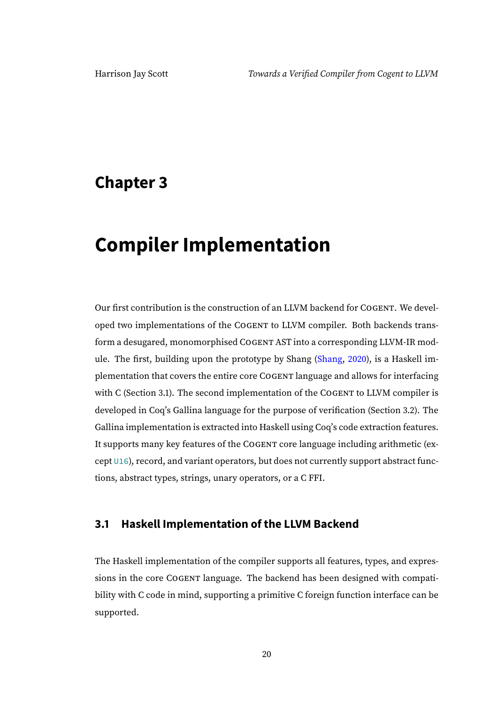### <span id="page-25-0"></span>**Chapter 3**

# **Compiler Implementation**

Our first contribution is the construction of an LLVM backend for COGENT. We developed two implementations of the COGENT to LLVM compiler. Both backends transform a desugared, monomorphised COGENT AST into a corresponding LLVM-IR module. The first, building upon the prototype by Shang [\(Shang,](#page-111-8) [2020\)](#page-111-8), is a Haskell implementation that covers the entire core COGENT language and allows for interfacing with C (Section [3.1\)](#page-25-1). The second implementation of the COGENT to LLVM compiler is developed in Coq's Gallina language for the purpose of verification (Section [3.2\)](#page-58-0). The Gallina implementation is extracted into Haskell using Coq's code extraction features. It supports many key features of the COGENT core language including arithmetic (except U16), record, and variant operators, but does not currently support abstract functions, abstract types, strings, unary operators, or a C FFI.

#### <span id="page-25-1"></span>**3.1 Haskell Implementation of the LLVM Backend**

The Haskell implementation of the compiler supports all features, types, and expressions in the core COGENT language. The backend has been designed with compatibility with C code in mind, supporting a primitive C foreign function interface can be supported.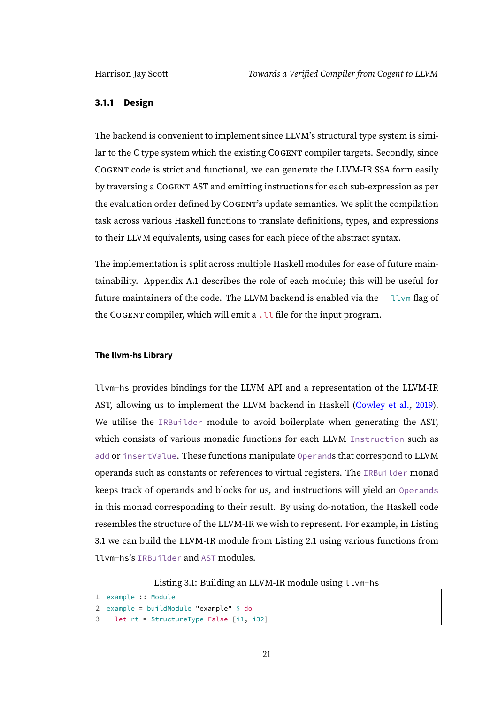#### <span id="page-26-0"></span>**3.1.1 Design**

The backend is convenient to implement since LLVM's structural type system is similar to the C type system which the existing COGENT compiler targets. Secondly, since COGENT code is strict and functional, we can generate the LLVM-IR SSA form easily by traversing a COGENT AST and emitting instructions for each sub-expression as per the evaluation order defined by COGENT's update semantics. We split the compilation task across various Haskell functions to translate definitions, types, and expressions to their LLVM equivalents, using cases for each piece of the abstract syntax.

The implementation is split across multiple Haskell modules for ease of future maintainability. Appendix [A.1](#page-112-1) describes the role of each module; this will be useful for future maintainers of the code. The LLVM backend is enabled via the  $-\text{lvm}$  flag of the COGENT compiler, which will emit a . LL file for the input program.

#### **The llvm-hs Library**

llvm-hs provides bindings for the LLVM API and a representation of the LLVM-IR AST, allowing us to implement the LLVM backend in Haskell [\(Cowley et al.,](#page-109-5) [2019\)](#page-109-5). We utilise the IRBuilder module to avoid boilerplate when generating the AST, which consists of various monadic functions for each LLVM Instruction such as add or insertValue. These functions manipulate Operands that correspond to LLVM operands such as constants or references to virtual registers. The IRBuilder monad keeps track of operands and blocks for us, and instructions will yield an Operands in this monad corresponding to their result. By using do-notation, the Haskell code resembles the structure of the LLVM-IR we wish to represent. For example, in Listing [3.1](#page-26-1) we can build the LLVM-IR module from Listing [2.1](#page-19-1) using various functions from llvm-hs's IRBuilder and AST modules.

Listing 3.1: Building an LLVM-IR module using llvm-hs

```
1 example :: Module
```

```
2 example = buildModule "example" \oint do
```

```
let rt = StructureType False [i1, i32]
```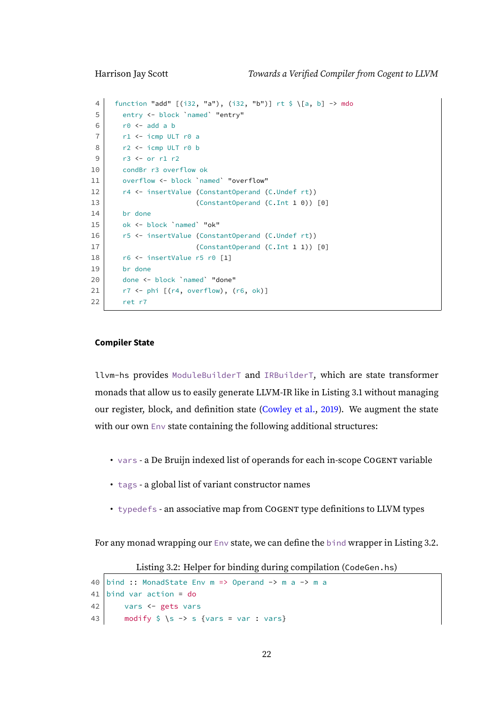```
4 | function "add" [(i32, "a"), (i32, "b")] rt $ \[a, b] -> mdo
5 entry <- block `named` "entry"
6 \mid r0 \leq add a b
7 r1 <- icmp ULT r0 a
8 r2 <- icmp ULT r0 b
9 r3 <- or r1 r2
10 condBr r3 overflow ok
11 overflow <- block `named` "overflow"
12 r4 <- insertValue (ConstantOperand (C.Undef rt))
13 (ConstantOperand (C.Int 1 0)) [0]
14 br done
15 ok <- block `named` "ok"
16 r5 <- insertValue (ConstantOperand (C.Undef rt))
17 (ConstantOperand (C.Int 1 1)) [0]
18 r6 <- insertValue r5 r0 [1]
19 br done
20 done <- block 'named' "done"
21 \vert r7 <- phi [(r4, overflow), (r6, ok)]22 ret r7
```
#### **Compiler State**

llvm-hs provides ModuleBuilderT and IRBuilderT, which are state transformer monads that allow us to easily generate LLVM-IR like in Listing [3.1](#page-26-1) without managing our register, block, and definition state [\(Cowley et al.,](#page-109-5) [2019\)](#page-109-5). We augment the state with our own Env state containing the following additional structures:

- vars a De Bruijn indexed list of operands for each in-scope COGENT variable
- tags a global list of variant constructor names
- typedefs an associative map from COGENT type definitions to LLVM types

<span id="page-27-0"></span>For any monad wrapping our Env state, we can define the bind wrapper in Listing [3.2.](#page-27-0)

Listing 3.2: Helper for binding during compilation (CodeGen.hs)

```
40 bind :: MonadState Env m => Operand -> m a -> m a
41 bind var action = do42 vars <- gets vars
43 modify \frac{1}{5} \s -> s {vars = var : vars}
```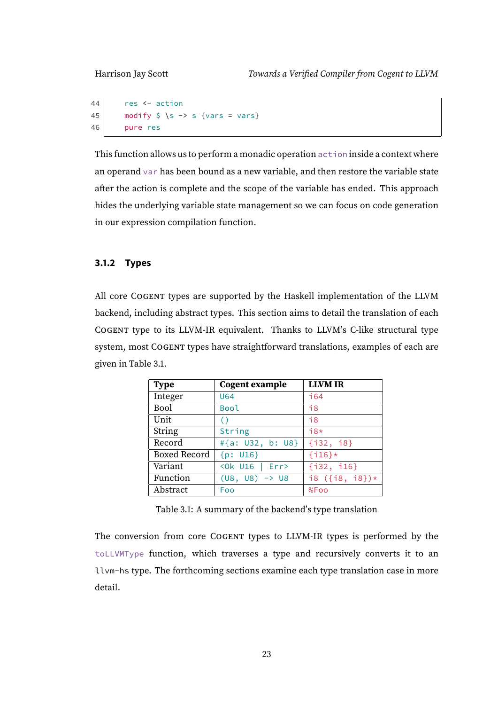```
44 res <- action
45 modify \frac{1}{5} \s -> s {vars = vars}
46 pure res
```
This function allows us to perform a monadic operation action inside a context where an operand var has been bound as a new variable, and then restore the variable state after the action is complete and the scope of the variable has ended. This approach hides the underlying variable state management so we can focus on code generation in our expression compilation function.

#### <span id="page-28-0"></span>**3.1.2 Types**

All core COGENT types are supported by the Haskell implementation of the LLVM backend, including abstract types. This section aims to detail the translation of each COGENT type to its LLVM-IR equivalent. Thanks to LLVM's C-like structural type system, most COGENT types have straightforward translations, examples of each are given in Table [3.1.](#page-28-1)

<span id="page-28-1"></span>

| <b>Type</b>  | <b>Cogent example</b>     | <b>LLVM IR</b>    |
|--------------|---------------------------|-------------------|
| Integer      | <b>U64</b>                | 164               |
| Bool         | Bool                      | 18                |
| Unit         | $\left( \right)$          | $\overline{18}$   |
| String       | String                    | $i8*$             |
| Record       | #{a: U32, b: U8}          | $\{132, 18\}$     |
| Boxed Record | ${p: U16}$                | $\{116\}$ *       |
| Variant      |                           | $\{132, 116\}$    |
| Function     | $(US, US) \rightarrow US$ | i8 $({i8, i8})$ * |
| Abstract     | Foo                       | %Foo              |

Table 3.1: A summary of the backend's type translation

The conversion from core COGENT types to LLVM-IR types is performed by the toLLVMType function, which traverses a type and recursively converts it to an llvm-hs type. The forthcoming sections examine each type translation case in more detail.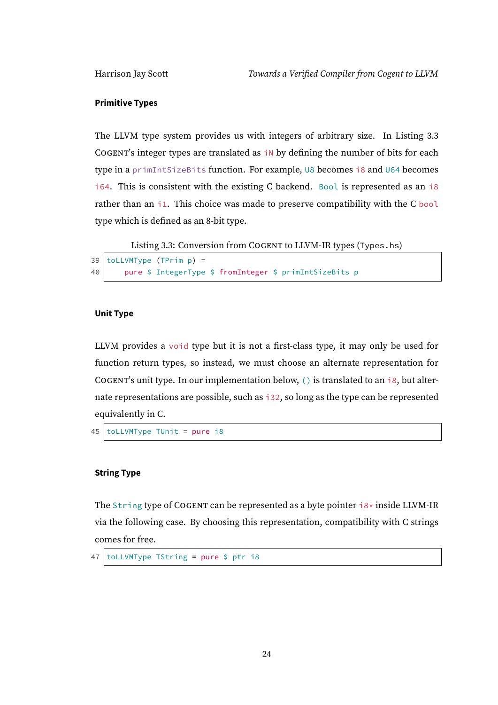#### **Primitive Types**

The LLVM type system provides us with integers of arbitrary size. In Listing [3.3](#page-29-0) COGENT's integer types are translated as  $\frac{1}{10}$  by defining the number of bits for each type in a primIntSizeBits function. For example, U8 becomes i8 and U64 becomes i64. This is consistent with the existing C backend. Bool is represented as an i8 rather than an i1. This choice was made to preserve compatibility with the C bool type which is defined as an 8-bit type.

Listing 3.3: Conversion from COGENT to LLVM-IR types (Types.hs)

```
39 toLLVMType (TPrim p) =
40 pure $ IntegerType $ fromInteger $ primIntSizeBits p
```
#### **Unit Type**

LLVM provides a void type but it is not a first-class type, it may only be used for function return types, so instead, we must choose an alternate representation for COGENT's unit type. In our implementation below, () is translated to an  $\overline{18}$ , but alternate representations are possible, such as i32, so long as the type can be represented equivalently in C.

45 | toLLVMType TUnit = pure i8

#### **String Type**

The String type of COGENT can be represented as a byte pointer i8\* inside LLVM-IR via the following case. By choosing this representation, compatibility with C strings comes for free.

 $47$  toLLVMType TString = pure \$ ptr i8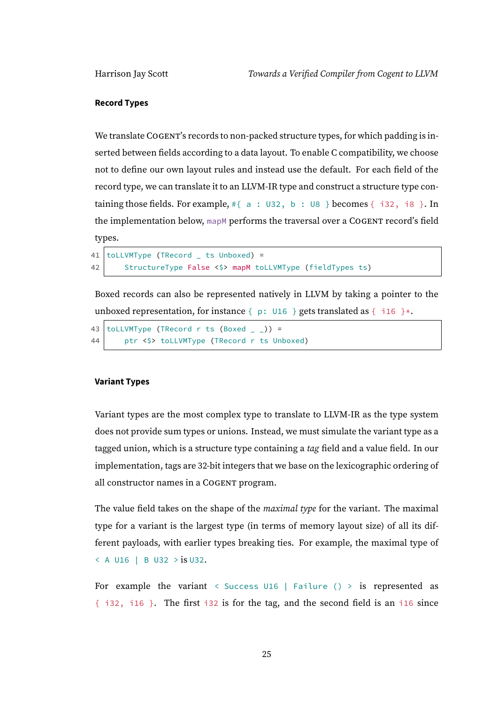#### **Record Types**

We translate COGENT's records to non-packed structure types, for which padding is inserted between fields according to a data layout. To enable C compatibility, we choose not to define our own layout rules and instead use the default. For each field of the record type, we can translate it to an LLVM-IR type and construct a structure type containing those fields. For example,  $#{ a : 032, b : 08 }$  becomes  ${ i32, i8 }$ . In the implementation below, mapM performs the traversal over a COGENT record's field types.

```
41 | toLLVMType (TRecord \quad ts Unboxed) =
42 StructureType False <$> mapM toLLVMType (fieldTypes ts)
```
Boxed records can also be represented natively in LLVM by taking a pointer to the unboxed representation, for instance  $\{p: \cup 16\}$  gets translated as  $\{i16\}$ \*.

```
43 toLLVMType (TRecord r ts (Boxed )) =
44 ptr <$> toLLVMType (TRecord r ts Unboxed)
```
#### **Variant Types**

Variant types are the most complex type to translate to LLVM-IR as the type system does not provide sum types or unions. Instead, we must simulate the variant type as a tagged union, which is a structure type containing a tag field and a value field. In our implementation, tags are 32-bit integers that we base on the lexicographic ordering of all constructor names in a COGENT program.

The value field takes on the shape of the *maximal type* for the variant. The maximal type for a variant is the largest type (in terms of memory layout size) of all its different payloads, with earlier types breaking ties. For example, the maximal type of < A U16 | B U32 > is U32.

For example the variant  $\langle$  Success U16 | Failure ()  $>$  is represented as { i32, i16 }. The first i32 is for the tag, and the second field is an i16 since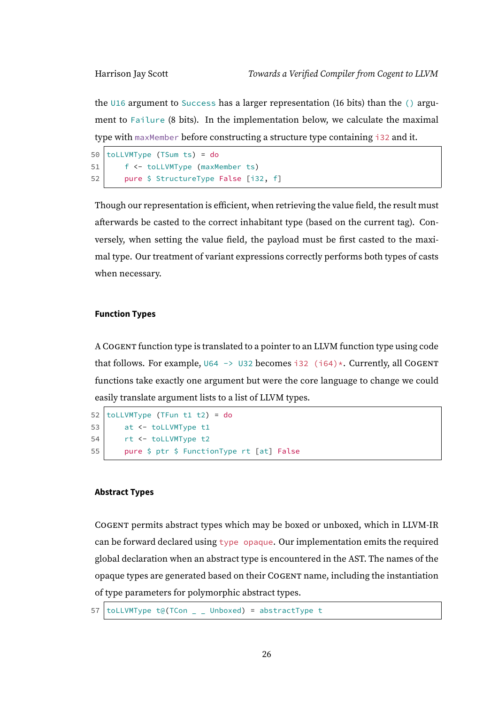the U16 argument to Success has a larger representation (16 bits) than the () argument to Failure (8 bits). In the implementation below, we calculate the maximal type with maxMember before constructing a structure type containing i32 and it.

```
50 toLLVMType (TSum ts) = do
51 | f <- toLLVMType (maxMember ts)
52 pure $ StructureType False [i32, f]
```
Though our representation is efficient, when retrieving the value field, the result must afterwards be casted to the correct inhabitant type (based on the current tag). Conversely, when setting the value field, the payload must be first casted to the maximal type. Our treatment of variant expressions correctly performs both types of casts when necessary.

#### **Function Types**

A COGENT function type is translated to a pointer to an LLVM function type using code that follows. For example,  $U64 \rightarrow U32$  becomes i32 (i64)\*. Currently, all COGENT functions take exactly one argument but were the core language to change we could easily translate argument lists to a list of LLVM types.

```
52 toLLVMType (TFun t1 t2) = do
53 at <- toLLVMType t1
54 rt <- toLLVMType t2
55 | pure $ ptr $ FunctionType rt [at] False
```
#### **Abstract Types**

COGENT permits abstract types which may be boxed or unboxed, which in LLVM-IR can be forward declared using type opaque. Our implementation emits the required global declaration when an abstract type is encountered in the AST. The names of the opaque types are generated based on their COGENT name, including the instantiation of type parameters for polymorphic abstract types.

57 toLLVMType t@(TCon  $\angle$   $\angle$  Unboxed) = abstractType t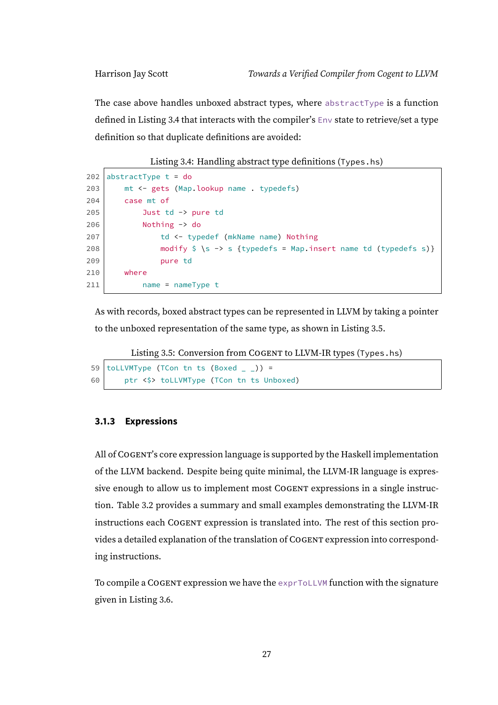The case above handles unboxed abstract types, where abstractType is a function defined in Listing [3.4](#page-32-1) that interacts with the compiler's Env state to retrieve/set a type definition so that duplicate definitions are avoided:

Listing 3.4: Handling abstract type definitions (Types.hs)

```
202 abstractType t = do203 mt <- gets (Map.lookup name . typedefs)
204 case mt of
205 Just td -> pure td
206 Nothing -> do
207 td <- typedef (mkName name) Nothing
208 modify \frac{1}{5} \rightarrow s {typedefs = Map.insert name td (typedefs s)}
209 pure td
210 where
211 | name = nameType t
```
As with records, boxed abstract types can be represented in LLVM by taking a pointer to the unboxed representation of the same type, as shown in Listing [3.5.](#page-32-2)

Listing 3.5: Conversion from COGENT to LLVM-IR types (Types.hs)

```
59 | toLLVMType (TCon tn ts (Boxed _ _ )) =
60 ptr <$> toLLVMType (TCon tn ts Unboxed)
```
#### <span id="page-32-0"></span>**3.1.3 Expressions**

All of COGENT's core expression language is supported by the Haskell implementation of the LLVM backend. Despite being quite minimal, the LLVM-IR language is expressive enough to allow us to implement most COGENT expressions in a single instruction. Table [3.2](#page-33-0) provides a summary and small examples demonstrating the LLVM-IR instructions each COGENT expression is translated into. The rest of this section provides a detailed explanation of the translation of COGENT expression into corresponding instructions.

<span id="page-32-3"></span>To compile a COGENT expression we have the exprToLLVM function with the signature given in Listing [3.6.](#page-32-3)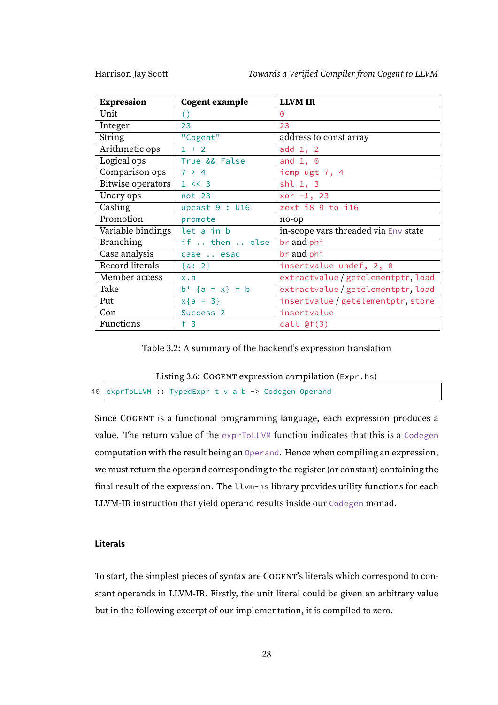Harrison Jay Scott Towards a Verified Compiler from Cogent to LLVM

| <b>Expression</b> | <b>Cogent example</b> | <b>LLVM IR</b>                       |
|-------------------|-----------------------|--------------------------------------|
| Unit              | $\left( \right)$      | $\Theta$                             |
| Integer           | 23                    | 23                                   |
| String            | "Cogent"              | address to const array               |
| Arithmetic ops    | $1 + 2$               | add 1, 2                             |
| Logical ops       | True && False         | and $1, 0$                           |
| Comparison ops    | 7 > 4                 | icmp ugt 7, 4                        |
| Bitwise operators | 1 < 3                 | $shl$ 1, 3                           |
| Unary ops         | not 23                | xor $-1$ , 23                        |
| Casting           | upcast $9:U16$        | zext i8 9 to i16                     |
| Promotion         | promote               | no-op                                |
| Variable bindings | let a in b            | in-scope vars threaded via Env state |
| Branching         | if  then  else        | br and phi                           |
| Case analysis     | case  esac            | br and phi                           |
| Record literals   | $\{a: 2\}$            | insertvalue undef, 2, 0              |
| Member access     | x.a                   | extractvalue/getelementptr, load     |
| Take              | $b'$ {a = x} = b      | extractvalue/getelementptr, load     |
| Put               | $x{a = 3}$            | insertvalue/getelementptr, store     |
| Con               | Success <sub>2</sub>  | insertvalue                          |
| Functions         | f <sub>3</sub>        | $call$ $(f(3))$                      |

Table 3.2: A summary of the backend's expression translation

<span id="page-33-0"></span>Listing 3.6: COGENT expression compilation (Expr.hs)

```
40 exprToLLVM :: TypedExpr t v a b -> Codegen Operand
```
Since COGENT is a functional programming language, each expression produces a value. The return value of the exprToLLVM function indicates that this is a Codegen computation with the result being an Operand. Hence when compiling an expression, we must return the operand corresponding to the register (or constant) containing the final result of the expression. The llvm-hs library provides utility functions for each LLVM-IR instruction that yield operand results inside our Codegen monad.

#### **Literals**

To start, the simplest pieces of syntax are COGENT's literals which correspond to constant operands in LLVM-IR. Firstly, the unit literal could be given an arbitrary value but in the following excerpt of our implementation, it is compiled to zero.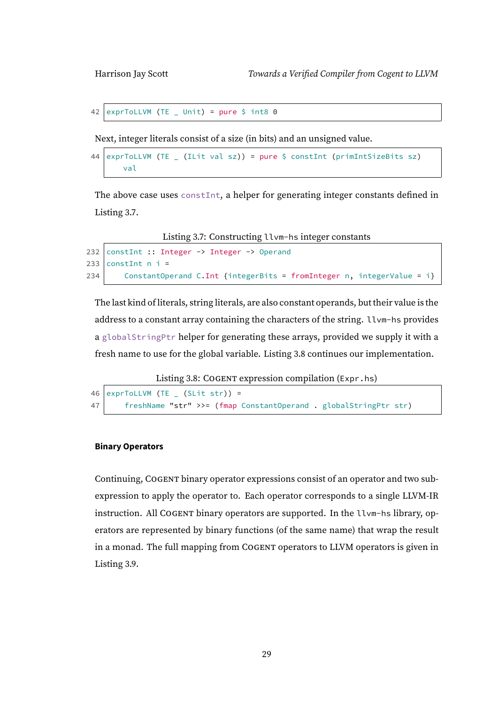```
42 exprToLLVM (TE \mu Unit) = pure $ int8 0
```
Next, integer literals consist of a size (in bits) and an unsigned value.

```
44 exprToLLVM (TE (It is a set of the image) = pure $ constant (primIntSizeBits $z$)val
```
The above case uses constInt, a helper for generating integer constants defined in Listing [3.7.](#page-34-0)

```
Listing 3.7: Constructing llvm-hs integer constants
```

```
232 constInt :: Integer -> Integer -> Operand
233 constitut n i =
234 ConstantOperand C.Int {integerBits = fromInteger n, integerValue = i}
```
The last kind of literals, string literals, are also constant operands, but their value is the address to a constant array containing the characters of the string. llvm-hs provides a globalStringPtr helper for generating these arrays, provided we supply it with a fresh name to use for the global variable. Listing [3.8](#page-34-1) continues our implementation.

Listing 3.8: COGENT expression compilation (Expr.hs)

```
46 exprToLLVM (TE (Shift str)) =
47 freshName "str" >>= (fmap ConstantOperand . globalStringPtr str)
```
#### **Binary Operators**

Continuing, COGENT binary operator expressions consist of an operator and two subexpression to apply the operator to. Each operator corresponds to a single LLVM-IR instruction. All COGENT binary operators are supported. In the llvm-hs library, operators are represented by binary functions (of the same name) that wrap the result in a monad. The full mapping from COGENT operators to LLVM operators is given in Listing [3.9.](#page-35-0)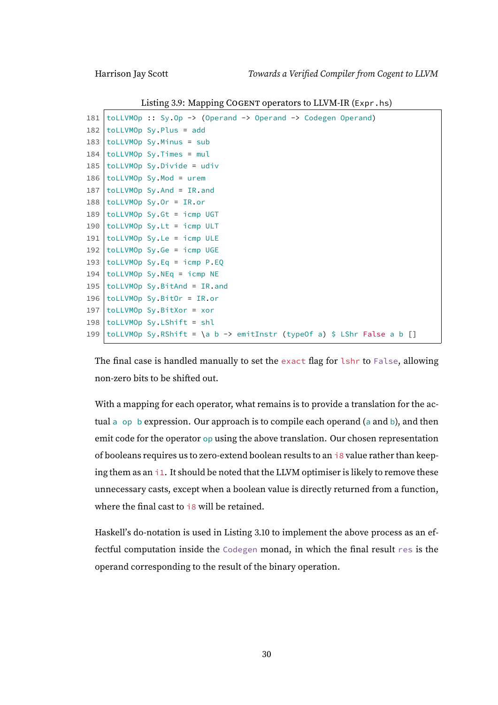<span id="page-35-0"></span>

|     | $\sigma$ and the $\sigma$ and $\sigma$ is the set of $\sigma$ is the set of $\sigma$ |
|-----|--------------------------------------------------------------------------------------|
| 181 | toLLVMOp :: Sy.Op -> (Operand -> Operand -> Codegen Operand)                         |
| 182 | $tolLVMOp Sy.Plus = add$                                                             |
| 183 | $tolLVMOp Sy.Minus = sub$                                                            |
| 184 | $tolLVMOp Sy.Times = mul$                                                            |
| 185 | $totLVMOp Sy.Divide = udiv$                                                          |
| 186 | toLLVMOp Sy.Mod = urem                                                               |
| 187 | $\text{tolLVMOp}$ Sy. And = IR. and                                                  |
|     | $188$   toLLVMOp Sy.Or = IR.or                                                       |
| 189 | toLLVMOp Sy.Gt = icmp UGT                                                            |
| 190 | toLLVMOp Sy.Lt = icmp ULT                                                            |
| 191 | $ $ to LLVMOp Sy. Le = icmp ULE                                                      |
| 192 | toLLVMOp Sy.Ge = icmp UGE                                                            |
| 193 | $tolLVMOp Sy.Eq = icmp P.EQ$                                                         |
| 194 | $tolLVMOp Sy.NEq = icmp NE$                                                          |
| 195 | $tolLVMOp Sy.BitAnd = IR.$ and                                                       |
| 196 | $tolLVMOp Sy.BitOr = IR.or$                                                          |
| 197 | $tolLVMOp Sy.BitXor = xor$                                                           |
| 198 | toLLVMOp Sy.LShift = shl                                                             |
|     | 199 toLLVMOp Sy.RShift = \a b -> emitInstr (typeOf a) \$ LShr False a b []           |
|     |                                                                                      |

Listing 3.9: Mapping COGENT operators to LLVM-IR (Expr.hs)

The final case is handled manually to set the exact flag for lshr to False, allowing non-zero bits to be shifted out.

With a mapping for each operator, what remains is to provide a translation for the actual a op b expression. Our approach is to compile each operand (a and b), and then emit code for the operator op using the above translation. Our chosen representation of booleans requires us to zero-extend boolean results to an i8 value rather than keeping them as an i1. It should be noted that the LLVM optimiser is likely to remove these unnecessary casts, except when a boolean value is directly returned from a function, where the final cast to *i8* will be retained.

Haskell's do-notation is used in Listing [3.10](#page-36-0) to implement the above process as an effectful computation inside the Codegen monad, in which the final result res is the operand corresponding to the result of the binary operation.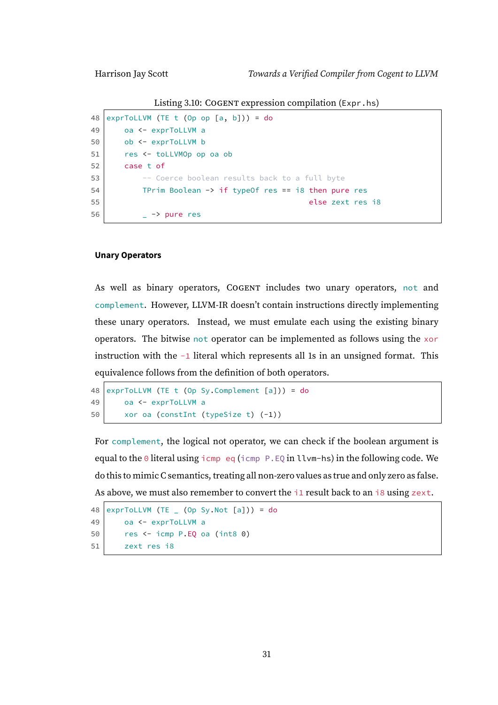Listing 3.10: COGENT expression compilation (Expr.hs)

```
48 exprToLLVM (TE t (Op op [a, b]) = do
49 oa <- exprToLLVM a
50 ob <- exprToLLVM b
51 res <- toLLVMOp op oa ob
52 case t of
53 -- Coerce boolean results back to a full byte
54 TPrim Boolean -> if typeOf res == i8 then pure res
55 else zext res i8
56 \vert -> pure res
```
#### **Unary Operators**

As well as binary operators, COGENT includes two unary operators, not and complement. However, LLVM-IR doesn't contain instructions directly implementing these unary operators. Instead, we must emulate each using the existing binary operators. The bitwise not operator can be implemented as follows using the xor instruction with the -1 literal which represents all 1s in an unsigned format. This equivalence follows from the definition of both operators.

```
48 exprToLLVM (TE t (Op Sy.Complement [a])) = do
49 oa <- exprToLLVM a
50 xor oa (constInt (typeSize t) (-1))
```
For complement, the logical not operator, we can check if the boolean argument is equal to the  $\theta$  literal using icmp eq (icmp P.EQ in llvm-hs) in the following code. We do this to mimic C semantics, treating all non-zero values as true and only zero as false. As above, we must also remember to convert the  $i_1$  result back to an  $i_8$  using zext.

```
48 \text{ exprTolLVM} (TE (Op Sv.Not [a])) = do
49 oa <- exprToLLVM a
50 res <- icmp P.EQ oa (int8 0)
51 zext res i8
```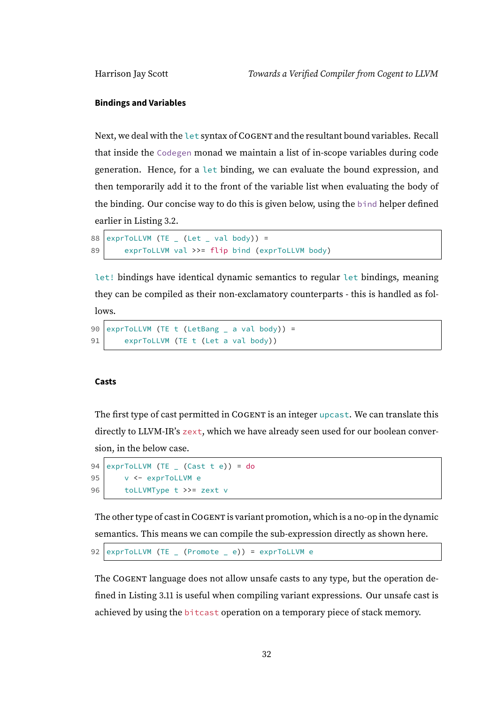#### **Bindings and Variables**

Next, we deal with the let syntax of COGENT and the resultant bound variables. Recall that inside the Codegen monad we maintain a list of in-scope variables during code generation. Hence, for a let binding, we can evaluate the bound expression, and then temporarily add it to the front of the variable list when evaluating the body of the binding. Our concise way to do this is given below, using the bind helper defined earlier in Listing [3.2.](#page-27-0)

```
88 exprTolLVM (TE _ (Let _ val body)) =
89 exprToLLVM val >>= flip bind (exprToLLVM body)
```
let! bindings have identical dynamic semantics to regular let bindings, meaning they can be compiled as their non-exclamatory counterparts - this is handled as follows.

```
90 \text{exprTolLVM} (TE t (LetBang _ a val body)) =
91 exprToLLVM (TE t (Let a val body))
```
#### **Casts**

The first type of cast permitted in COGENT is an integer upcast. We can translate this directly to LLVM-IR's zext, which we have already seen used for our boolean conversion, in the below case.

```
94 exprToLLVM (TE ( Cast t e)) = do
95 | v <- exprToLLVM e
96 toLLVMType t >>= zext v
```
The other type of cast in COGENT is variant promotion, which is a no-op in the dynamic semantics. This means we can compile the sub-expression directly as shown here.

```
92 \text{exprTolLVM} (TE \text{c} (Promote \text{c} e)) = exprToLLVM e
```
The COGENT language does not allow unsafe casts to any type, but the operation defined in Listing [3.11](#page-38-0) is useful when compiling variant expressions. Our unsafe cast is achieved by using the bitcast operation on a temporary piece of stack memory.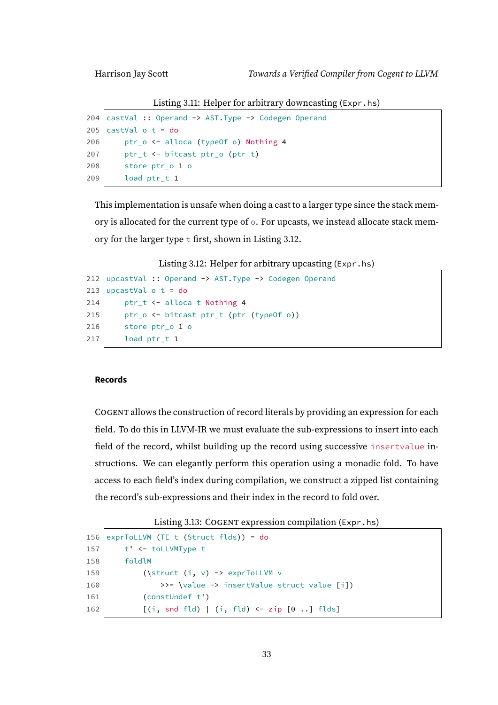Listing 3.11: Helper for arbitrary downcasting (Expr.hs)

```
204 castVal :: Operand -> AST.Type -> Codegen Operand
205 castVal o t = do
206 ptr_o <- alloca (typeOf o) Nothing 4
207 ptr_t <- bitcast ptr_o (ptr t)
208 store ptr_o 1 o
209 load ptr_t 1
```
This implementation is unsafe when doing a cast to a larger type since the stack memory is allocated for the current type of o. For upcasts, we instead allocate stack memory for the larger type t first, shown in Listing [3.12.](#page-38-1)

Listing 3.12: Helper for arbitrary upcasting (Expr.hs)

```
212 upcastVal :: Operand \rightarrow AST. Type \rightarrow Codegen Operand
213 upcastVal \circ t = do
214 ptr_t <- alloca t Nothing 4
215 ptr_o <- bitcast ptr_t (ptr (typeOf o))
216 store ptr_o 1 o
217 load ptr_t 1
```
#### **Records**

COGENT allows the construction of record literals by providing an expression for each field. To do this in LLVM-IR we must evaluate the sub-expressions to insert into each field of the record, whilst building up the record using successive insertvalue instructions. We can elegantly perform this operation using a monadic fold. To have access to each field's index during compilation, we construct a zipped list containing the record's sub-expressions and their index in the record to fold over.

```
Listing 3.13: COGENT expression compilation (Expr.hs)
```

```
156 exprToLLVM (TE t (Struct flds)) = do
157 t' < - to LLVMType t
158 foldlM
159 (\struct(i, v) \rightarrow exprTolLVM v)160 \rightarrow \rightarrow \rightarrow insertValue struct value [i])
161 (constUndef t')
162 [ [ ] [ ] [ ] [ ] [ ] [ ] [ ] [ ] [ ] [ ] [ ] [ ] [ ] [ ] [ ] [ ] [ ] [ ] [ ] [ ] [ ] [ ] [ ] [ ] [ ] [ ] [
```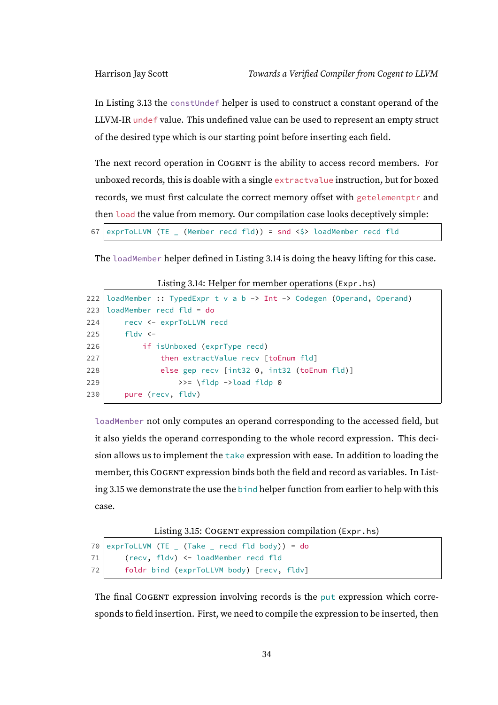In Listing [3.13](#page-38-2) the constUndef helper is used to construct a constant operand of the LLVM-IR undef value. This undefined value can be used to represent an empty struct of the desired type which is our starting point before inserting each field.

The next record operation in COGENT is the ability to access record members. For unboxed records, this is doable with a single extractvalue instruction, but for boxed records, we must first calculate the correct memory offset with getelementptr and then load the value from memory. Our compilation case looks deceptively simple:

67 exprToLLVM (TE  $\angle$  (Member recd fld)) = snd <\$> loadMember recd fld

<span id="page-39-0"></span>The loadMember helper defined in Listing [3.14](#page-39-0) is doing the heavy lifting for this case.

```
222 loadMember :: TypedExpr t v a b \rightarrow Int \rightarrow Codegen (Operand, Operand)
223 loadMember recd fld = do
224 recv <- exprToLLVM recd
225 fldy \leftarrow226 if isUnboxed (exprType recd)
227 then extractValue recv [toEnum fld]
228 else gep recv [int32 0, \text{ int32} (toEnum fld)]
229 \rightarrow \frac{1}{10} \rightarrow load fldp 0
230 pure (recv, fldv)
```
loadMember not only computes an operand corresponding to the accessed field, but it also yields the operand corresponding to the whole record expression. This decision allows us to implement the take expression with ease. In addition to loading the member, this COGENT expression binds both the field and record as variables. In Listing [3.15](#page-39-1) we demonstrate the use the bind helper function from earlier to help with this case.

Listing 3.15: COGENT expression compilation (Expr.hs)

```
70 exprToLLVM (TE \_ (Take \_ recd fld body)) = do
71 (recv, fldv) <- loadMember recd fld
72 foldr bind (exprToLLVM body) [recv, fldv]
```
The final COGENT expression involving records is the put expression which corresponds to field insertion. First, we need to compile the expression to be inserted, then

Listing 3.14: Helper for member operations (Expr.hs)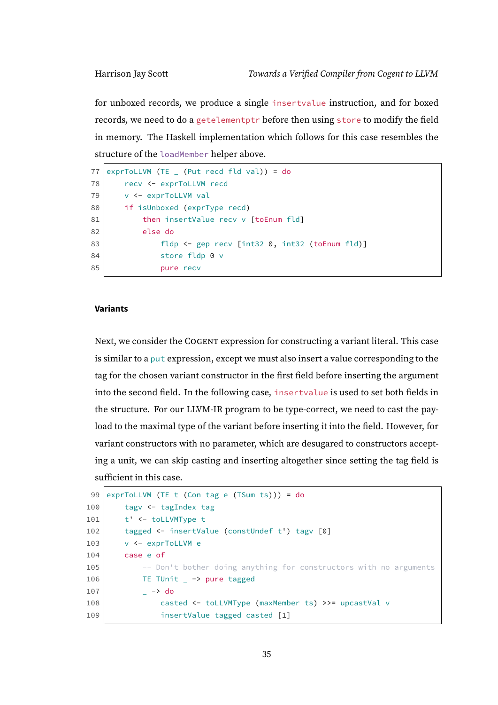for unboxed records, we produce a single insertvalue instruction, and for boxed records, we need to do a getelementptr before then using store to modify the field in memory. The Haskell implementation which follows for this case resembles the structure of the loadMember helper above.

```
77 exprToLLVM (TE (Put recd fld val)) = do
78 recv <- exprToLLVM recd
79 v <- exprToLLVM val
80 if isUnboxed (exprType recd)
81 then insertValue recv v [toEnum fld]
82 else do
83 fldp <- gep recv [int32 0, int32 (toEnum fld)]
84 store fldp 0 v
85 pure recv
```
#### **Variants**

Next, we consider the COGENT expression for constructing a variant literal. This case is similar to a put expression, except we must also insert a value corresponding to the tag for the chosen variant constructor in the first field before inserting the argument into the second field. In the following case, insertvalue is used to set both fields in the structure. For our LLVM-IR program to be type-correct, we need to cast the payload to the maximal type of the variant before inserting it into the field. However, for variant constructors with no parameter, which are desugared to constructors accepting a unit, we can skip casting and inserting altogether since setting the tag field is sufficient in this case.

```
99 exprToLLVM (TE t (Con tag e (TSum ts))) = do
100 tagv <- tagIndex tag
101 t' \le to LLVMType t
102 tagged <- insertValue (constUndef t') tagv [0]
103 v <- exprToLLVM e
104 case e of
105 -- Don't bother doing anything for constructors with no arguments
106 TE TUnit _ -> pure tagged
107 \rightarrow do
108 casted <- toLLVMType (maxMember ts) >>= upcastVal v
109 insertValue tagged casted [1]
```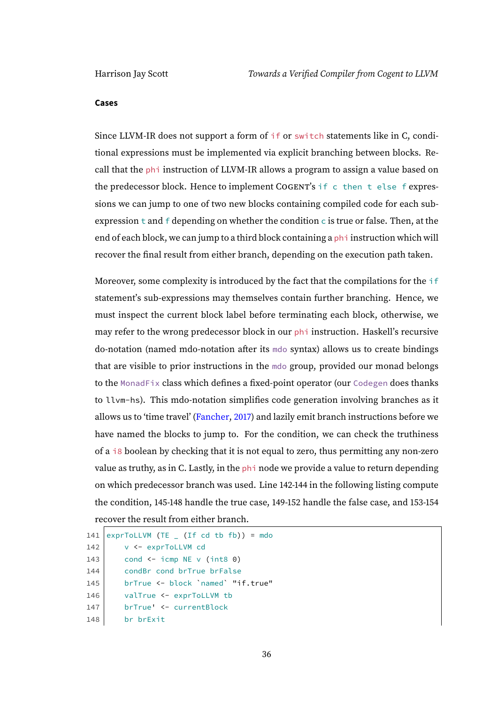#### **Cases**

Since LLVM-IR does not support a form of if or switch statements like in C, conditional expressions must be implemented via explicit branching between blocks. Recall that the phi instruction of LLVM-IR allows a program to assign a value based on the predecessor block. Hence to implement COGENT's if c then t else f expressions we can jump to one of two new blocks containing compiled code for each subexpression  $t$  and  $f$  depending on whether the condition  $c$  is true or false. Then, at the end of each block, we can jump to a third block containing a phi instruction which will recover the final result from either branch, depending on the execution path taken.

Moreover, some complexity is introduced by the fact that the compilations for the if statement's sub-expressions may themselves contain further branching. Hence, we must inspect the current block label before terminating each block, otherwise, we may refer to the wrong predecessor block in our phi instruction. Haskell's recursive do-notation (named mdo-notation after its mdo syntax) allows us to create bindings that are visible to prior instructions in the mdo group, provided our monad belongs to the MonadFix class which defines a fixed-point operator (our Codegen does thanks to llvm-hs). This mdo-notation simplifies code generation involving branches as it allows us to 'time travel' [\(Fancher,](#page-109-0) [2017\)](#page-109-0) and lazily emit branch instructions before we have named the blocks to jump to. For the condition, we can check the truthiness of a  $\frac{18}{18}$  boolean by checking that it is not equal to zero, thus permitting any non-zero value as truthy, as in C. Lastly, in the phi node we provide a value to return depending on which predecessor branch was used. Line 142-144 in the following listing compute the condition, 145-148 handle the true case, 149-152 handle the false case, and 153-154 recover the result from either branch.

```
141 exprToLLVM (TE ( If cd tb fb)) = mdo
142 v <- exprToLLVM cd
143 cond \leq icmp NE v (int8 0)
144 condBr cond brTrue brFalse
145 brTrue <- block `named` "if.true"
146 valTrue <- exprToLLVM tb
147 | brTrue' <- currentBlock
148 br brExit
```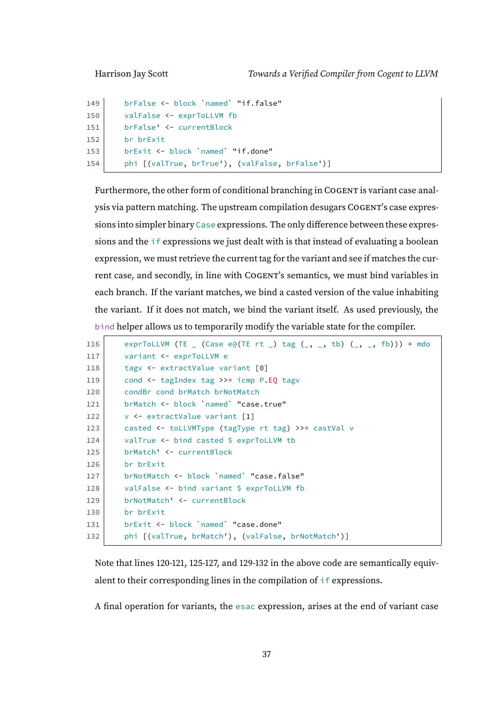```
149 brFalse <- block `named` "if.false"
150 valFalse <- exprToLLVM fb
151 brFalse' <- currentBlock
152 br brExit
153 brExit <- block `named` "if.done"
154 phi [(valTrue, brTrue'), (valFalse, brFalse')]
```
Furthermore, the other form of conditional branching in COGENT is variant case analysis via pattern matching. The upstream compilation desugars COGENT's case expressions into simpler binary Case expressions. The only difference between these expressions and the if expressions we just dealt with is that instead of evaluating a boolean expression, we must retrieve the current tag for the variant and see if matches the current case, and secondly, in line with COGENT's semantics, we must bind variables in each branch. If the variant matches, we bind a casted version of the value inhabiting the variant. If it does not match, we bind the variant itself. As used previously, the bind helper allows us to temporarily modify the variable state for the compiler.

```
116 exprToLLVM (TE (Case e@(TE rt ) tag (\_, \_, \ tb) (\_, \_, \text{fb}))) = \text{mdo}117 variant <- exprToLLVM e
118 tagv <- extractValue variant [0]
119 cond <- tagIndex tag >>= icmp P.EQ tagv
120 condBr cond brMatch brNotMatch
121 brMatch <- block 'named' "case.true"
122 v <- extractValue variant [1]
123 casted <- toLLVMType (tagType rt tag) >>= castVal v
124 valTrue <- bind casted $ exprToLLVM tb
125 brMatch' <- currentBlock
126 br brExit
127 brNotMatch <- block `named` "case.false"
128 valFalse <- bind variant $ exprToLLVM fb
129 brNotMatch' <- currentBlock
130 br brExit
131 brExit <- block `named` "case.done"
132 phi [(valTrue, brMatch'), (valFalse, brNotMatch')]
```
Note that lines 120-121, 125-127, and 129-132 in the above code are semantically equivalent to their corresponding lines in the compilation of if expressions.

A final operation for variants, the esac expression, arises at the end of variant case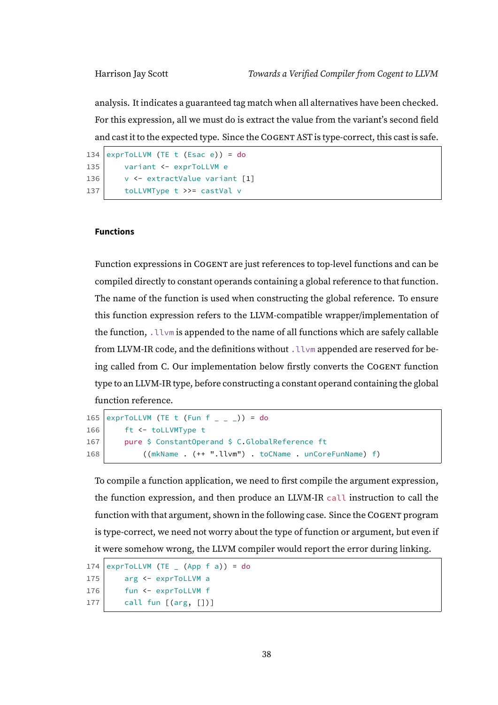analysis. It indicates a guaranteed tag match when all alternatives have been checked. For this expression, all we must do is extract the value from the variant's second field and cast it to the expected type. Since the COGENT AST is type-correct, this cast is safe.

```
134 exprToLLVM (TE t (Esac e)) = do
135 variant <- exprToLLVM e
136 v <- extractValue variant [1]
137 toLLVMType t >>= castVal v
```
#### **Functions**

Function expressions in COGENT are just references to top-level functions and can be compiled directly to constant operands containing a global reference to that function. The name of the function is used when constructing the global reference. To ensure this function expression refers to the LLVM-compatible wrapper/implementation of the function, .llvm is appended to the name of all functions which are safely callable from LLVM-IR code, and the definitions without .  $l lvm$  appended are reserved for being called from C. Our implementation below firstly converts the COGENT function type to an LLVM-IR type, before constructing a constant operand containing the global function reference.

```
165 exprToLLVM (TE t (Fun f _ _ _ _ )) = do
166 ft <- toLLVMType t
167 pure $ ConstantOperand $ C.GlobalReference ft
168 ((mkName . (++ ".llvm") . toCName . unCoreFunName) f)
```
To compile a function application, we need to first compile the argument expression, the function expression, and then produce an LLVM-IR call instruction to call the function with that argument, shown in the following case. Since the COGENT program is type-correct, we need not worry about the type of function or argument, but even if it were somehow wrong, the LLVM compiler would report the error during linking.

```
174 exprToLLVM (TE (App f a)) = do
175 arg <- exprToLLVM a
176 | fun <- exprToLLVM f
177 call fun [(arg, [])]
```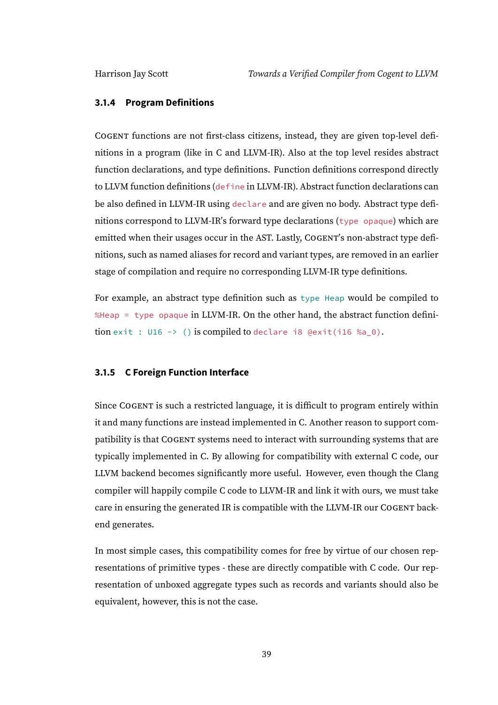#### **3.1.4 Program Definitions**

COGENT functions are not first-class citizens, instead, they are given top-level definitions in a program (like in C and LLVM-IR). Also at the top level resides abstract function declarations, and type definitions. Function definitions correspond directly to LLVM function definitions (define in LLVM-IR). Abstract function declarations can be also defined in LLVM-IR using declare and are given no body. Abstract type definitions correspond to LLVM-IR's forward type declarations (type opaque) which are emitted when their usages occur in the AST. Lastly, COGENT's non-abstract type definitions, such as named aliases for record and variant types, are removed in an earlier stage of compilation and require no corresponding LLVM-IR type definitions.

For example, an abstract type definition such as type Heap would be compiled to %Heap = type opaque in LLVM-IR. On the other hand, the abstract function definition exit : U16 -> () is compiled to declare i8 @exit(i16 %a\_0).

### **3.1.5 C Foreign Function Interface**

Since COGENT is such a restricted language, it is difficult to program entirely within it and many functions are instead implemented in C. Another reason to support compatibility is that COGENT systems need to interact with surrounding systems that are typically implemented in C. By allowing for compatibility with external C code, our LLVM backend becomes significantly more useful. However, even though the Clang compiler will happily compile C code to LLVM-IR and link it with ours, we must take care in ensuring the generated IR is compatible with the LLVM-IR our COGENT backend generates.

In most simple cases, this compatibility comes for free by virtue of our chosen representations of primitive types - these are directly compatible with C code. Our representation of unboxed aggregate types such as records and variants should also be equivalent, however, this is not the case.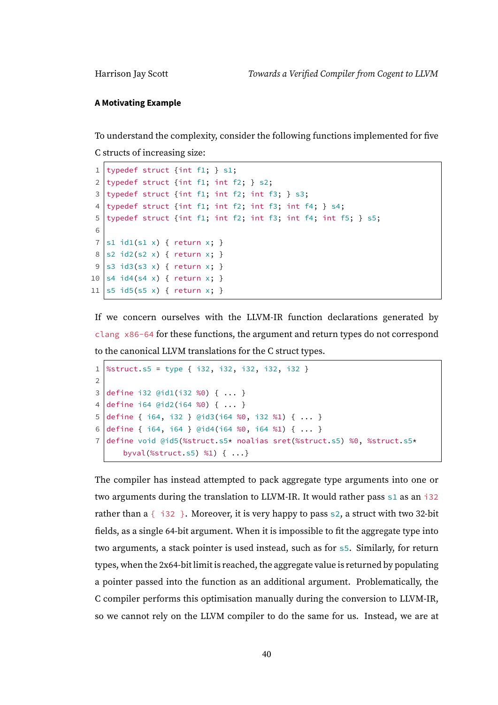#### **A Motivating Example**

To understand the complexity, consider the following functions implemented for five

C structs of increasing size:

```
1 typedef struct {int f1; } s1;
2 typedef struct {int f1; int f2; } s2;
3 typedef struct {int f1; int f2; int f3; } s3;
4 typedef struct {int f1; int f2; int f3; int f4; } s4;
5 typedef struct {int f1; int f2; int f3; int f4; int f5; } s5;
6
7 \mid s1 \text{ id}(s1 x) \text{ } return x; }
8 \mid s2 \text{ id2}(s2 \times) \{ \text{ return } x; \}9 |s3 \text{ id3}(s3 x) \{ return x; \}10 s4 id4(s4 x) { return x; }
11 |s5 \text{ id}5(s5 x) \{ return x; }
```
If we concern ourselves with the LLVM-IR function declarations generated by clang x86-64 for these functions, the argument and return types do not correspond to the canonical LLVM translations for the C struct types.

```
1 \%struct.s5 = type { i32, i32, i32, i32, i32 }
2
3 define i32 @id1(i32 %0) { ... }
4 define i64 @id2(i64 %0) { ... }
5 define { i64, i32 } @id3(i64 %0, i32 %1) { ... }
6 define { i64, i64 } @id4(i64 %0, i64 %1) { ... }
7 define void @id5(%struct.s5* noalias sret(%struct.s5) %0, %struct.s5*
      byval(%struct.s5) %1) { ...}
```
The compiler has instead attempted to pack aggregate type arguments into one or two arguments during the translation to LLVM-IR. It would rather pass s1 as an i32 rather than a  $\{-132\}$ . Moreover, it is very happy to pass s2, a struct with two 32-bit fields, as a single 64-bit argument. When it is impossible to fit the aggregate type into two arguments, a stack pointer is used instead, such as for s5. Similarly, for return types, when the 2x64-bit limit is reached, the aggregate value is returned by populating a pointer passed into the function as an additional argument. Problematically, the C compiler performs this optimisation manually during the conversion to LLVM-IR, so we cannot rely on the LLVM compiler to do the same for us. Instead, we are at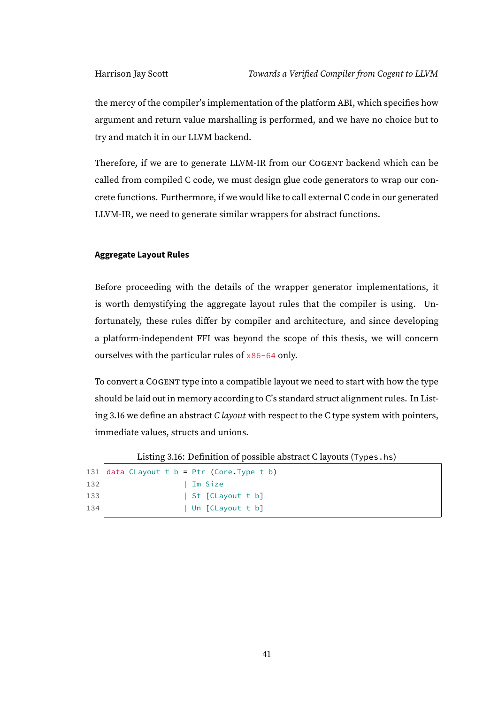the mercy of the compiler's implementation of the platform ABI, which specifies how argument and return value marshalling is performed, and we have no choice but to try and match it in our LLVM backend.

Therefore, if we are to generate LLVM-IR from our COGENT backend which can be called from compiled C code, we must design glue code generators to wrap our concrete functions. Furthermore, if we would like to call external C code in our generated LLVM-IR, we need to generate similar wrappers for abstract functions.

#### **Aggregate Layout Rules**

Before proceeding with the details of the wrapper generator implementations, it is worth demystifying the aggregate layout rules that the compiler is using. Unfortunately, these rules differ by compiler and architecture, and since developing a platform-independent FFI was beyond the scope of this thesis, we will concern ourselves with the particular rules of x86-64 only.

To convert a COGENT type into a compatible layout we need to start with how the type should be laid out in memory according to C's standard struct alignment rules. In List-ing [3.16](#page-46-0) we define an abstract *C layout* with respect to the *C* type system with pointers, immediate values, structs and unions.

Listing 3.16: Definition of possible abstract C layouts (Types.hs)

```
131 data Clayout t b = Ptr (Core. Type t b)
132 | Im Size
133 | St [CLayout t b]
134 | Un [CLayout t b]
```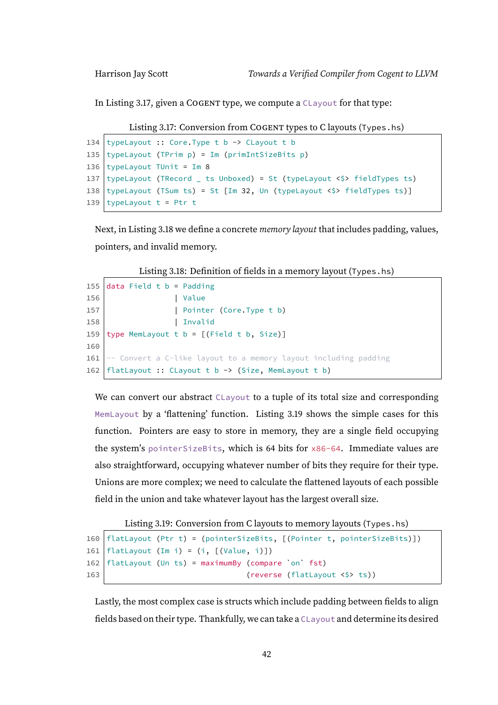<span id="page-47-0"></span>In Listing [3.17,](#page-47-0) given a COGENT type, we compute a CLayout for that type:

```
Listing 3.17: Conversion from COGENT types to C layouts (Types.hs)
```

```
134 typeLayout :: Core. Type t b -> CLayout t b
135 typeLayout (TPrim p) = Im (primIntSizeBits p)
136 typeLayout TUnit = Im 8
137 typeLayout (TRecord _ ts Unboxed) = St (typeLayout \langle \hat{y} \rangle fieldTypes ts)
138 typeLayout (TSum ts) = St [Im 32, Un (typeLayout \langle \rangle fieldTypes ts)]
139 typeLayout t = Ptr t
```
Next, in Listing [3.18](#page-47-1) we define a concrete *memory layout* that includes padding, values, pointers, and invalid memory.

Listing 3.18: Definition of fields in a memory layout (Types.hs)

```
155 data Field t b = Padding
156 | Value
157 | Pointer (Core.Type t b)
158 | Invalid
159 type MemLayout t b = [(Field t b, Size)]160
161 -- Convert a C-like layout to a memory layout including padding
162 | flatLayout :: CLayout t b -> (Size, MemLayout t b)
```
We can convert our abstract CLayout to a tuple of its total size and corresponding MemLayout by a 'flattening' function. Listing [3.19](#page-47-2) shows the simple cases for this function. Pointers are easy to store in memory, they are a single field occupying the system's pointerSizeBits, which is 64 bits for x86-64. Immediate values are also straightforward, occupying whatever number of bits they require for their type. Unions are more complex; we need to calculate the flattened layouts of each possible field in the union and take whatever layout has the largest overall size.

Listing 3.19: Conversion from C layouts to memory layouts (Types.hs)

```
160 flatLayout (Ptr t) = (pointerSizeBits, [(Pointer t, pointerSizeBits)])
161 | flatLayout (Im i) = (i, [(Value, i)])162 flatLayout (Un ts) = maximumBy (compare `on` fst)
163 (reverse (flatLayout \langle \rangle ts))
```
Lastly, the most complex case is structs which include padding between fields to align fields based on their type. Thankfully, we can take a CLayout and determine its desired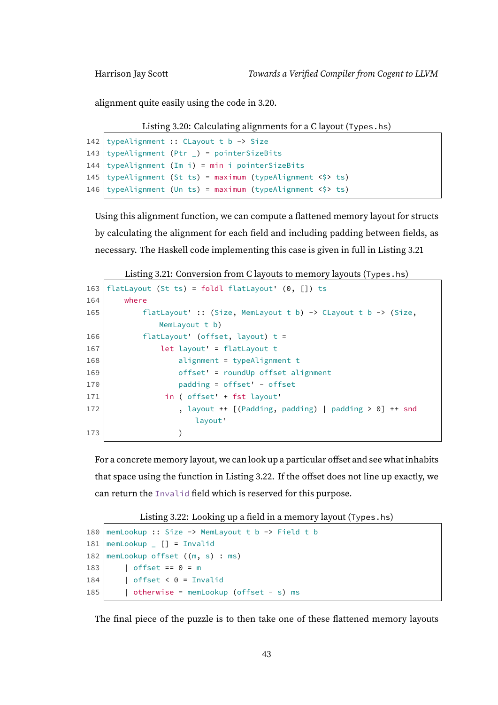<span id="page-48-0"></span>alignment quite easily using the code in [3.20.](#page-48-0)

```
Listing 3.20: Calculating alignments for a C layout (Types.hs)
```

```
142 typeAlignment :: CLayout t b -> Size
143 typeAlignment (Ptr _) = pointerSizeBits
144 typeAlignment (Im i) = min i pointerSizeBits
145 typeAlignment (St ts) = maximum (typeAlignment <$> ts)
146 typeAlignment (Un ts) = maximum (typeAlignment \langle \rangle ts)
```
Using this alignment function, we can compute a flattened memory layout for structs by calculating the alignment for each field and including padding between fields, as necessary. The Haskell code implementing this case is given in full in Listing [3.21](#page-48-1)

Listing 3.21: Conversion from C layouts to memory layouts (Types.hs)

<span id="page-48-1"></span>

| 163 | flatLayout (St ts) = foldl flatLayout' $(0, []$ ) ts          |
|-----|---------------------------------------------------------------|
| 164 | where                                                         |
| 165 | flatLayout' :: (Size, MemLayout t b) -> CLayout t b -> (Size, |
|     | MemLayout t b)                                                |
| 166 | flatLayout' (offset, layout) $t =$                            |
| 167 | $let$ $l$ ayout' = $flat$ Layout $t$                          |
| 168 | $alignment = typeAlignment$ t                                 |
| 169 | $offset' = roundUp$ offset alignment                          |
| 170 | $padding = offset' - offset$                                  |
| 171 | in ( offset' + fst layout'                                    |
| 172 | , layout ++ $\lceil$ (Padding, padding)   padding > 0] ++ snd |
|     | layout'                                                       |
| 173 |                                                               |

For a concrete memory layout, we can look up a particular offset and see what inhabits that space using the function in Listing [3.22.](#page-48-2) If the offset does not line up exactly, we can return the Invalid field which is reserved for this purpose.

Listing 3.22: Looking up a field in a memory layout (Types.hs)

```
180 memLookup :: Size -> MemLayout t b -> Field t b
181 | memLookup \begin{bmatrix} 1 & 0 \\ 0 & -1 \end{bmatrix} = Invalid
182 memLookup offset ((m, s) : ms)183 | offset == 0 = m
184 | \int offset < 0 = Invalid
185 | otherwise = memLookup (offset - s) ms
```
The final piece of the puzzle is to then take one of these flattened memory layouts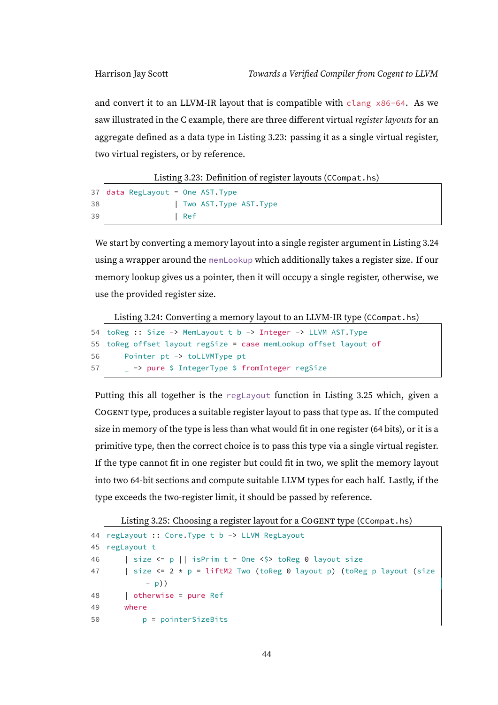and convert it to an LLVM-IR layout that is compatible with clang  $\times 86-64$ . As we saw illustrated in the C example, there are three different virtual register layouts for an aggregate defined as a data type in Listing [3.23:](#page-49-0) passing it as a single virtual register, two virtual registers, or by reference.

Listing 3.23: Definition of register layouts (CCompat.hs)

<span id="page-49-0"></span>

|    | $37$ data RegLayout = One AST. Type |       |                         |  |
|----|-------------------------------------|-------|-------------------------|--|
| 38 |                                     |       | Two AST. Type AST. Type |  |
| 39 |                                     | l Ref |                         |  |

We start by converting a memory layout into a single register argument in Listing [3.24](#page-49-1) using a wrapper around the memLookup which additionally takes a register size. If our memory lookup gives us a pointer, then it will occupy a single register, otherwise, we use the provided register size.

<span id="page-49-1"></span>Listing 3.24: Converting a memory layout to an LLVM-IR type (CCompat.hs)

```
54 toReg :: Size -> MemLayout t b -> Integer -> LLVM AST.Type
55 toReg offset layout regSize = case memLookup offset layout of
56 Pointer pt -> toLLVMType pt
57 | _ -> pure $ IntegerType $ fromInteger regSize
```
Putting this all together is the reglayout function in Listing [3.25](#page-49-2) which, given a COGENT type, produces a suitable register layout to pass that type as. If the computed size in memory of the type is less than what would fit in one register (64 bits), or it is a primitive type, then the correct choice is to pass this type via a single virtual register. If the type cannot fit in one register but could fit in two, we split the memory layout into two 64-bit sections and compute suitable LLVM types for each half. Lastly, if the type exceeds the two-register limit, it should be passed by reference.

<span id="page-49-2"></span>Listing 3.25: Choosing a register layout for a COGENT type (CCompat.hs)

```
44 | regLayout :: Core. Type t b -> LLVM RegLayout
45 regLayout t
46 | size <= p || isPrim t = One <$> toReg 0 layout size
47 | size \leq 2 \times p = \text{liftM2 Two} (toReg 0 layout p) (toReg p layout (size
            - p))
48 | otherwise = pure Ref
49 where
50 p = pointerSizeBits
```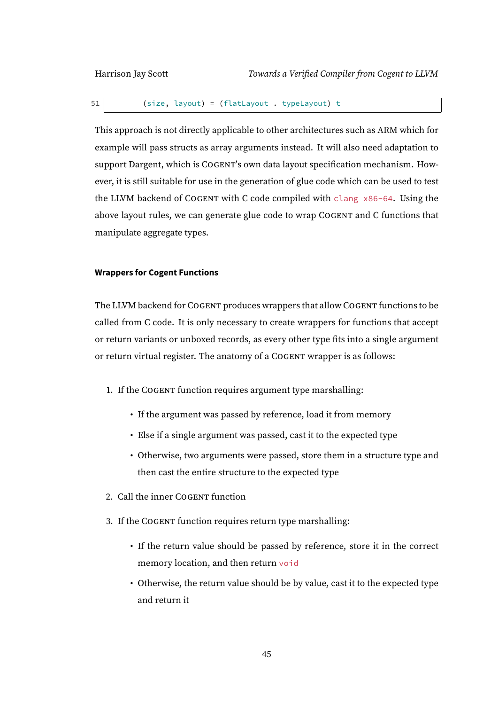51 (size, layout) = (flatLayout . typeLayout) t

This approach is not directly applicable to other architectures such as ARM which for example will pass structs as array arguments instead. It will also need adaptation to support Dargent, which is COGENT's own data layout specification mechanism. However, it is still suitable for use in the generation of glue code which can be used to test the LLVM backend of COGENT with C code compiled with clang x86-64. Using the above layout rules, we can generate glue code to wrap COGENT and C functions that manipulate aggregate types.

#### **Wrappers for Cogent Functions**

The LLVM backend for COGENT produces wrappers that allow COGENT functions to be called from C code. It is only necessary to create wrappers for functions that accept or return variants or unboxed records, as every other type fits into a single argument or return virtual register. The anatomy of a COGENT wrapper is as follows:

1. If the COGENT function requires argument type marshalling:

- If the argument was passed by reference, load it from memory
- Else if a single argument was passed, cast it to the expected type
- Otherwise, two arguments were passed, store them in a structure type and then cast the entire structure to the expected type
- 2. Call the inner COGENT function
- 3. If the COGENT function requires return type marshalling:
	- If the return value should be passed by reference, store it in the correct memory location, and then return void
	- Otherwise, the return value should be by value, cast it to the expected type and return it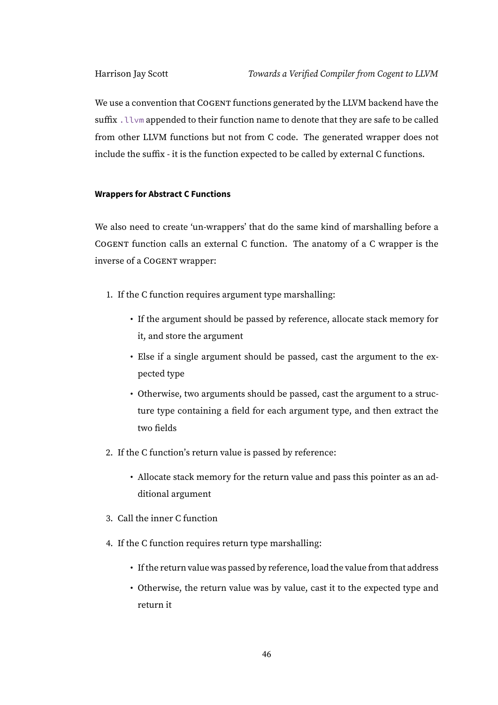We use a convention that COGENT functions generated by the LLVM backend have the suffix .llvm appended to their function name to denote that they are safe to be called from other LLVM functions but not from C code. The generated wrapper does not include the suffix - it is the function expected to be called by external C functions.

### **Wrappers for Abstract C Functions**

We also need to create 'un-wrappers' that do the same kind of marshalling before a COGENT function calls an external C function. The anatomy of a C wrapper is the inverse of a COGENT wrapper:

- 1. If the C function requires argument type marshalling:
	- If the argument should be passed by reference, allocate stack memory for it, and store the argument
	- Else if a single argument should be passed, cast the argument to the expected type
	- Otherwise, two arguments should be passed, cast the argument to a structure type containing a field for each argument type, and then extract the two fields
- 2. If the C function's return value is passed by reference:
	- Allocate stack memory for the return value and pass this pointer as an additional argument
- 3. Call the inner C function
- 4. If the C function requires return type marshalling:
	- If the return value was passed by reference, load the value from that address
	- Otherwise, the return value was by value, cast it to the expected type and return it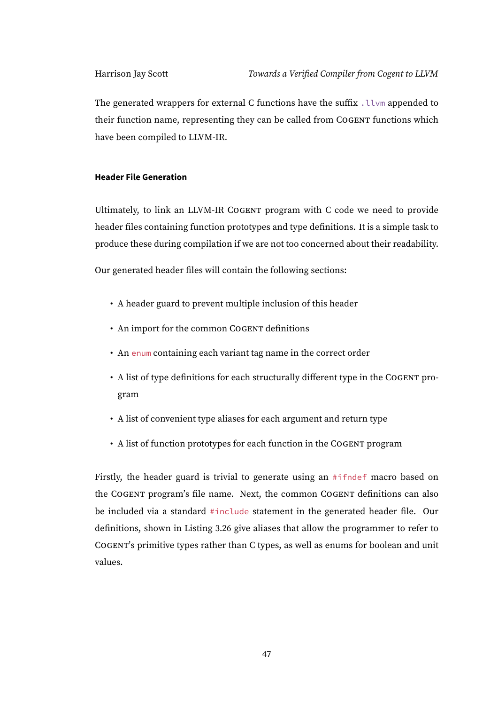The generated wrappers for external C functions have the suffix .  $l l v m$  appended to their function name, representing they can be called from COGENT functions which have been compiled to LLVM-IR.

#### **Header File Generation**

Ultimately, to link an LLVM-IR COGENT program with C code we need to provide header files containing function prototypes and type definitions. It is a simple task to produce these during compilation if we are not too concerned about their readability.

Our generated header files will contain the following sections:

- A header guard to prevent multiple inclusion of this header
- An import for the common COGENT definitions
- An enum containing each variant tag name in the correct order
- A list of type definitions for each structurally different type in the COGENT program
- A list of convenient type aliases for each argument and return type
- A list of function prototypes for each function in the COGENT program

Firstly, the header guard is trivial to generate using an #ifndef macro based on the COGENT program's file name. Next, the common COGENT definitions can also be included via a standard #include statement in the generated header file. Our definitions, shown in Listing [3.26](#page-53-0) give aliases that allow the programmer to refer to COGENT's primitive types rather than C types, as well as enums for boolean and unit values.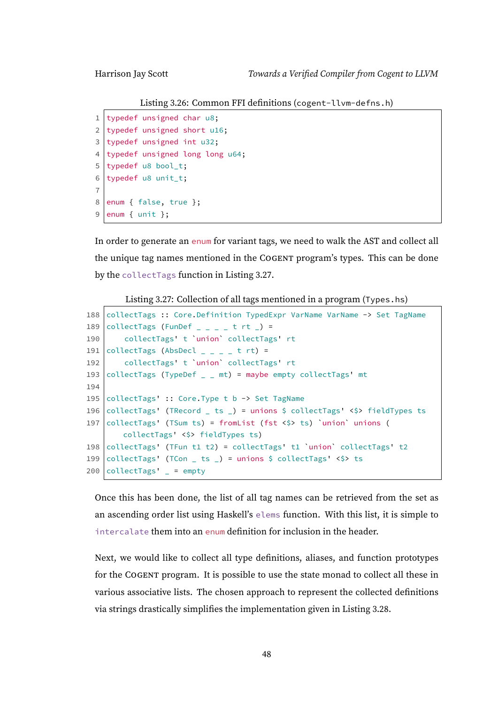Listing 3.26: Common FFI definitions (cogent-llvm-defns.h)

```
1 typedef unsigned char u8;
2 typedef unsigned short u16;
3 typedef unsigned int u32;
4 typedef unsigned long long u64;
5 typedef u8 bool_t;
6 typedef u8 unit_t;
7
8 enum { false, true };
9 enum { unit };
```
In order to generate an enum for variant tags, we need to walk the AST and collect all the unique tag names mentioned in the COGENT program's types. This can be done by the collectTags function in Listing [3.27.](#page-53-1)

Listing 3.27: Collection of all tags mentioned in a program (Types.hs)

```
188 collectTags :: Core. Definition TypedExpr VarName VarName -> Set TagName
189 collectTags (FunDef \angle \angle \angle \angle t rt \angle) =
190 collectTags' t `union` collectTags' rt
191 collectTags (AbsDecl _ - _ - _ + t rt) =
192 collectTags' t `union` collectTags' rt
193 collectTags (TypeDef = = mt) = maybe empty collectTags' mt
194
195 collectTags' :: Core. Type t b -> Set TagName
196 collectTags' (TRecord _ ts _) = unions $ collectTags' <$> fieldTypes ts
197 collectTags' (TSum ts) = fromList (fst <$> ts) 'union' unions (
        collectTags' <$> fieldTypes ts)
198 collectTags' (TFun t1 t2) = collectTags' t1 `union` collectTags' t2
199 collectTags' (TCon _ ts _) = unions $ collectTags' \langle \rangle ts
200 collectTags' = = empty
```
Once this has been done, the list of all tag names can be retrieved from the set as an ascending order list using Haskell's elems function. With this list, it is simple to intercalate them into an enum definition for inclusion in the header.

<span id="page-53-2"></span>Next, we would like to collect all type definitions, aliases, and function prototypes for the COGENT program. It is possible to use the state monad to collect all these in various associative lists. The chosen approach to represent the collected definitions via strings drastically simplifies the implementation given in Listing [3.28.](#page-53-2)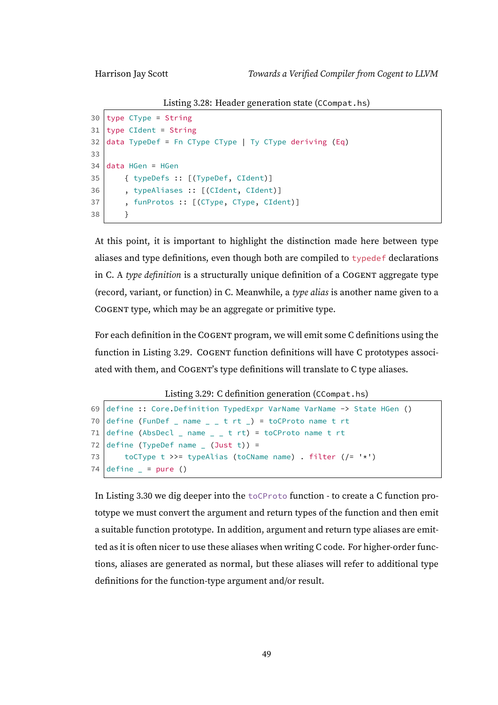Listing 3.28: Header generation state (CCompat.hs)

```
30 type CType = String
31 type CIdent = String
32 data TypeDef = Fn CType CType | Ty CType deriving (Eq)
33
34 data HGen = HGen
35 { typeDefs :: [(TypeDef, CIdent)]
36 , typeAliases :: [(CIdent, CIdent)]
37 , funProtos :: [(CType, CType, CIdent)]
38 }
```
At this point, it is important to highlight the distinction made here between type aliases and type definitions, even though both are compiled to typedef declarations in C. A type definition is a structurally unique definition of a COGENT aggregate type (record, variant, or function) in C. Meanwhile, a type alias is another name given to a COGENT type, which may be an aggregate or primitive type.

For each definition in the COGENT program, we will emit some C definitions using the function in Listing [3.29.](#page-54-0) COGENT function definitions will have C prototypes associated with them, and COGENT's type definitions will translate to C type aliases.

Listing 3.29: C definition generation (CCompat.hs)

```
69 define :: Core.Definition TypedExpr VarName VarName -> State HGen ()
70 define (FunDef _ name _ _ t rt _) = toCProto name t rt
71 define (AbsDecl _ name _ _ _ t rt) = toCProto name t rt
72 define (TypeDef name (Just t)) =
73 toCType t >>= typeAlias (toCName name) . filter (/= '*')
74 define = = pure ()
```
In Listing [3.30](#page-55-0) we dig deeper into the toCProto function - to create a C function prototype we must convert the argument and return types of the function and then emit a suitable function prototype. In addition, argument and return type aliases are emitted as it is often nicer to use these aliases when writing C code. For higher-order functions, aliases are generated as normal, but these aliases will refer to additional type definitions for the function-type argument and/or result.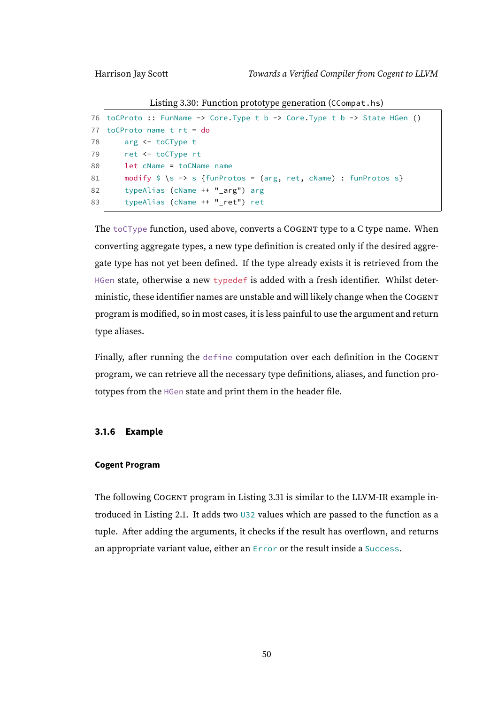Listing 3.30: Function prototype generation (CCompat.hs)

```
76 toCProto :: FunName -> Core. Type t b -> Core. Type t b -> State HGen ()
77 \text{ toCProto name } t \text{ rt} = do78 arg <- toCType t
79 ret <- toCType rt
80 let cName = toCName name
81 modify \S \ > s {funProtos = (arg, ret, cName) : funProtos s}
82 typeAlias (cName ++ " arg") arg
83 typeAlias (cName ++ "_ret") ret
```
The toCType function, used above, converts a COGENT type to a C type name. When converting aggregate types, a new type definition is created only if the desired aggregate type has not yet been defined. If the type already exists it is retrieved from the HGen state, otherwise a new typedef is added with a fresh identifier. Whilst deterministic, these identifier names are unstable and will likely change when the COGENT program is modified, so in most cases, it is less painful to use the argument and return type aliases.

Finally, after running the define computation over each definition in the COGENT program, we can retrieve all the necessary type definitions, aliases, and function prototypes from the HGen state and print them in the header file.

#### **3.1.6 Example**

#### **Cogent Program**

The following COGENT program in Listing [3.31](#page-56-0) is similar to the LLVM-IR example introduced in Listing [2.1.](#page-19-0) It adds two U32 values which are passed to the function as a tuple. After adding the arguments, it checks if the result has overflown, and returns an appropriate variant value, either an Error or the result inside a Success.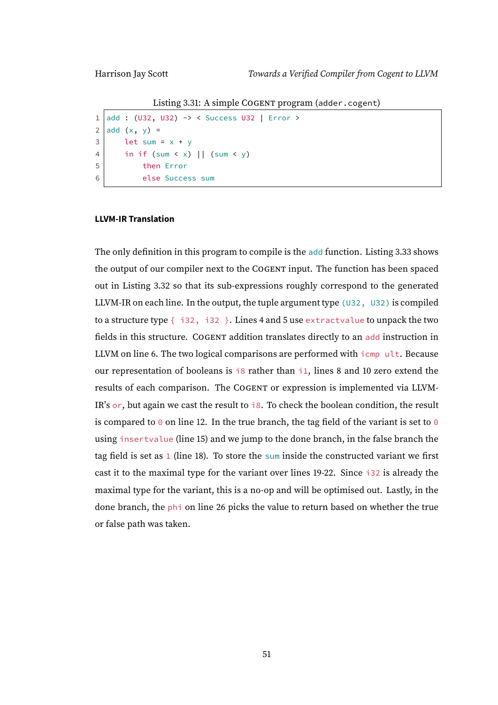Listing 3.31: A simple COGENT program (adder.cogent)

```
1 add : (U32, U32) -> < Success U32 | Error >
2 add (x, y) =3 let sum = x + y
4 in if (sum < x) || (sum < y)
5 then Error
6 else Success sum
```
#### **LLVM-IR Translation**

The only definition in this program to compile is the add function. Listing [3.33](#page-57-0) shows the output of our compiler next to the COGENT input. The function has been spaced out in Listing [3.32](#page-57-1) so that its sub-expressions roughly correspond to the generated LLVM-IR on each line. In the output, the tuple argument type  $(U32, U32)$  is compiled to a structure type  $\{-i32, i32\}$ . Lines 4 and 5 use extractvalue to unpack the two fields in this structure. COGENT addition translates directly to an add instruction in LLVM on line 6. The two logical comparisons are performed with icmp ult. Because our representation of booleans is i8 rather than i1, lines 8 and 10 zero extend the results of each comparison. The COGENT or expression is implemented via LLVM-IR's  $or$ , but again we cast the result to  $i8$ . To check the boolean condition, the result is compared to  $\theta$  on line 12. In the true branch, the tag field of the variant is set to  $\theta$ using insertvalue (line 15) and we jump to the done branch, in the false branch the tag field is set as 1 (line 18). To store the sum inside the constructed variant we first cast it to the maximal type for the variant over lines 19-22. Since i32 is already the maximal type for the variant, this is a no-op and will be optimised out. Lastly, in the done branch, the phi on line 26 picks the value to return based on whether the true or false path was taken.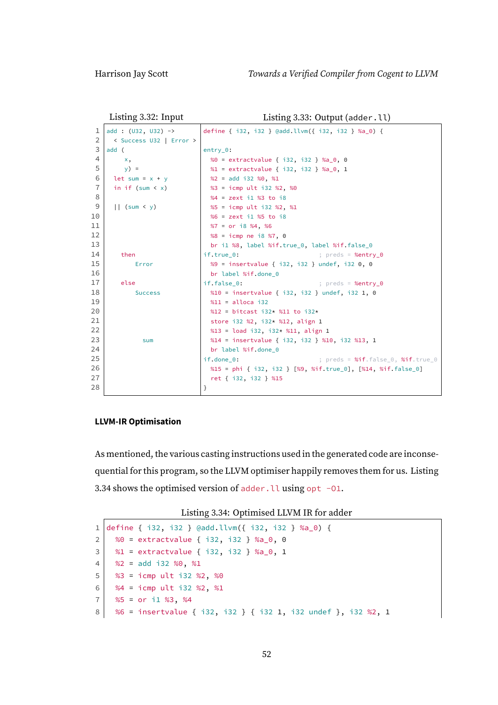```
Listing 3.32: Input
```

```
Listing 3.33: Output (adder.ll)
```

```
1 \vert add : (U32, U32) ->
 2 < Success U32 | Error >
 3 add (
 4 \times x5 | y) =6 let sum = x + y7 in if (sum < x)
 8
 9 || (sum < y)
10
11
12
13
14 then
15 Error
16
17 else
18 Success
19
2021
2223 sum
2425
26
27
28
                              define { i32, i32 } @add.llvm({ i32, i32 } %a_0) {
                              entry_0:
                               %0 = extractvalue { i32, i32 } %a_0, 0
                               %1 = extractvalue { i32, i32 } %a_0, 1
                               %2 = add i32 %0, %1
                               %3 = icmp ult i32 %2, %0
                               %4 = zext i1 %3 to i8
                               %5 = icmp ult i32 %2, %1
                               %6 = zext i1 %5 to i8
                               %7 = or i8 %4, %6
                               %8 = icmp ne i8 %7, 0
                               br i1 %8, label %if.true_0, label %if.false_0
                              if.true_0: ; preds = %entry_0
                               %9 = insertvalue { i32, i32 } undef, i32 0, 0
                               br label %if.done 0
                              if.false_0: \qquad \qquad ; \text{ <i>preds</i> = %entry_0%10 = insertvalue { i32, i32 } undef, i32 1, 0
                               %11 = alloca i32
                               %12 = bitcast i32* %11 to i32*
                                store i32 %2, i32* %12, align 1
                               %13 = load i32, i32* %11, align 1
                               %14 = insertvalue { i32, i32 } %10, i32 %13, 1
                               br label %if.done_0
                              if.done_0: \qquad \qquad ; \text{ pres} = % \text{Sif} = 0, % \text{Sif} = 0.5%15 = phi { i32, i32 } [%9, %if.true_0], [%14, %if.false_0]
                                ret { i32, i32 } %15
                              }
```
#### **LLVM-IR Optimisation**

As mentioned, the various casting instructions used in the generated code are inconsequential for this program, so the LLVM optimiser happily removes them for us. Listing [3.34](#page-57-2) shows the optimised version of adder. It using opt  $-01$ .

Listing 3.34: Optimised LLVM IR for adder

```
1 define { i32, i32 } @add.llvm({ i32, i32 } %a_0) {
2 \begin{array}{|l} \n\text{2} & \text{30} \\
\text{30} & \text{21} \\
\text{41} & \text{42} \\
\text{52} & \text{53} \\
\text{63} & \text{64} \\
\text{75} & \text{76} \\
\text{86} & \text{87} \\
\text{97} & \text{98} \\
\text{108} & \text{11} \\
\text{129} & \text{130} \\
\text{130} & \text{130} \\
\text{140} & \text{140} \\
\text{150} & \text{150} \\
\text{160} & \text{160} \\
\text3 %1 = extractvalue { i32, i32 } %a_0, 1
4 \frac{1}{2} %2 = add i32 %0, %1
5 %3 = icmp ult i32 %2, %0
6 \frac{1}{4} %4 = icmp ult i32 %2, %1
7 \mid  %5 = or i1 %3, %4
8 %6 = insertvalue { i32, i32 } { i32 1, i32 undef }, i32 %2, 1
```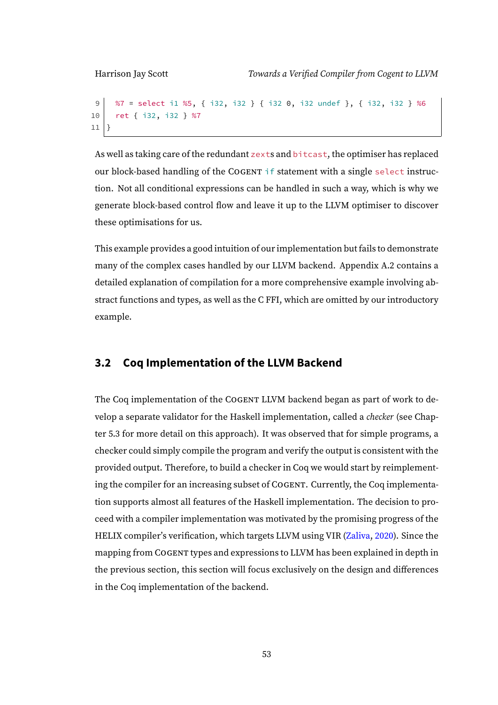```
9 %7 = select i1 %5, { i32, i32 } { i32 0, i32 undef }, { i32, i32 } %6
10 ret { i32, i32 } %7
11 }
```
As well as taking care of the redundant zexts and bitcast, the optimiser has replaced our block-based handling of the COGENT if statement with a single select instruction. Not all conditional expressions can be handled in such a way, which is why we generate block-based control flow and leave it up to the LLVM optimiser to discover these optimisations for us.

This example provides a good intuition of our implementation but fails to demonstrate many of the complex cases handled by our LLVM backend. Appendix [A.2](#page-115-0) contains a detailed explanation of compilation for a more comprehensive example involving abstract functions and types, as well as the C FFI, which are omitted by our introductory example.

# **3.2 Coq Implementation of the LLVM Backend**

The Coq implementation of the COGENT LLVM backend began as part of work to develop a separate validator for the Haskell implementation, called a checker (see Chapter [5.3](#page-99-0) for more detail on this approach). It was observed that for simple programs, a checker could simply compile the program and verify the output is consistent with the provided output. Therefore, to build a checker in Coq we would start by reimplementing the compiler for an increasing subset of COGENT. Currently, the Coq implementation supports almost all features of the Haskell implementation. The decision to proceed with a compiler implementation was motivated by the promising progress of the HELIX compiler's verification, which targets LLVM using VIR [\(Zaliva,](#page-111-0) [2020\)](#page-111-0). Since the mapping from COGENT types and expressions to LLVM has been explained in depth in the previous section, this section will focus exclusively on the design and differences in the Coq implementation of the backend.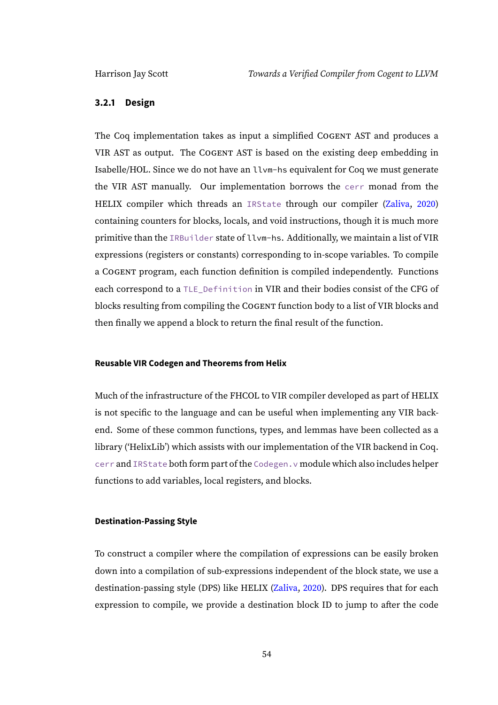### **3.2.1 Design**

The Coq implementation takes as input a simplified COGENT AST and produces a VIR AST as output. The COGENT AST is based on the existing deep embedding in Isabelle/HOL. Since we do not have an llvm-hs equivalent for Coq we must generate the VIR AST manually. Our implementation borrows the cerr monad from the HELIX compiler which threads an IRState through our compiler [\(Zaliva,](#page-111-0) [2020\)](#page-111-0) containing counters for blocks, locals, and void instructions, though it is much more primitive than the IRBuilder state of llvm-hs. Additionally, we maintain a list of VIR expressions (registers or constants) corresponding to in-scope variables. To compile a COGENT program, each function definition is compiled independently. Functions each correspond to a TLE Definition in VIR and their bodies consist of the CFG of blocks resulting from compiling the COGENT function body to a list of VIR blocks and then finally we append a block to return the final result of the function.

#### **Reusable VIR Codegen and Theorems from Helix**

Much of the infrastructure of the FHCOL to VIR compiler developed as part of HELIX is not specific to the language and can be useful when implementing any VIR backend. Some of these common functions, types, and lemmas have been collected as a library ('HelixLib') which assists with our implementation of the VIR backend in Coq. cerr and IRState both form part of the Codegen.v module which also includes helper functions to add variables, local registers, and blocks.

#### **Destination-Passing Style**

To construct a compiler where the compilation of expressions can be easily broken down into a compilation of sub-expressions independent of the block state, we use a destination-passing style (DPS) like HELIX [\(Zaliva,](#page-111-0) [2020\)](#page-111-0). DPS requires that for each expression to compile, we provide a destination block ID to jump to after the code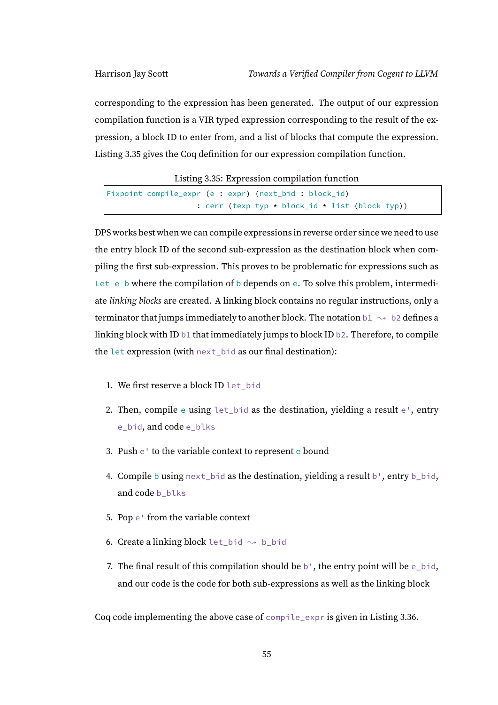corresponding to the expression has been generated. The output of our expression compilation function is a VIR typed expression corresponding to the result of the expression, a block ID to enter from, and a list of blocks that compute the expression. Listing [3.35](#page-60-0) gives the Coq definition for our expression compilation function.

Listing 3.35: Expression compilation function

<span id="page-60-0"></span>

|  | Fixpoint compile_expr (e : expr) (next_bid : block_id)      |
|--|-------------------------------------------------------------|
|  | : cerr (texp typ $\star$ block_id $\star$ list (block typ)) |

DPS works best when we can compile expressions in reverse order since we need to use the entry block ID of the second sub-expression as the destination block when compiling the first sub-expression. This proves to be problematic for expressions such as Let e b where the compilation of b depends on e. To solve this problem, intermediate linking blocks are created. A linking block contains no regular instructions, only a terminator that jumps immediately to another block. The notation  $b1 \rightsquigarrow b2$  defines a linking block with ID b1 that immediately jumps to block ID b2. Therefore, to compile the let expression (with next\_bid as our final destination):

- 1. We first reserve a block ID let\_bid
- 2. Then, compile e using let\_bid as the destination, yielding a result e', entry e\_bid, and code e\_blks
- 3. Push e' to the variable context to represent e bound
- 4. Compile b using  $next\_bid$  as the destination, yielding a result b', entry b\_bid, and code b blks
- 5. Pop e' from the variable context
- 6. Create a linking block let\_bid  $\rightsquigarrow$  b\_bid
- 7. The final result of this compilation should be  $b^{\dagger}$ , the entry point will be e\_bid, and our code is the code for both sub-expressions as well as the linking block

Coq code implementing the above case of compile\_expr is given in Listing [3.36.](#page-61-0)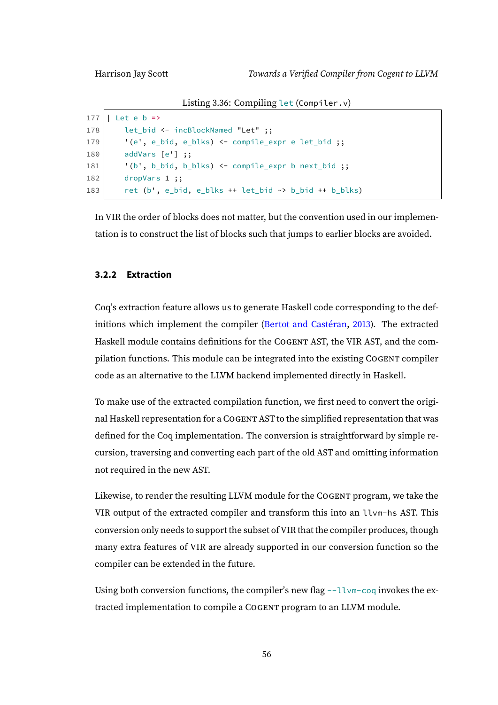Listing 3.36: Compiling let (Compiler.v)

```
177 | Let e b =>
178 let_bid <- incBlockNamed "Let" ;;
179 | '(e', e_bid, e_blks) <- compile_expr e let_bid ;;
180 addVars [e'] ;;
181 \vert '(b', b_bid, b_blks) <- compile_expr b next_bid ;;
182 dropVars 1 ;;
183 ret (b', e_bid, e_blks + t let_bid \rightarrow b_bid + b_blks)
```
In VIR the order of blocks does not matter, but the convention used in our implementation is to construct the list of blocks such that jumps to earlier blocks are avoided.

#### **3.2.2 Extraction**

Coq's extraction feature allows us to generate Haskell code corresponding to the definitions which implement the compiler [\(Bertot and Castéran,](#page-109-1) [2013\)](#page-109-1). The extracted Haskell module contains definitions for the COGENT AST, the VIR AST, and the compilation functions. This module can be integrated into the existing COGENT compiler code as an alternative to the LLVM backend implemented directly in Haskell.

To make use of the extracted compilation function, we first need to convert the original Haskell representation for a COGENT AST to the simplified representation that was defined for the Coq implementation. The conversion is straightforward by simple recursion, traversing and converting each part of the old AST and omitting information not required in the new AST.

Likewise, to render the resulting LLVM module for the COGENT program, we take the VIR output of the extracted compiler and transform this into an llvm-hs AST. This conversion only needs to support the subset of VIR that the compiler produces, though many extra features of VIR are already supported in our conversion function so the compiler can be extended in the future.

Using both conversion functions, the compiler's new flag --llvm-coq invokes the extracted implementation to compile a COGENT program to an LLVM module.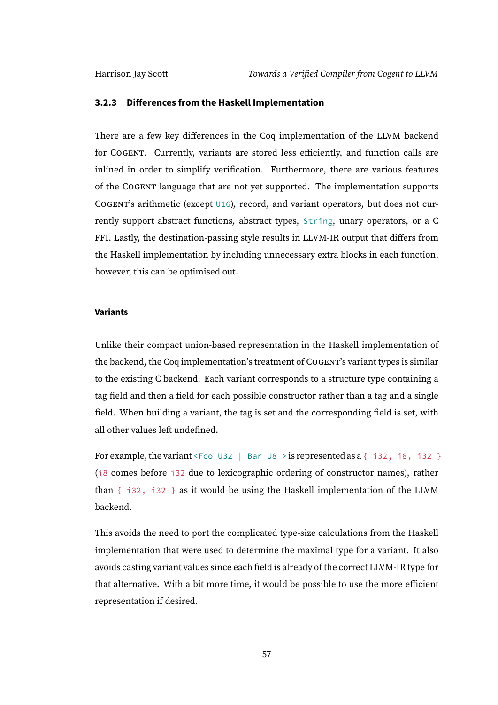#### **3.2.3 Differences from the Haskell Implementation**

There are a few key differences in the Coq implementation of the LLVM backend for COGENT. Currently, variants are stored less efficiently, and function calls are inlined in order to simplify verification. Furthermore, there are various features of the COGENT language that are not yet supported. The implementation supports COGENT's arithmetic (except U16), record, and variant operators, but does not currently support abstract functions, abstract types, String, unary operators, or a C FFI. Lastly, the destination-passing style results in LLVM-IR output that differs from the Haskell implementation by including unnecessary extra blocks in each function, however, this can be optimised out.

#### **Variants**

Unlike their compact union-based representation in the Haskell implementation of the backend, the Coq implementation's treatment of COGENT's variant types is similar to the existing C backend. Each variant corresponds to a structure type containing a tag field and then a field for each possible constructor rather than a tag and a single field. When building a variant, the tag is set and the corresponding field is set, with all other values left undefined.

For example, the variant <Foo U32 | Bar U8 > is represented as a  $\{$  i32, i8, i32  $\}$ (i8 comes before i32 due to lexicographic ordering of constructor names), rather than  $\{$  i32, i32  $\}$  as it would be using the Haskell implementation of the LLVM backend.

This avoids the need to port the complicated type-size calculations from the Haskell implementation that were used to determine the maximal type for a variant. It also avoids casting variant values since each field is already of the correct LLVM-IR type for that alternative. With a bit more time, it would be possible to use the more efficient representation if desired.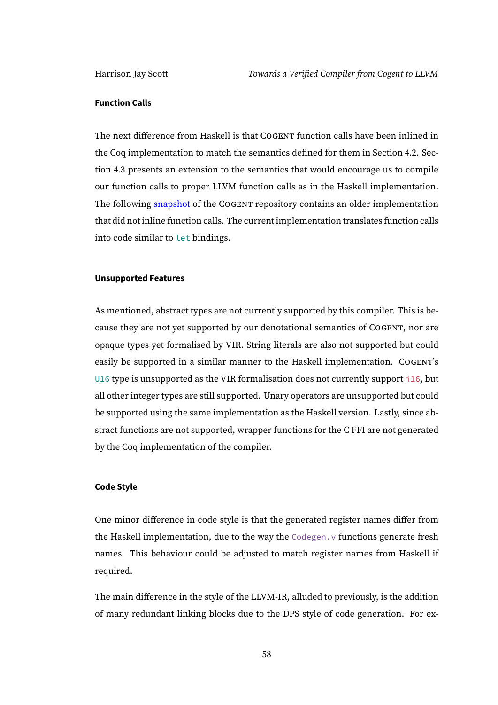#### **Function Calls**

The next difference from Haskell is that COGENT function calls have been inlined in the Coq implementation to match the semantics defined for them in Section [4.2.](#page-70-0) Section [4.3](#page-85-0) presents an extension to the semantics that would encourage us to compile our function calls to proper LLVM function calls as in the Haskell implementation. The following [snapshot](https://github.com/NICTA/cogent/tree/f88f43c46c4f94ddcc78ec3f56997199fafadbed/cogent/llvm/checker) of the COGENT repository contains an older implementation that did not inline function calls. The current implementation translates function calls into code similar to let bindings.

#### **Unsupported Features**

As mentioned, abstract types are not currently supported by this compiler. This is because they are not yet supported by our denotational semantics of COGENT, nor are opaque types yet formalised by VIR. String literals are also not supported but could easily be supported in a similar manner to the Haskell implementation. COGENT's U16 type is unsupported as the VIR formalisation does not currently support i16, but all other integer types are still supported. Unary operators are unsupported but could be supported using the same implementation as the Haskell version. Lastly, since abstract functions are not supported, wrapper functions for the C FFI are not generated by the Coq implementation of the compiler.

#### **Code Style**

One minor difference in code style is that the generated register names differ from the Haskell implementation, due to the way the Codegen. v functions generate fresh names. This behaviour could be adjusted to match register names from Haskell if required.

The main difference in the style of the LLVM-IR, alluded to previously, is the addition of many redundant linking blocks due to the DPS style of code generation. For ex-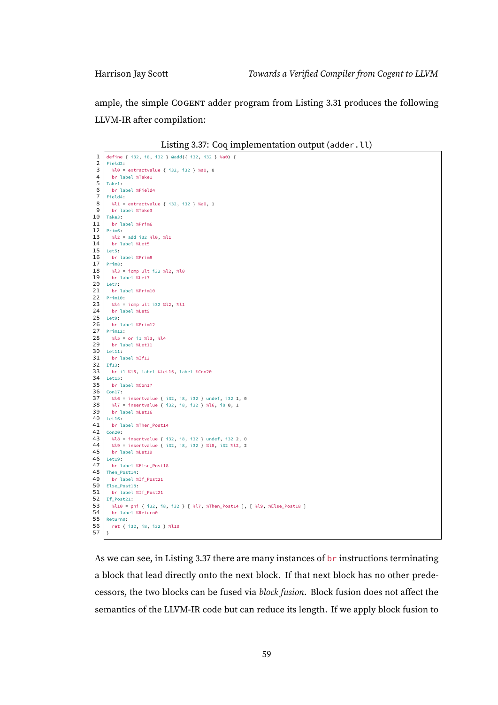ample, the simple COGENT adder program from Listing [3.31](#page-56-0) produces the following LLVM-IR after compilation:

| Listing 3.37: Coq implementation output (adder.11) |  |  |  |  |  |
|----------------------------------------------------|--|--|--|--|--|
|----------------------------------------------------|--|--|--|--|--|

<span id="page-64-0"></span>

| 1                   | define { i32, i8, i32 } @add({ i32, i32 } %a0) {                         |
|---------------------|--------------------------------------------------------------------------|
| $\overline{2}$      | Field2:                                                                  |
| 3<br>$\overline{4}$ | %l0 = extractvalue { i32, i32 } %a0, 0                                   |
|                     | br label %Take1                                                          |
| 5                   | Take1:                                                                   |
| 6<br>7              | br label %Field4                                                         |
|                     | Field4:                                                                  |
| 8                   | %l1 = extractvalue { i32, i32 } %a0, 1                                   |
| 9                   | br label %Take3                                                          |
| 10                  | Take3:                                                                   |
| 11                  | br label %Prim6                                                          |
| 12                  | Prim6:                                                                   |
| 13                  | %l2 = add i32 %l0, %l1                                                   |
| 14                  | br label %Let5                                                           |
| 15                  | Let5:                                                                    |
| 16                  | br label %Prim8                                                          |
| 17                  | Prim8:                                                                   |
| 18                  | %l3 = icmp ult i32 %l2, %l0                                              |
| 19                  | br label %Let7                                                           |
| 20                  | Let7:                                                                    |
| 21                  | br label %Prim10                                                         |
| 22                  | Prim10:                                                                  |
| 23                  | %l4 = icmp ult i32 %l2, %l1                                              |
| 24<br>25            | br label %Let9<br>Let9:                                                  |
| 26                  |                                                                          |
| 27                  | br label %Prim12<br>Prim12:                                              |
| 28                  | $%15 = or i1 %13, %14$                                                   |
| 29                  | br label %Let11                                                          |
| 30                  | Let 11:                                                                  |
| 31                  | br label %If13                                                           |
| 32                  | If 13:                                                                   |
| 33                  | br il %l5, label %Let15, label %Con20                                    |
| 34                  | Let 15:                                                                  |
| 35                  | br label %Con17                                                          |
| 36                  | Con17:                                                                   |
| 37                  | %16 = insertvalue { i32, i8, i32 } undef, i32 1, 0                       |
| 38                  | %l7 = insertvalue { i32, i8, i32 } %l6, i8 0, 1                          |
| 39                  | br label %Let16                                                          |
| 40                  | Let16:                                                                   |
| 41                  | br label %Then_Post14                                                    |
| 42                  | Con20:                                                                   |
| 43                  | %l8 = insertvalue { i32, i8, i32 } undef, i32 2, 0                       |
| 44                  | %l9 = insertvalue { i32, i8, i32 } %l8, i32 %l2, 2                       |
| 45                  | br label %Let19                                                          |
| 46                  | Let 19:                                                                  |
| 47                  | br label %Else_Post18                                                    |
| 48                  | Then_Post14:                                                             |
| 49                  | br label %If_Post21                                                      |
| 50                  | Else_Post18:                                                             |
| 51                  | br label %If_Post21                                                      |
| 52                  | If Post21:                                                               |
| 53                  | %l10 = phi { i32, i8, i32 } [ %l7, %Then_Post14 ], [ %l9, %Else_Post18 ] |
| 54                  | br label %Return0                                                        |
| 55                  | Return0:                                                                 |
| 56<br>57            | ret { i32, i8, i32 } %l10                                                |
|                     | }                                                                        |

As we can see, in Listing [3.37](#page-64-0) there are many instances of br instructions terminating a block that lead directly onto the next block. If that next block has no other predecessors, the two blocks can be fused via block fusion. Block fusion does not affect the semantics of the LLVM-IR code but can reduce its length. If we apply block fusion to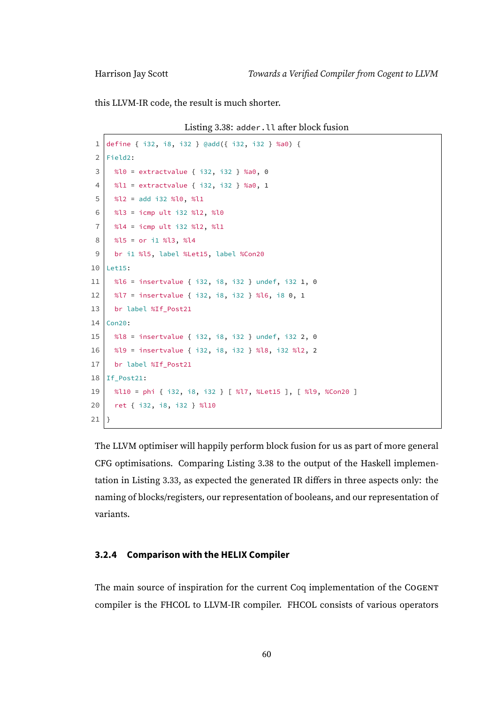<span id="page-65-0"></span>this LLVM-IR code, the result is much shorter.

Listing 3.38: adder.ll after block fusion

```
1 define { i32, i8, i32 } @add({ i32, i32 } %a0) {
 2 Field2:
 3 \mid %l0 = extractvalue { i32, i32 } %a0, 0
 4 %l1 = extractvalue { i32, i32 } %a0, 1
 5 \mid %l2 = add i32 %l0, %l1
 6 %l3 = icmp ult i32 %l2, %l0
 7 %l4 = icmp ult i32 %l2, %l1
 8 %l5 = or i1 %l3, %l4
 9 br i1 %l5, label %Let15, label %Con20
10 Let15:
11 | %16 = insertvalue { i32, i8, i32 } undef, i32 1, 0
12 %l7 = insertvalue { i32, i8, i32 } %l6, i8 0, 1
13 br label %If Post21
14 Con20:
15 %l8 = insertvalue { i32, i8, i32 } undef, i32 2, 0
16 %l9 = insertvalue { i32, i8, i32 } %l8, i32 %l2, 2
17 br label %If Post21
18 If Post21:
19 %l10 = phi { i32, i8, i32 } [ %l7, %Let15 ], [ %l9, %Con20 ]
20 ret { i32, i8, i32 } %l10
21 | }
```
The LLVM optimiser will happily perform block fusion for us as part of more general CFG optimisations. Comparing Listing [3.38](#page-65-0) to the output of the Haskell implementation in Listing [3.33,](#page-57-0) as expected the generated IR differs in three aspects only: the naming of blocks/registers, our representation of booleans, and our representation of variants.

# **3.2.4 Comparison with the HELIX Compiler**

The main source of inspiration for the current Coq implementation of the COGENT compiler is the FHCOL to LLVM-IR compiler. FHCOL consists of various operators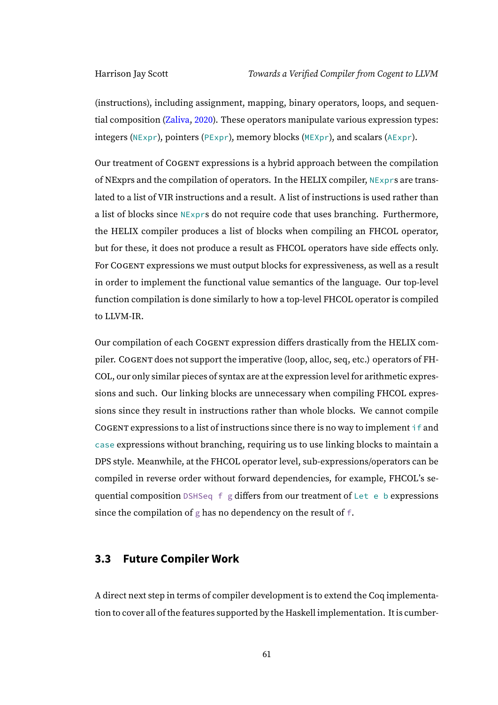(instructions), including assignment, mapping, binary operators, loops, and sequential composition [\(Zaliva,](#page-111-0) [2020\)](#page-111-0). These operators manipulate various expression types: integers (NExpr), pointers (PExpr), memory blocks (MEXpr), and scalars (AExpr).

Our treatment of COGENT expressions is a hybrid approach between the compilation of NExprs and the compilation of operators. In the HELIX compiler, NExprs are translated to a list of VIR instructions and a result. A list of instructions is used rather than a list of blocks since NExprs do not require code that uses branching. Furthermore, the HELIX compiler produces a list of blocks when compiling an FHCOL operator, but for these, it does not produce a result as FHCOL operators have side effects only. For COGENT expressions we must output blocks for expressiveness, as well as a result in order to implement the functional value semantics of the language. Our top-level function compilation is done similarly to how a top-level FHCOL operator is compiled to LLVM-IR.

Our compilation of each COGENT expression differs drastically from the HELIX compiler. COGENT does not support the imperative (loop, alloc, seq, etc.) operators of FH-COL, our only similar pieces of syntax are at the expression level for arithmetic expressions and such. Our linking blocks are unnecessary when compiling FHCOL expressions since they result in instructions rather than whole blocks. We cannot compile COGENT expressions to a list of instructions since there is no way to implement if and case expressions without branching, requiring us to use linking blocks to maintain a DPS style. Meanwhile, at the FHCOL operator level, sub-expressions/operators can be compiled in reverse order without forward dependencies, for example, FHCOL's sequential composition DSHSeq f g differs from our treatment of Let e b expressions since the compilation of g has no dependency on the result of f.

# **3.3 Future Compiler Work**

A direct next step in terms of compiler development is to extend the Coq implementation to cover all of the features supported by the Haskell implementation. It is cumber-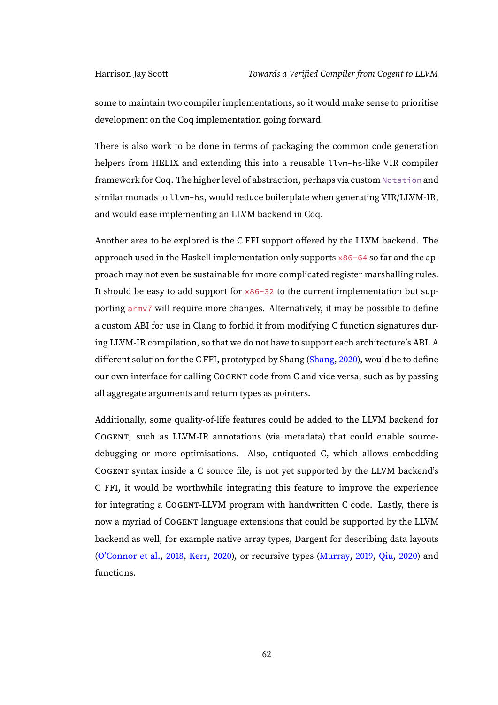some to maintain two compiler implementations, so it would make sense to prioritise development on the Coq implementation going forward.

There is also work to be done in terms of packaging the common code generation helpers from HELIX and extending this into a reusable llvm-hs-like VIR compiler framework for Coq. The higher level of abstraction, perhaps via custom Notation and similar monads to llvm-hs, would reduce boilerplate when generating VIR/LLVM-IR, and would ease implementing an LLVM backend in Coq.

Another area to be explored is the C FFI support offered by the LLVM backend. The approach used in the Haskell implementation only supports x86-64 so far and the approach may not even be sustainable for more complicated register marshalling rules. It should be easy to add support for  $\times 86-32$  to the current implementation but supporting armv7 will require more changes. Alternatively, it may be possible to define a custom ABI for use in Clang to forbid it from modifying C function signatures during LLVM-IR compilation, so that we do not have to support each architecture's ABI. A different solution for the C FFI, prototyped by Shang [\(Shang,](#page-111-1) [2020\)](#page-111-1), would be to define our own interface for calling COGENT code from C and vice versa, such as by passing all aggregate arguments and return types as pointers.

Additionally, some quality-of-life features could be added to the LLVM backend for COGENT, such as LLVM-IR annotations (via metadata) that could enable sourcedebugging or more optimisations. Also, antiquoted C, which allows embedding COGENT syntax inside a C source file, is not yet supported by the LLVM backend's C FFI, it would be worthwhile integrating this feature to improve the experience for integrating a COGENT-LLVM program with handwritten C code. Lastly, there is now a myriad of COGENT language extensions that could be supported by the LLVM backend as well, for example native array types, Dargent for describing data layouts [\(O'Connor et al.,](#page-110-0) [2018,](#page-110-0) [Kerr,](#page-110-1) [2020\)](#page-110-1), or recursive types [\(Murray,](#page-110-2) [2019,](#page-110-2) [Qiu,](#page-111-2) [2020\)](#page-111-2) and functions.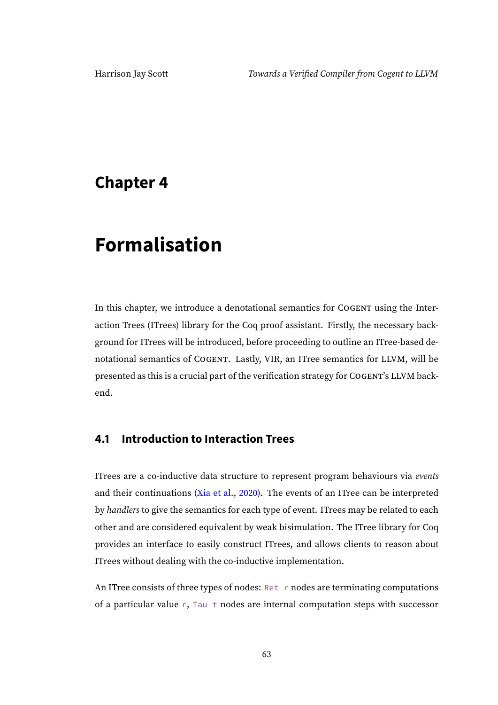# **Chapter 4**

# **Formalisation**

In this chapter, we introduce a denotational semantics for COGENT using the Interaction Trees (ITrees) library for the Coq proof assistant. Firstly, the necessary background for ITrees will be introduced, before proceeding to outline an ITree-based denotational semantics of COGENT. Lastly, VIR, an ITree semantics for LLVM, will be presented as this is a crucial part of the verification strategy for COGENT's LLVM backend.

# **4.1 Introduction to Interaction Trees**

ITrees are a co-inductive data structure to represent program behaviours via events and their continuations [\(Xia et al.,](#page-111-3) [2020\)](#page-111-3). The events of an ITree can be interpreted by handlers to give the semantics for each type of event. ITrees may be related to each other and are considered equivalent by weak bisimulation. The ITree library for Coq provides an interface to easily construct ITrees, and allows clients to reason about ITrees without dealing with the co-inductive implementation.

An ITree consists of three types of nodes: Ret r nodes are terminating computations of a particular value r, Tau t nodes are internal computation steps with successor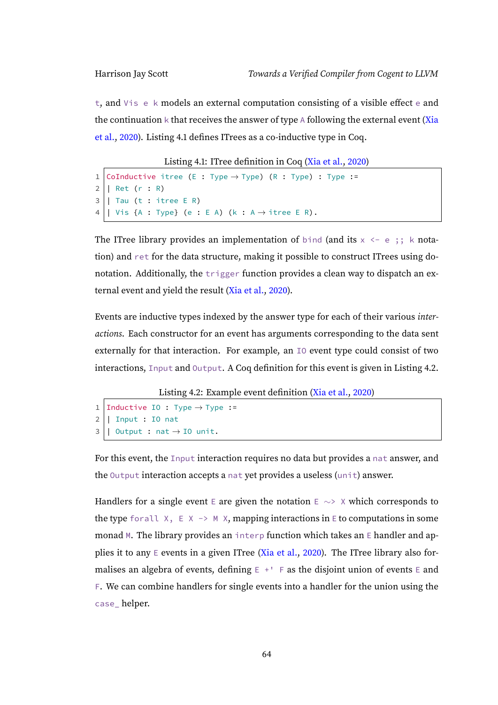t, and Vis e k models an external computation consisting of a visible effect e and the continuation  $k$  that receives the answer of type A following the external event [\(Xia](#page-111-3) [et al.,](#page-111-3) [2020\)](#page-111-3). Listing [4.1](#page-69-0) defines ITrees as a co-inductive type in Coq.

Listing 4.1: ITree definition in Coq [\(Xia et al.,](#page-111-3) [2020\)](#page-111-3)

```
1 CoInductive itree (E : Type \rightarrow Type) (R : Type) : Type :=
2 | Ret (r : R)
3 | Tau (t : itree E R)
4 | | Vis {A : Type} (e : E A) (k : A \rightarrow itree E R).
```
The ITree library provides an implementation of bind (and its  $x \leq -e$ ; k notation) and ret for the data structure, making it possible to construct ITrees using donotation. Additionally, the trigger function provides a clean way to dispatch an external event and yield the result [\(Xia et al.,](#page-111-3) [2020\)](#page-111-3).

Events are inductive types indexed by the answer type for each of their various interactions. Each constructor for an event has arguments corresponding to the data sent externally for that interaction. For example, an IO event type could consist of two interactions, Input and Output. A Coq definition for this event is given in Listing [4.2.](#page-69-1)

Listing 4.2: Example event definition [\(Xia et al.,](#page-111-3) [2020\)](#page-111-3)

```
1 | Inductive IO : Type \rightarrow Type :=
2 | Input : IO nat
3 \mid 0utput : nat \rightarrow IO unit.
```
For this event, the Input interaction requires no data but provides a nat answer, and the Output interaction accepts a nat yet provides a useless (unit) answer.

Handlers for a single event E are given the notation E  $\sim$ > X which corresponds to the type forall  $X$ ,  $E X \rightarrow M X$ , mapping interactions in E to computations in some monad M. The library provides an interp function which takes an E handler and ap-plies it to any E events in a given ITree [\(Xia et al.,](#page-111-3) [2020\)](#page-111-3). The ITree library also formalises an algebra of events, defining  $E + \square$  F as the disjoint union of events E and F. We can combine handlers for single events into a handler for the union using the case\_ helper.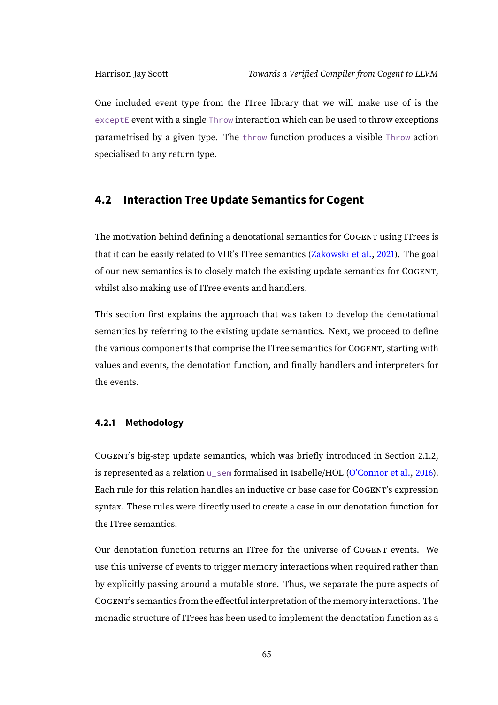One included event type from the ITree library that we will make use of is the exceptE event with a single Throw interaction which can be used to throw exceptions parametrised by a given type. The throw function produces a visible Throw action specialised to any return type.

# <span id="page-70-0"></span>**4.2 Interaction Tree Update Semantics for Cogent**

The motivation behind defining a denotational semantics for COGENT using ITrees is that it can be easily related to VIR's ITree semantics [\(Zakowski et al.,](#page-111-4) [2021\)](#page-111-4). The goal of our new semantics is to closely match the existing update semantics for COGENT, whilst also making use of ITree events and handlers.

This section first explains the approach that was taken to develop the denotational semantics by referring to the existing update semantics. Next, we proceed to define the various components that comprise the ITree semantics for COGENT, starting with values and events, the denotation function, and finally handlers and interpreters for the events.

#### **4.2.1 Methodology**

COGENT's big-step update semantics, which was briefly introduced in Section [2.1.2,](#page-12-0) is represented as a relation u\_sem formalised in Isabelle/HOL [\(O'Connor et al.,](#page-110-3) [2016\)](#page-110-3). Each rule for this relation handles an inductive or base case for COGENT's expression syntax. These rules were directly used to create a case in our denotation function for the ITree semantics.

Our denotation function returns an ITree for the universe of COGENT events. We use this universe of events to trigger memory interactions when required rather than by explicitly passing around a mutable store. Thus, we separate the pure aspects of COGENT's semantics from the effectful interpretation of the memory interactions. The monadic structure of ITrees has been used to implement the denotation function as a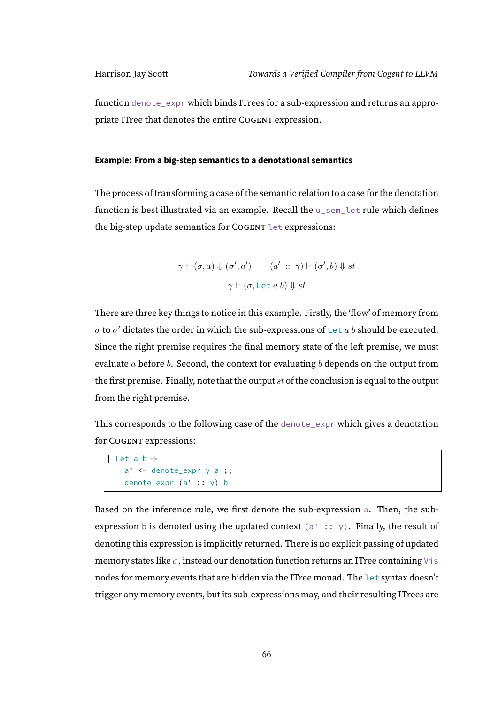function denote\_expr which binds ITrees for a sub-expression and returns an appropriate ITree that denotes the entire COGENT expression.

#### **Example: From a big-step semantics to a denotational semantics**

The process of transforming a case of the semantic relation to a case for the denotation function is best illustrated via an example. Recall the u\_sem\_let rule which defines the big-step update semantics for COGENT let expressions:

$$
\frac{\gamma\vdash(\sigma,a)\Downarrow(\sigma',a')\qquad (a'\ ::\ \gamma)\vdash(\sigma',b)\Downarrow st}{\gamma\vdash(\sigma,\texttt{Let}\ a\ b)\Downarrow st}
$$

There are three key things to notice in this example. Firstly, the 'flow' of memory from  $\sigma$  to  $\sigma'$  dictates the order in which the sub-expressions of Let  $a$  b should be executed. Since the right premise requires the final memory state of the left premise, we must evaluate  $a$  before  $b$ . Second, the context for evaluating  $b$  depends on the output from the first premise. Finally, note that the output  $st$  of the conclusion is equal to the output from the right premise.

This corresponds to the following case of the denote\_expr which gives a denotation for COGENT expressions:

```
| Let a b ⇒
   a' <- denote_expr γ a ;;
   denote_expr (a' :: γ) b
```
Based on the inference rule, we first denote the sub-expression a. Then, the subexpression b is denoted using the updated context (a' ::  $\gamma$ ). Finally, the result of denoting this expression is implicitly returned. There is no explicit passing of updated memory states like  $\sigma$ , instead our denotation function returns an ITree containing Vis nodes for memory events that are hidden via the ITree monad. The let syntax doesn't trigger any memory events, but its sub-expressions may, and their resulting ITrees are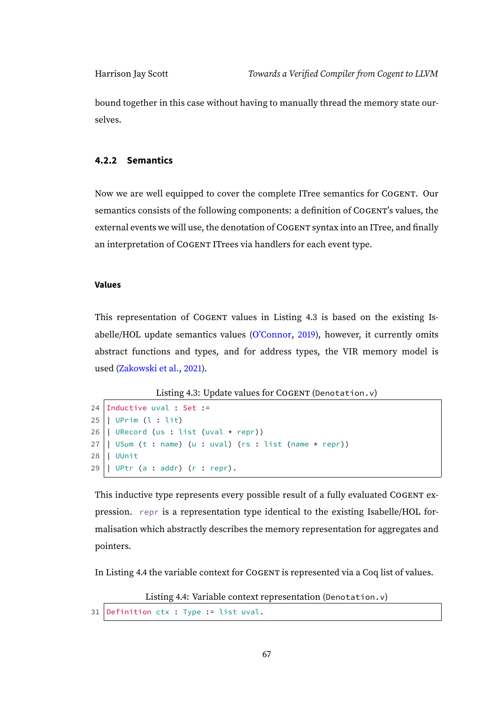bound together in this case without having to manually thread the memory state ourselves.

#### **4.2.2 Semantics**

Now we are well equipped to cover the complete ITree semantics for COGENT. Our semantics consists of the following components: a definition of COGENT's values, the external events we will use, the denotation of COGENT syntax into an ITree, and finally an interpretation of COGENT ITrees via handlers for each event type.

#### **Values**

This representation of COGENT values in Listing [4.3](#page-72-0) is based on the existing Isabelle/HOL update semantics values [\(O'Connor,](#page-110-0) [2019\)](#page-110-0), however, it currently omits abstract functions and types, and for address types, the VIR memory model is used [\(Zakowski et al.,](#page-111-0) [2021\)](#page-111-0).

Listing 4.3: Update values for COGENT (Denotation.v)

```
24 Inductive uval : Set :=
25 | UPrim (l : lit)
26 | URecord (us : list (uval * repr))
27 | USum (t : name) (u : uval) (rs : list (name * repr))
28 | UUnit
29 | UPtr (a : addr) (r : repr).
```
This inductive type represents every possible result of a fully evaluated COGENT expression. repr is a representation type identical to the existing Isabelle/HOL formalisation which abstractly describes the memory representation for aggregates and pointers.

<span id="page-72-1"></span>In Listing [4.4](#page-72-1) the variable context for COGENT is represented via a Coq list of values.

Listing 4.4: Variable context representation (Denotation.v)

```
31 Definition ctx : Type := list uval.
```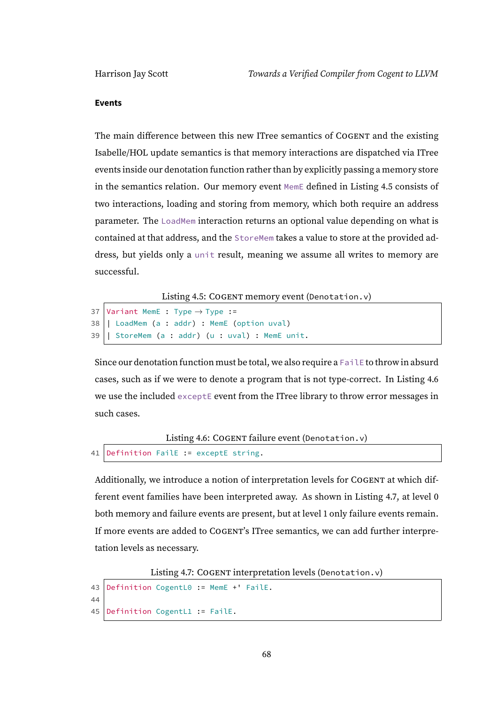#### **Events**

The main difference between this new ITree semantics of COGENT and the existing Isabelle/HOL update semantics is that memory interactions are dispatched via ITree events inside our denotation function rather than by explicitly passing a memory store in the semantics relation. Our memory event MemE defined in Listing [4.5](#page-73-0) consists of two interactions, loading and storing from memory, which both require an address parameter. The LoadMem interaction returns an optional value depending on what is contained at that address, and the StoreMem takes a value to store at the provided address, but yields only a unit result, meaning we assume all writes to memory are successful.

Listing 4.5: COGENT memory event (Denotation.v)

```
37 Variant MemE : Type \rightarrow Type :=
38 | LoadMem (a : addr) : MemE (option uval)
39 | StoreMem (a : addr) (u : uval) : MemE unit.
```
Since our denotation function must be total, we also require a FailE to throw in absurd cases, such as if we were to denote a program that is not type-correct. In Listing [4.6](#page-73-1) we use the included exceptE event from the ITree library to throw error messages in such cases.

```
Listing 4.6: COGENT failure event (Denotation.v)
```

```
41 Definition FailE := exceptE string.
```
Additionally, we introduce a notion of interpretation levels for COGENT at which different event families have been interpreted away. As shown in Listing [4.7,](#page-73-2) at level 0 both memory and failure events are present, but at level 1 only failure events remain. If more events are added to COGENT's ITree semantics, we can add further interpretation levels as necessary.

Listing 4.7: COGENT interpretation levels (Denotation.v)

```
43 Definition CogentL0 := MemE +' FailE.
44
45 Definition CogentL1 := FailE.
```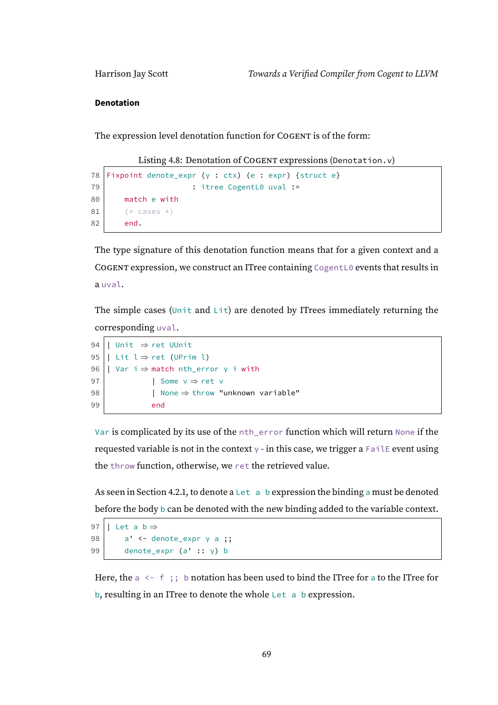#### **Denotation**

The expression level denotation function for COGENT is of the form:

Listing 4.8: Denotation of COGENT expressions (Denotation.v)

```
78 Fixpoint denote_expr (γ : ctx) (e : expr) {struct e}
79 | The CogentL0 uval :=
80 match e with
81 (* cases *)
82 end.
```
The type signature of this denotation function means that for a given context and a COGENT expression, we construct an ITree containing CogentL0 events that results in a uval.

The simple cases (Unit and Lit) are denoted by ITrees immediately returning the corresponding uval.

```
94 | Unit ⇒ ret UUnit
95 | Lit l \Rightarrow ret (UPrim l)
96 | Var i \Rightarrow match nth_error γ i with
97 | Some v \Rightarrow ret v98 | None \Rightarrow throw "unknown variable"
99 end
```
Var is complicated by its use of the nth\_error function which will return None if the requested variable is not in the context  $\gamma$  - in this case, we trigger a Fail E event using the throw function, otherwise, we ret the retrieved value.

As seen in Section [4.2.1,](#page-71-0) to denote a Let a b expression the binding a must be denoted before the body b can be denoted with the new binding added to the variable context.

```
97 | Let a b \Rightarrow98 \vert a' <- denote_expr \vert \gamma \vert a;
99 denote_expr (a' :: γ) b
```
Here, the  $a \leftarrow f$ ; b notation has been used to bind the ITree for a to the ITree for b, resulting in an ITree to denote the whole Let a b expression.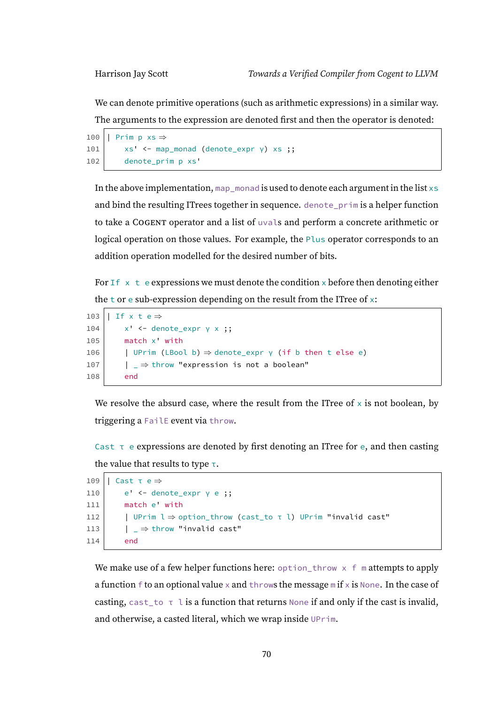We can denote primitive operations (such as arithmetic expressions) in a similar way. The arguments to the expression are denoted first and then the operator is denoted:

```
100 | Prim p xs \Rightarrow101 xs' <- map_monad (denote_expr \gamma) xs;
102 denote_prim p xs'
```
In the above implementation, map monad is used to denote each argument in the list  $x \s$ and bind the resulting ITrees together in sequence. denote\_prim is a helper function to take a COGENT operator and a list of uvals and perform a concrete arithmetic or logical operation on those values. For example, the Plus operator corresponds to an addition operation modelled for the desired number of bits.

For  $If \times t$  e expressions we must denote the condition  $\times$  before then denoting either the t or e sub-expression depending on the result from the ITree of  $x$ :

```
103 | If x t e \Rightarrow104 x' <- denote_expr \gamma \times;
105 match x' with
106 | UPrim (LBool b) \Rightarrow denote_expr \gamma (if b then t else e)
107 \vert \quad \vert \quad \Rightarrow throw "expression is not a boolean"
108 end
```
We resolve the absurd case, where the result from the ITree of  $\times$  is not boolean, by triggering a FailE event via throw.

Cast  $\tau$  e expressions are denoted by first denoting an ITree for e, and then casting the value that results to type  $\tau$ .

```
109 | Cast τ e ⇒
110 e' \leftarrow denote_expr \gamma e;
111 match e' with
112 | UPrim l \Rightarrow option_throw (cast_to τ l) UPrim "invalid cast"
113 | \Box | \Box \Rightarrow throw "invalid cast"
114 end
```
We make use of a few helper functions here: option\_throw  $\times$  f m attempts to apply a function f to an optional value x and throws the message  $m$  if x is None. In the case of casting, cast\_to  $\tau$  l is a function that returns None if and only if the cast is invalid, and otherwise, a casted literal, which we wrap inside UPrim.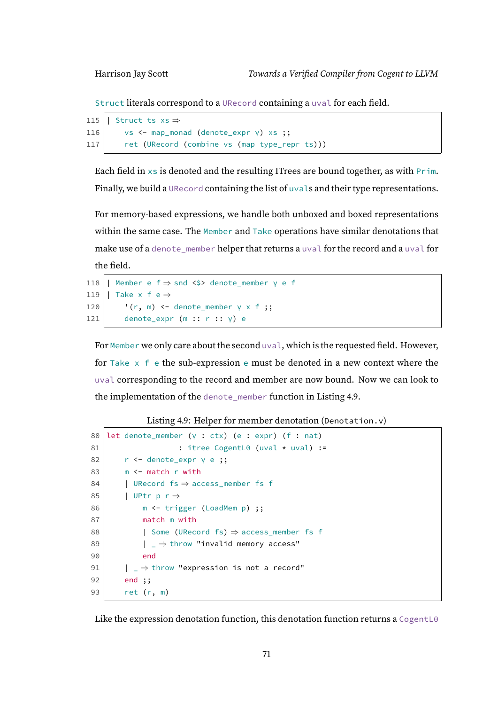Struct literals correspond to a URecord containing a uval for each field.

```
115 | Struct ts xs \Rightarrow116 vs <- map_monad (denote_expr \gamma) xs ;;
117 ret (URecord (combine vs (map type_repr ts)))
```
Each field in  $x$ s is denoted and the resulting ITrees are bound together, as with  $Prim$ . Finally, we build a URecord containing the list of uvals and their type representations.

For memory-based expressions, we handle both unboxed and boxed representations within the same case. The Member and Take operations have similar denotations that make use of a denote\_member helper that returns a uval for the record and a uval for the field.

```
118 | Member e f ⇒ snd <$> denote_member γ e f
119 | Take x f e \Rightarrow120 \vert '(r, m) <- denote_member \gamma \times f;
121 denote_expr (m :: r :: \gamma) e
```
For Member we only care about the second uval, which is the requested field. However, for Take  $x \text{ f}$  e the sub-expression e must be denoted in a new context where the uval corresponding to the record and member are now bound. Now we can look to the implementation of the denote\_member function in Listing [4.9.](#page-76-0)

Listing 4.9: Helper for member denotation (Denotation.v)

```
80 let denote_member (γ : ctx) (e : expr) (f : nat)
81 : itree CogentL0 (uval * uval) :=
82 | r <- denote_expr γ e ;;
83 m \leftarrow match r with
84 | URecord fs \Rightarrow access\_member fs f
85 | UPtr p r \Rightarrow86 m <- trigger (LoadMem p) ;;
87 match m with
88 | Some (URecord fs) ⇒ access_member fs f
89 | \Box \Rightarrow throw "invalid memory access"
90 end
91 | \ \ |\ \ \Rightarrow throw "expression is not a record"
92 end ;;
93 ret (r, m)
```
Like the expression denotation function, this denotation function returns a CogentL0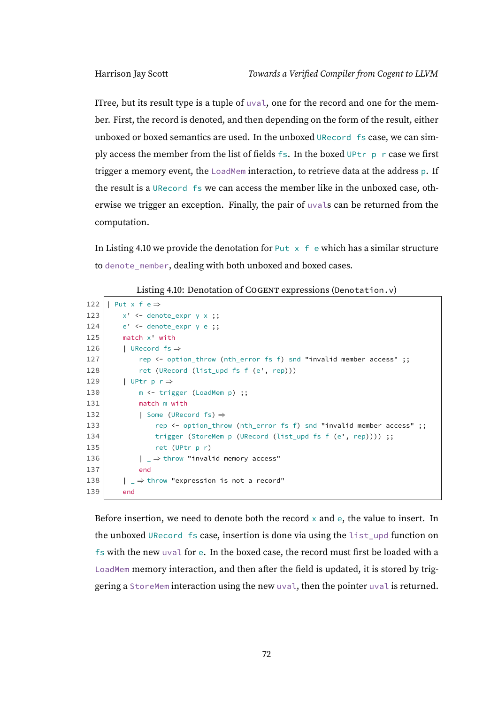ITree, but its result type is a tuple of uval, one for the record and one for the member. First, the record is denoted, and then depending on the form of the result, either unboxed or boxed semantics are used. In the unboxed URecord fs case, we can simply access the member from the list of fields fs. In the boxed UPtr p r case we first trigger a memory event, the LoadMem interaction, to retrieve data at the address p. If the result is a URecord fs we can access the member like in the unboxed case, otherwise we trigger an exception. Finally, the pair of uvals can be returned from the computation.

In Listing [4.10](#page-77-0) we provide the denotation for Put  $x \in \mathbb{R}$  which has a similar structure to denote\_member, dealing with both unboxed and boxed cases.

<span id="page-77-0"></span>

| 122 | Put x f $e \Rightarrow$                                             |
|-----|---------------------------------------------------------------------|
| 123 | $x'$ <- denote_expr $y$ x ;;                                        |
| 124 | $e'$ <- denote_expr $\gamma$ e ;;                                   |
| 125 | $match \times$ with                                                 |
| 126 | URecord $fs \Rightarrow$                                            |
| 127 | rep <- option_throw (nth_error fs f) snd "invalid member access" ;; |
| 128 | ret (URecord (list_upd fs f (e', rep)))                             |
| 129 | UPtr p r ⇒                                                          |
| 130 | $m \leftarrow \text{trigger}$ (LoadMem p) ;;                        |
| 131 | match m with                                                        |
| 132 | Some (URecord fs) $\Rightarrow$                                     |
| 133 | rep <- option_throw (nth_error fs f) snd "invalid member access" ;; |
| 134 | trigger (StoreMem p (URecord (list_upd fs f (e', rep)))) ;;         |
| 135 | $ret$ (UPtr $p r$ )                                                 |
| 136 | $ \Rightarrow$ throw "invalid memory access"                        |
| 137 | end                                                                 |
| 138 | $ \ \_\Rightarrow$ throw "expression is not a record"               |
| 139 | end                                                                 |

Listing 4.10: Denotation of COGENT expressions (Denotation.v)

Before insertion, we need to denote both the record  $\times$  and  $e$ , the value to insert. In the unboxed URecord fs case, insertion is done via using the list\_upd function on fs with the new uval for e. In the boxed case, the record must first be loaded with a LoadMem memory interaction, and then after the field is updated, it is stored by triggering a StoreMem interaction using the new uval, then the pointer uval is returned.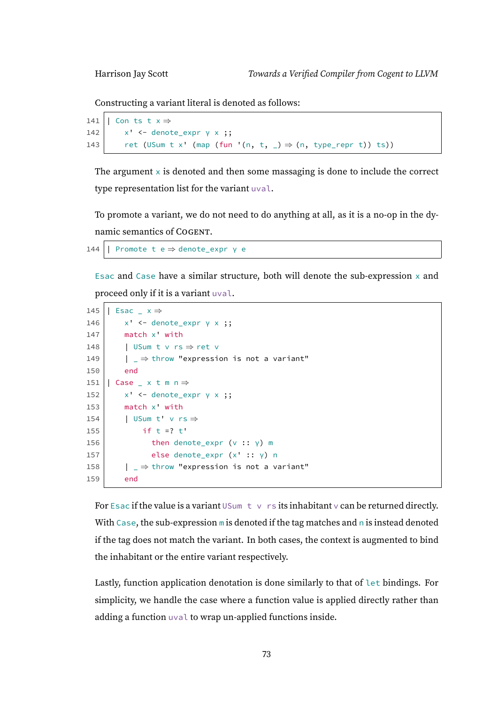Constructing a variant literal is denoted as follows:

```
141 | Con ts t x \Rightarrow142 x' \leftarrow denote_expr \gamma \times ;143 ret (USum t x' (map (fun '(n, t, _) \Rightarrow (n, type_repr t)) ts))
```
The argument  $\times$  is denoted and then some massaging is done to include the correct type representation list for the variant uval.

To promote a variant, we do not need to do anything at all, as it is a no-op in the dynamic semantics of COGENT.

144 | Promote t e  $\Rightarrow$  denote\_expr γ e

Esac and Case have a similar structure, both will denote the sub-expression  $x$  and proceed only if it is a variant uval.

```
145 | Esac \overline{\phantom{a}} x \Rightarrow146 x' \leftarrow denote_expr \gamma \times ;147 match x' with
148 | | USum t v rs \Rightarrow ret v
149 | \Box \Rightarrow throw "expression is not a variant"
150 end
151 | Case x \text{ t m } n \Rightarrow152 x' \leftarrow denote_expr \gamma \times ;153 match x' with
154 | USum t' v rs \Rightarrow155 if t = ? + 1156 then denote_expr (v :: \gamma) m
157 else denote_expr (x' :: y) n
158 \vert \quad \vert = \Rightarrow throw "expression is not a variant"
159 end
```
For Esac if the value is a variant USum  $t \vee$  rs its inhabitant  $\vee$  can be returned directly. With Case, the sub-expression  $m$  is denoted if the tag matches and  $n$  is instead denoted if the tag does not match the variant. In both cases, the context is augmented to bind the inhabitant or the entire variant respectively.

Lastly, function application denotation is done similarly to that of let bindings. For simplicity, we handle the case where a function value is applied directly rather than adding a function uval to wrap un-applied functions inside.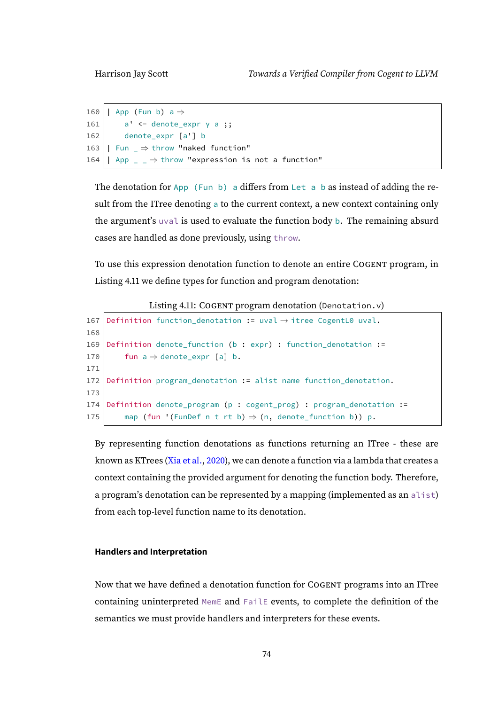```
160 | App (Fun b) a \Rightarrow161 a' \leftarrow denote_expr \gamma a;
162 denote_expr [a'] b
163 | Fun \Rightarrow throw "naked function"
164 | App \angle \Rightarrow throw "expression is not a function"
```
The denotation for App (Fun b) a differs from Let a b as instead of adding the result from the ITree denoting a to the current context, a new context containing only the argument's uval is used to evaluate the function body b. The remaining absurd cases are handled as done previously, using throw.

To use this expression denotation function to denote an entire COGENT program, in Listing [4.11](#page-79-0) we define types for function and program denotation:

Listing 4.11: COGENT program denotation (Denotation.v)

```
167 Definition function_denotation := uval \rightarrow itree CogentL0 uval.
168
169 Definition denote_function (b : expr) : function_denotation :=
170 fun a \Rightarrow denote_expr [a] b.
171
172 Definition program_denotation := alist name function_denotation.
173
174 Definition denote_program (p : cogent_prog) : program_denotation :=
175 map (fun '(FunDef n t rt b) \Rightarrow (n, denote_function b)) p.
```
By representing function denotations as functions returning an ITree - these are known as KTrees [\(Xia et al.,](#page-111-1) [2020\)](#page-111-1), we can denote a function via a lambda that creates a context containing the provided argument for denoting the function body. Therefore, a program's denotation can be represented by a mapping (implemented as an alist) from each top-level function name to its denotation.

#### **Handlers and Interpretation**

Now that we have defined a denotation function for COGENT programs into an ITree containing uninterpreted MemE and FailE events, to complete the definition of the semantics we must provide handlers and interpreters for these events.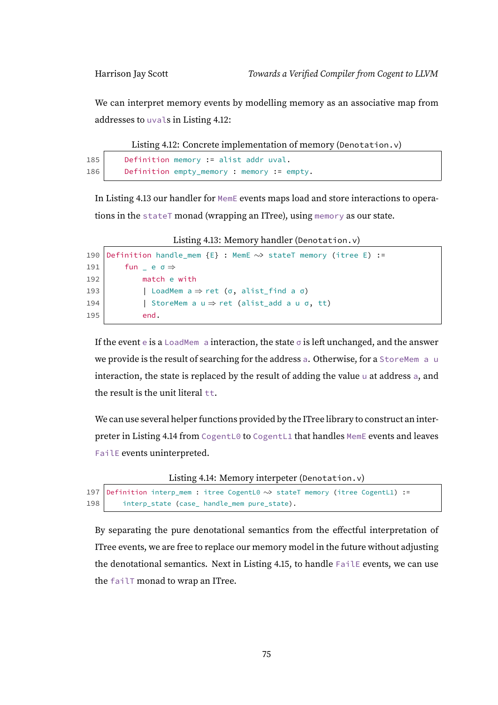We can interpret memory events by modelling memory as an associative map from addresses to uvals in Listing [4.12:](#page-80-0)

Listing 4.12: Concrete implementation of memory (Denotation.v)

```
185 Definition memory := alist addr uval.
186 Definition empty memory : memory := empty.
```
In Listing [4.13](#page-80-1) our handler for MemE events maps load and store interactions to operations in the stateT monad (wrapping an ITree), using memory as our state.

<span id="page-80-1"></span>Listing 4.13: Memory handler (Denotation.v) 190 Definition handle\_mem {E} : MemE ∼> stateT memory (itree E) :=

```
191 \vert fun \vert e \sigma \Rightarrow192 match e with
193 | LoadMem a \Rightarrow ret (σ, alist_find a σ)
194 | StoreMem a u \Rightarrow ret (alist_add a u \sigma, tt)
195 end.
```
If the event e is a LoadMem a interaction, the state  $\sigma$  is left unchanged, and the answer we provide is the result of searching for the address a. Otherwise, for a StoreMem a u interaction, the state is replaced by the result of adding the value u at address a, and the result is the unit literal  $tt$ .

We can use several helper functions provided by the ITree library to construct an interpreter in Listing [4.14](#page-80-2) from CogentL0 to CogentL1 that handles MemE events and leaves FailE events uninterpreted.

Listing 4.14: Memory interpeter (Denotation.v)

```
197 Definition interp_mem : itree CogentL0 ∼> stateT memory (itree CogentL1) :=
198 interp_state (case_ handle_mem pure_state).
```
By separating the pure denotational semantics from the effectful interpretation of ITree events, we are free to replace our memory model in the future without adjusting the denotational semantics. Next in Listing [4.15,](#page-81-0) to handle FailE events, we can use the failT monad to wrap an ITree.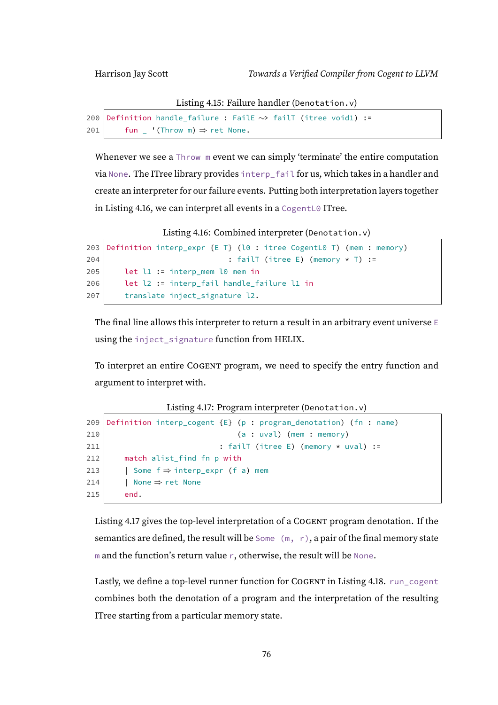Listing 4.15: Failure handler (Denotation.v)

```
200 Definition handle_failure : FailE ∼> failT (itree void1) :=
201 fun '(Throw m) \Rightarrow ret None.
```
Whenever we see a Throw m event we can simply 'terminate' the entire computation via None. The ITree library provides interp\_fail for us, which takes in a handler and create an interpreter for our failure events. Putting both interpretation layers together in Listing [4.16,](#page-81-1) we can interpret all events in a CogentL0 ITree.

Listing 4.16: Combined interpreter (Denotation.v)

```
203 Definition interp_expr {E T} (l0 : itree CogentL0 T) (mem : memory)
204 | : failT (itree E) (memory * T) :=
205 let l1 := interp_mem l0 mem in
206 let l2 := interp_fail handle_failure l1 in
207 | translate inject_signature l2.
```
The final line allows this interpreter to return a result in an arbitrary event universe  $E$ using the inject\_signature function from HELIX.

To interpret an entire COGENT program, we need to specify the entry function and argument to interpret with.

Listing 4.17: Program interpreter (Denotation.v)

```
209 Definition interp_cogent {E} (p : program_denotation) (fn : name)
210 (a : uval) (mem : memory)
211 : failT (itree E) (memory \star uval) :=
212 match alist find fn p with
213 | Some f \Rightarrow interp_expr (f a) mem
214 | None \Rightarrow ret None
215 end.
```
Listing [4.17](#page-81-2) gives the top-level interpretation of a COGENT program denotation. If the semantics are defined, the result will be Some  $(m, r)$ , a pair of the final memory state m and the function's return value r, otherwise, the result will be None.

Lastly, we define a top-level runner function for COGENT in Listing [4.18.](#page-82-0) run\_cogent combines both the denotation of a program and the interpretation of the resulting ITree starting from a particular memory state.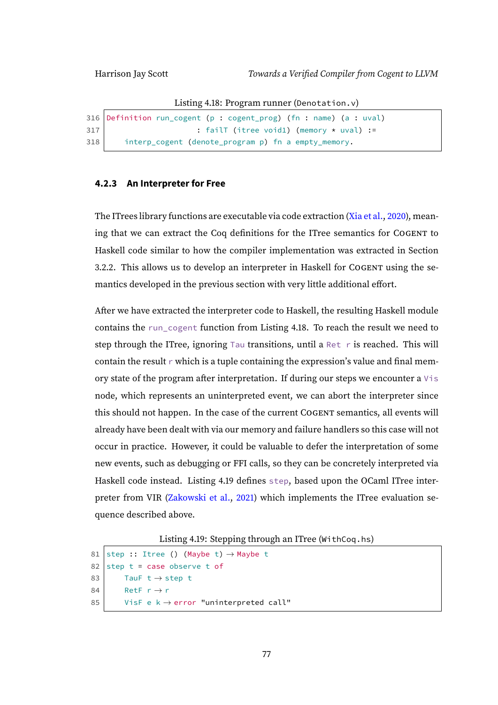Listing 4.18: Program runner (Denotation.v)

```
316 Definition run_cogent (p : cogent_prog) (fn : name) (a : uval)
317 : failT (itree void1) (memory \star uval) :=
318 interp_cogent (denote_program p) fn a empty_memory.
```
#### **4.2.3 An Interpreter for Free**

The ITrees library functions are executable via code extraction [\(Xia et al.,](#page-111-1) [2020\)](#page-111-1), meaning that we can extract the Coq definitions for the ITree semantics for COGENT to Haskell code similar to how the compiler implementation was extracted in Section [3.2.2.](#page-61-0) This allows us to develop an interpreter in Haskell for COGENT using the semantics developed in the previous section with very little additional effort.

After we have extracted the interpreter code to Haskell, the resulting Haskell module contains the run\_cogent function from Listing [4.18.](#page-82-0) To reach the result we need to step through the ITree, ignoring Tau transitions, until a Ret r is reached. This will contain the result  $r$  which is a tuple containing the expression's value and final memory state of the program after interpretation. If during our steps we encounter a Vis node, which represents an uninterpreted event, we can abort the interpreter since this should not happen. In the case of the current COGENT semantics, all events will already have been dealt with via our memory and failure handlers so this case will not occur in practice. However, it could be valuable to defer the interpretation of some new events, such as debugging or FFI calls, so they can be concretely interpreted via Haskell code instead. Listing [4.19](#page-82-1) defines step, based upon the OCaml ITree interpreter from VIR [\(Zakowski et al.,](#page-111-0) [2021\)](#page-111-0) which implements the ITree evaluation sequence described above.

```
Listing 4.19: Stepping through an ITree (WithCoq.hs)
```

```
81 step :: Itree () (Maybe t) \rightarrow Maybe t
82 step t = case observe t of
83 TauF t \rightarrow step t
84 RetF r \rightarrow r85 VisF e k \rightarrow error "uninterpreted call"
```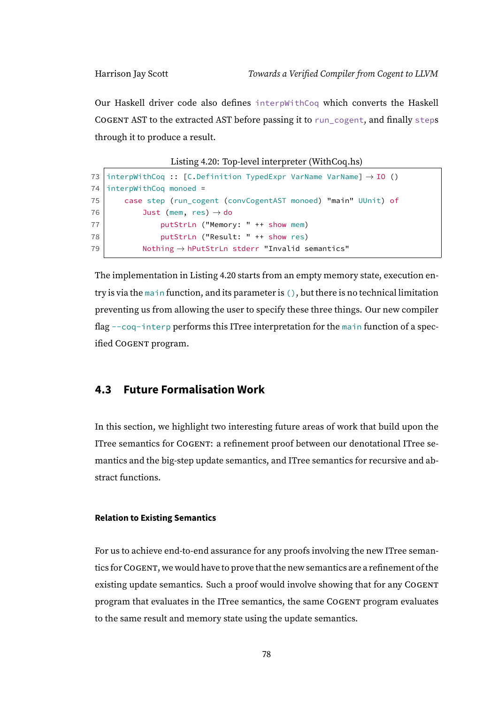Our Haskell driver code also defines interpWithCoq which converts the Haskell COGENT AST to the extracted AST before passing it to run\_cogent, and finally steps through it to produce a result.

```
Listing 4.20: Top-level interpreter (WithCoq.hs)
```

```
73 interpWithCoq :: [C.Definition TypedExpr VarName VarName] \rightarrow IO ()
74 interpWithCoq monoed =
75 case step (run_cogent (convCogentAST monoed) "main" UUnit) of
76 Just (mem, res) \rightarrow do
77 putStrLn ("Memory: " ++ show mem)
78 putStrLn ("Result: " ++ show res)
79 Nothing \rightarrow hPutStrLn stderr "Invalid semantics"
```
The implementation in Listing [4.20](#page-83-0) starts from an empty memory state, execution entry is via the main function, and its parameter is  $($ ), but there is no technical limitation preventing us from allowing the user to specify these three things. Our new compiler flag --coq-interp performs this ITree interpretation for the main function of a specified COGENT program.

#### **4.3 Future Formalisation Work**

In this section, we highlight two interesting future areas of work that build upon the ITree semantics for COGENT: a refinement proof between our denotational ITree semantics and the big-step update semantics, and ITree semantics for recursive and abstract functions.

#### **Relation to Existing Semantics**

For us to achieve end-to-end assurance for any proofs involving the new ITree semantics forCOGENT, we would have to prove that the new semantics are a refinement of the existing update semantics. Such a proof would involve showing that for any COGENT program that evaluates in the ITree semantics, the same COGENT program evaluates to the same result and memory state using the update semantics.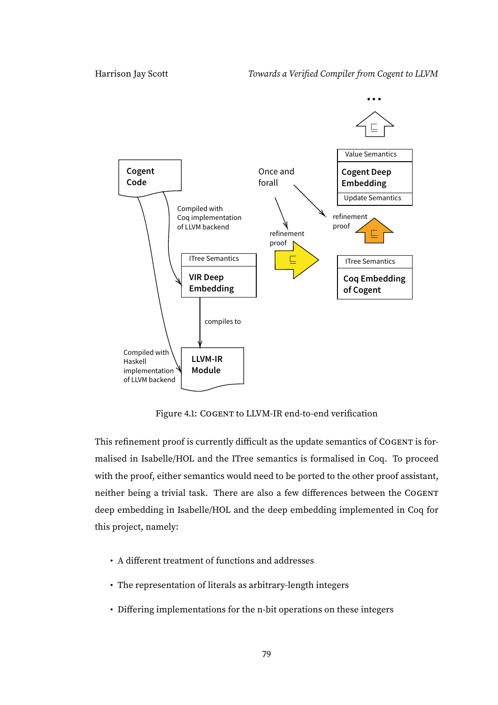

<span id="page-84-0"></span>Figure 4.1: COGENT to LLVM-IR end-to-end verification

This refinement proof is currently difficult as the update semantics of COGENT is formalised in Isabelle/HOL and the ITree semantics is formalised in Coq. To proceed with the proof, either semantics would need to be ported to the other proof assistant, neither being a trivial task. There are also a few differences between the COGENT deep embedding in Isabelle/HOL and the deep embedding implemented in Coq for this project, namely:

- A different treatment of functions and addresses
- The representation of literals as arbitrary-length integers
- Differing implementations for the n-bit operations on these integers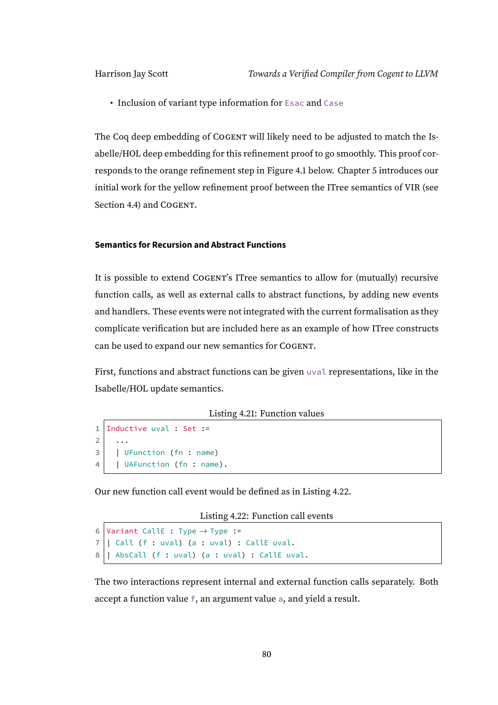• Inclusion of variant type information for Esac and Case

The Coq deep embedding of COGENT will likely need to be adjusted to match the Isabelle/HOL deep embedding for this refinement proof to go smoothly. This proof corresponds to the orange refinement step in Figure [4.1](#page-84-0) below. Chapter [5](#page-90-0) introduces our initial work for the yellow refinement proof between the ITree semantics of VIR (see Section [4.4\)](#page-88-0) and COGENT.

#### **Semantics for Recursion and Abstract Functions**

It is possible to extend COGENT's ITree semantics to allow for (mutually) recursive function calls, as well as external calls to abstract functions, by adding new events and handlers. These events were not integrated with the current formalisation as they complicate verification but are included here as an example of how ITree constructs can be used to expand our new semantics for COGENT.

First, functions and abstract functions can be given uval representations, like in the Isabelle/HOL update semantics.

Listing 4.21: Function values

```
1 Inductive uval : Set :=
2 ...
3 | UFunction (fn : name)
4 | | UAFunction (fn : name).
```
<span id="page-85-0"></span>Our new function call event would be defined as in Listing [4.22.](#page-85-0)

Listing 4.22: Function call events

```
6 Variant CallE : Type \rightarrow Type :=
7 \mid Call (f : uval) (a : uval) : CallE uval.
8 \mid AbsCall (f : uval) (a : uval) : CallE uval.
```
The two interactions represent internal and external function calls separately. Both accept a function value f, an argument value a, and yield a result.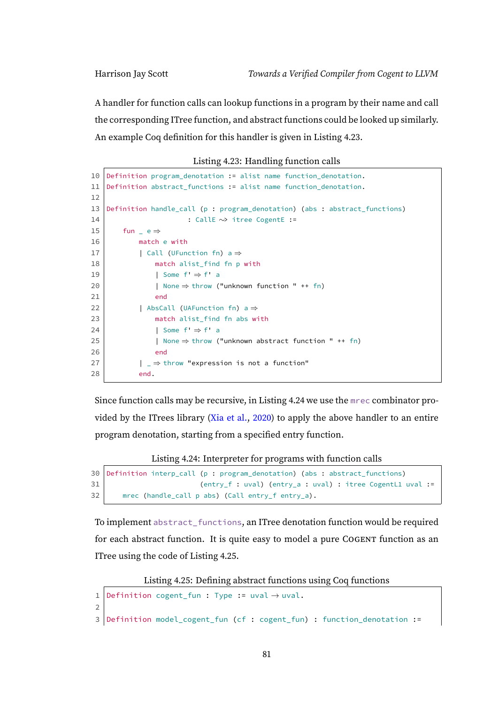A handler for function calls can lookup functions in a program by their name and call the corresponding ITree function, and abstract functions could be looked up similarly. An example Coq definition for this handler is given in Listing [4.23.](#page-86-0)

|  | Listing 4.23: Handling function calls |  |  |  |
|--|---------------------------------------|--|--|--|
|--|---------------------------------------|--|--|--|

```
10 Definition program_denotation := alist name function_denotation.
11 Definition abstract_functions := alist name function_denotation.
12
13 Definition handle_call (p : program_denotation) (abs : abstract_functions)
14 | : CallE ∼> itree CogentE :=
15 \vert fun \vert e \Rightarrow16 match e with
17 | Call (UFunction fn) a \Rightarrow18 match alist find fn p with
19 | Some f' \Rightarrow f' a
20 | None \Rightarrow throw ("unknown function " ++ fn)
21 end
22 | AbsCall (UAFunction fn) a \Rightarrow23 match alist find fn abs with
24 | Some f' \Rightarrow f' a
25 | None \Rightarrow throw ("unknown abstract function " ++ fn)
26 end
27 \vert \quad \rangle \Rightarrow throw "expression is not a function"
28 end.
```
Since function calls may be recursive, in Listing [4.24](#page-86-1) we use the mrec combinator provided by the ITrees library [\(Xia et al.,](#page-111-1) [2020\)](#page-111-1) to apply the above handler to an entire program denotation, starting from a specified entry function.

Listing 4.24: Interpreter for programs with function calls

```
30 Definition interp_call (p : program_denotation) (abs : abstract_functions)
31 (entry_f : uval) (entry_a : uval) : itree CogentL1 uval :=
32 | mrec (handle_call p abs) (Call entry_f entry_a).
```
To implement abstract\_functions, an ITree denotation function would be required for each abstract function. It is quite easy to model a pure COGENT function as an ITree using the code of Listing [4.25.](#page-86-2)

Listing 4.25: Defining abstract functions using Coq functions

```
1 Definition cogent_fun : Type := uval \rightarrow uval.
2
3 Definition model_cogent_fun (cf : cogent_fun) : function_denotation :=
```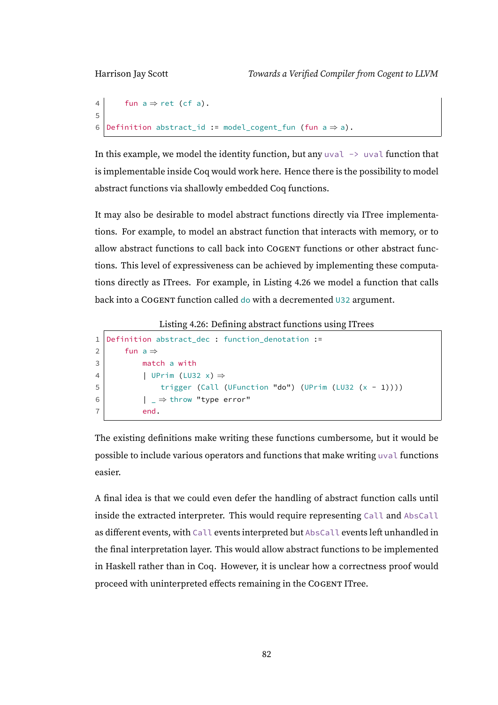```
4 fun a \Rightarrow ret (cf a).
5
6 Definition abstract_id := model_cogent_fun (fun a \Rightarrow a).
```
In this example, we model the identity function, but any  $u \vee a1 \rightarrow u \vee a1$  function that is implementable inside Coq would work here. Hence there is the possibility to model abstract functions via shallowly embedded Coq functions.

It may also be desirable to model abstract functions directly via ITree implementations. For example, to model an abstract function that interacts with memory, or to allow abstract functions to call back into COGENT functions or other abstract functions. This level of expressiveness can be achieved by implementing these computations directly as ITrees. For example, in Listing [4.26](#page-87-0) we model a function that calls back into a COGENT function called do with a decremented U32 argument.

Listing 4.26: Defining abstract functions using ITrees

```
1 Definition abstract_dec : function_denotation :=
2 fun a \Rightarrow3 match a with
4 | UPrim (LU32 x) \Rightarrow5 trigger (Call (UFunction "do") (UPrim (LU32 (x - 1))))
6 | \Rightarrow throw "type error"
7 end.
```
The existing definitions make writing these functions cumbersome, but it would be possible to include various operators and functions that make writing uval functions easier.

A final idea is that we could even defer the handling of abstract function calls until inside the extracted interpreter. This would require representing Call and AbsCall as different events, with Call events interpreted but AbsCall events left unhandled in the final interpretation layer. This would allow abstract functions to be implemented in Haskell rather than in Coq. However, it is unclear how a correctness proof would proceed with uninterpreted effects remaining in the COGENT ITree.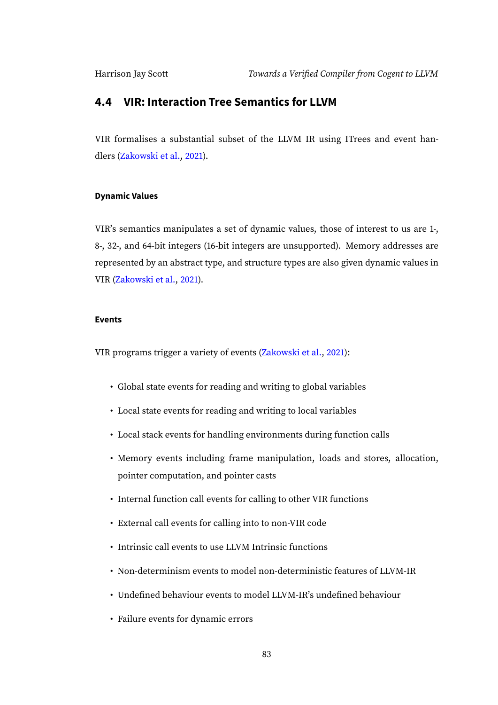#### <span id="page-88-0"></span>**4.4 VIR: Interaction Tree Semantics for LLVM**

VIR formalises a substantial subset of the LLVM IR using ITrees and event handlers [\(Zakowski et al.,](#page-111-0) [2021\)](#page-111-0).

#### **Dynamic Values**

VIR's semantics manipulates a set of dynamic values, those of interest to us are 1-, 8-, 32-, and 64-bit integers (16-bit integers are unsupported). Memory addresses are represented by an abstract type, and structure types are also given dynamic values in VIR [\(Zakowski et al.,](#page-111-0) [2021\)](#page-111-0).

#### **Events**

VIR programs trigger a variety of events [\(Zakowski et al.,](#page-111-0) [2021\)](#page-111-0):

- Global state events for reading and writing to global variables
- Local state events for reading and writing to local variables
- Local stack events for handling environments during function calls
- Memory events including frame manipulation, loads and stores, allocation, pointer computation, and pointer casts
- Internal function call events for calling to other VIR functions
- External call events for calling into to non-VIR code
- Intrinsic call events to use LLVM Intrinsic functions
- Non-determinism events to model non-deterministic features of LLVM-IR
- Undefined behaviour events to model LLVM-IR's undefined behaviour
- Failure events for dynamic errors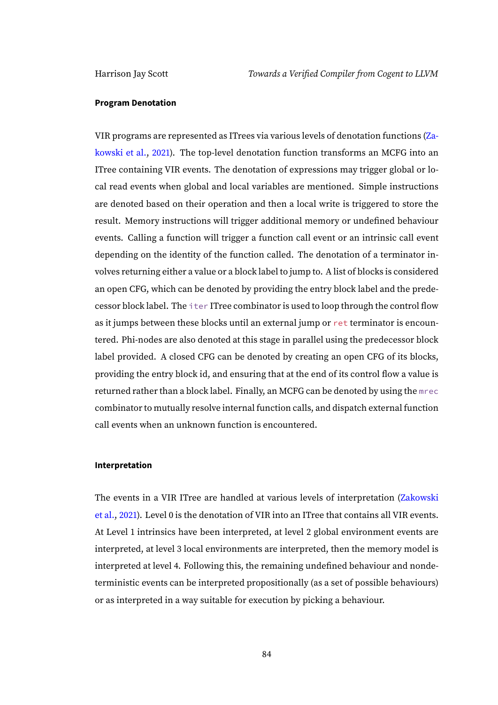#### **Program Denotation**

VIR programs are represented as ITrees via various levels of denotation functions [\(Za](#page-111-0)[kowski et al.,](#page-111-0) [2021\)](#page-111-0). The top-level denotation function transforms an MCFG into an ITree containing VIR events. The denotation of expressions may trigger global or local read events when global and local variables are mentioned. Simple instructions are denoted based on their operation and then a local write is triggered to store the result. Memory instructions will trigger additional memory or undefined behaviour events. Calling a function will trigger a function call event or an intrinsic call event depending on the identity of the function called. The denotation of a terminator involves returning either a value or a block label to jump to. A list of blocks is considered an open CFG, which can be denoted by providing the entry block label and the predecessor block label. The iter ITree combinator is used to loop through the control flow as it jumps between these blocks until an external jump or ret terminator is encountered. Phi-nodes are also denoted at this stage in parallel using the predecessor block label provided. A closed CFG can be denoted by creating an open CFG of its blocks, providing the entry block id, and ensuring that at the end of its control flow a value is returned rather than a block label. Finally, an MCFG can be denoted by using the mrec combinator to mutually resolve internal function calls, and dispatch external function call events when an unknown function is encountered.

#### **Interpretation**

The events in a VIR ITree are handled at various levels of interpretation [\(Zakowski](#page-111-0) [et al.,](#page-111-0) [2021\)](#page-111-0). Level 0 is the denotation of VIR into an ITree that contains all VIR events. At Level 1 intrinsics have been interpreted, at level 2 global environment events are interpreted, at level 3 local environments are interpreted, then the memory model is interpreted at level 4. Following this, the remaining undefined behaviour and nondeterministic events can be interpreted propositionally (as a set of possible behaviours) or as interpreted in a way suitable for execution by picking a behaviour.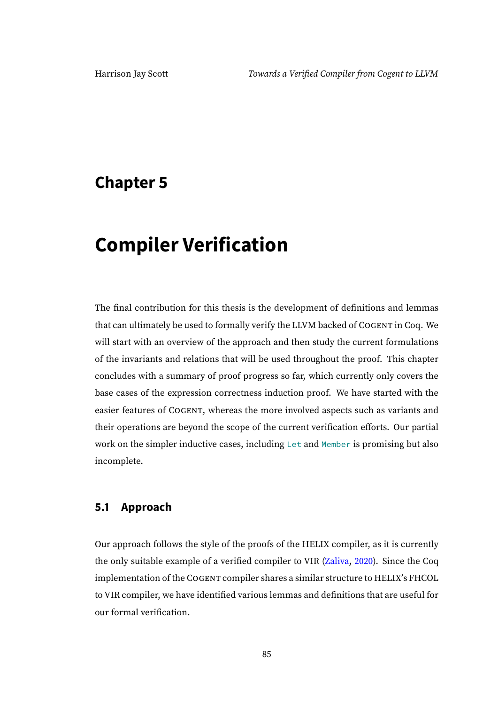## <span id="page-90-0"></span>**Chapter 5**

# **Compiler Verification**

The final contribution for this thesis is the development of definitions and lemmas that can ultimately be used to formally verify the LLVM backed of COGENT in Coq. We will start with an overview of the approach and then study the current formulations of the invariants and relations that will be used throughout the proof. This chapter concludes with a summary of proof progress so far, which currently only covers the base cases of the expression correctness induction proof. We have started with the easier features of COGENT, whereas the more involved aspects such as variants and their operations are beyond the scope of the current verification efforts. Our partial work on the simpler inductive cases, including Let and Member is promising but also incomplete.

#### **5.1 Approach**

Our approach follows the style of the proofs of the HELIX compiler, as it is currently the only suitable example of a verified compiler to VIR [\(Zaliva,](#page-111-2) [2020\)](#page-111-2). Since the Coq implementation of the COGENT compiler shares a similar structure to HELIX's FHCOL to VIR compiler, we have identified various lemmas and definitions that are useful for our formal verification.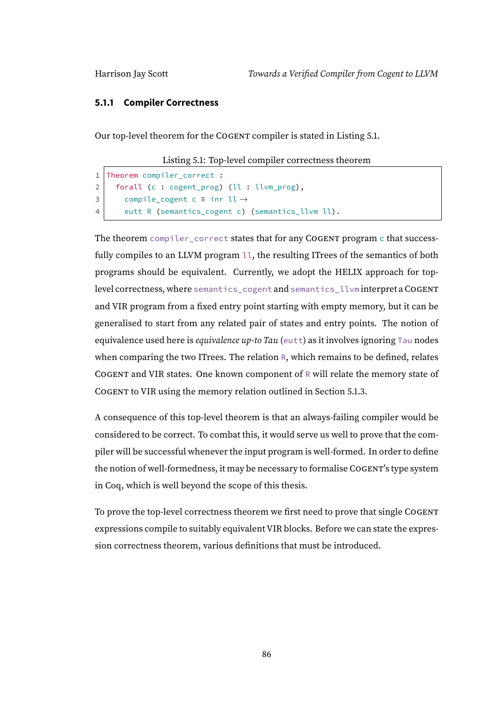#### **5.1.1 Compiler Correctness**

<span id="page-91-0"></span>Our top-level theorem for the COGENT compiler is stated in Listing [5.1.](#page-91-0)

Listing 5.1: Top-level compiler correctness theorem

```
1 Theorem compiler_correct :
2 forall (c : cogent_prog) (ll : llvm_prog),
3 compile_cogent c = inr ll \rightarrow4 eutt R (semantics_cogent c) (semantics_llvm ll).
```
The theorem compiler\_correct states that for any COGENT program c that successfully compiles to an LLVM program  $\mathfrak{u}$ , the resulting ITrees of the semantics of both programs should be equivalent. Currently, we adopt the HELIX approach for toplevel correctness, where semantics\_cogent and semantics\_llvm interpret aCOGENT and VIR program from a fixed entry point starting with empty memory, but it can be generalised to start from any related pair of states and entry points. The notion of equivalence used here is equivalence up-to Tau (eutt) as it involves ignoring Tau nodes when comparing the two ITrees. The relation R, which remains to be defined, relates COGENT and VIR states. One known component of R will relate the memory state of COGENT to VIR using the memory relation outlined in Section [5.1.3.](#page-93-0)

A consequence of this top-level theorem is that an always-failing compiler would be considered to be correct. To combat this, it would serve us well to prove that the compiler will be successful whenever the input program is well-formed. In order to define the notion of well-formedness, it may be necessary to formalise COGENT's type system in Coq, which is well beyond the scope of this thesis.

To prove the top-level correctness theorem we first need to prove that single COGENT expressions compile to suitably equivalent VIR blocks. Before we can state the expression correctness theorem, various definitions that must be introduced.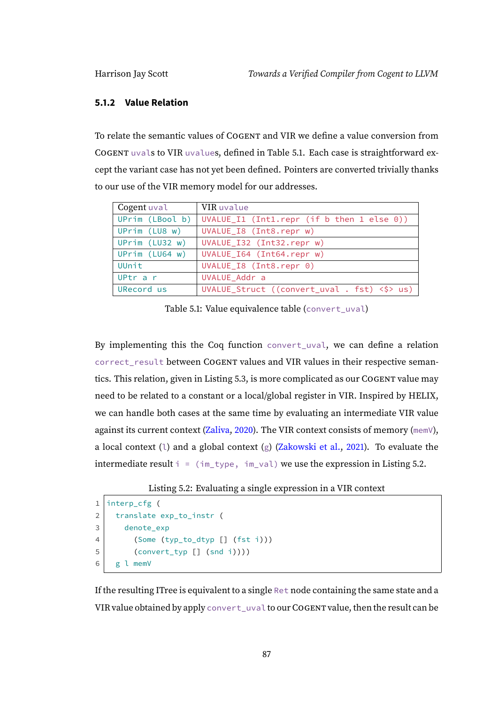#### **5.1.2 Value Relation**

To relate the semantic values of COGENT and VIR we define a value conversion from COGENT uvals to VIR uvalues, defined in Table [5.1.](#page-92-0) Each case is straightforward except the variant case has not yet been defined. Pointers are converted trivially thanks to our use of the VIR memory model for our addresses.

| Cogent uval     | VIR uvalue                                           |
|-----------------|------------------------------------------------------|
| UPrim (LBool b) | UVALUE_I1 (Int1.repr (if $b$ then 1 else 0))         |
| UPrim (LU8 w)   | UVALUE_I8 (Int8.repr w)                              |
| UPrim (LU32 w)  | UVALUE_I32 (Int32.repr w)                            |
| UPrim (LU64 w)  | UVALUE_I64 (Int64.repr w)                            |
| UUnit           | UVALUE_I8 (Int8.repr 0)                              |
| UPtr a r        | UVALUE_Addr a                                        |
| URecord us      | UVALUE_Struct ((convert_uval . fst) < $\Diamond$ us) |

<span id="page-92-0"></span>Table 5.1: Value equivalence table (convert\_uval)

By implementing this the Coq function convert\_uval, we can define a relation correct\_result between COGENT values and VIR values in their respective semantics. This relation, given in Listing [5.3,](#page-93-1) is more complicated as our COGENT value may need to be related to a constant or a local/global register in VIR. Inspired by HELIX, we can handle both cases at the same time by evaluating an intermediate VIR value against its current context [\(Zaliva,](#page-111-2) [2020\)](#page-111-2). The VIR context consists of memory (memV), a local context (1) and a global context (g) [\(Zakowski et al.,](#page-111-0) [2021\)](#page-111-0). To evaluate the intermediate result  $i = (im_t | v_{pe}, im_v a]$  we use the expression in Listing [5.2.](#page-92-1)

```
Listing 5.2: Evaluating a single expression in a VIR context
```

```
1 interp_cfg (
2 translate exp_to_instr (
3 denote_exp
4 (Some (typ_to_dtyp [] (fst i)))
5 (convert_typ [] (snd i))))
6 g l memV
```
If the resulting ITree is equivalent to a single Ret node containing the same state and a VIR value obtained by apply convert\_uval to ourCOGENT value, then the result can be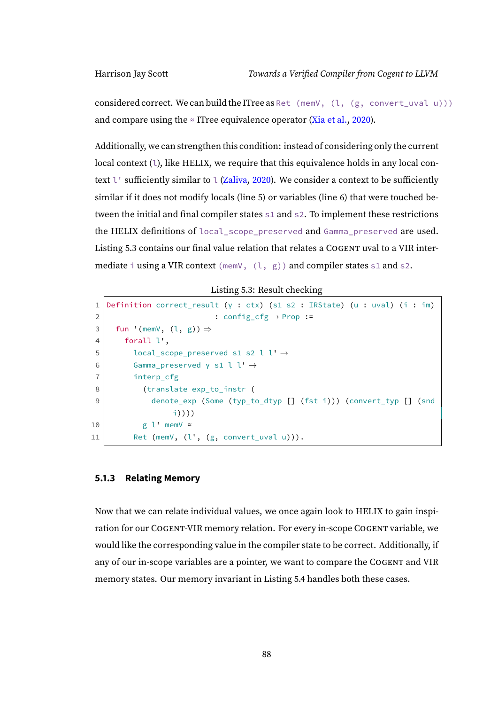considered correct. We can build the ITree as Ret (memV,  $(l, (g, \text{convert\_uval } u)))$ ) and compare using the  $\approx$  ITree equivalence operator [\(Xia et al.,](#page-111-1) [2020\)](#page-111-1).

Additionally, we can strengthen this condition: instead of considering only the current local context (1), like HELIX, we require that this equivalence holds in any local context  $\iota$  sufficiently similar to  $\iota$  [\(Zaliva,](#page-111-2) [2020\)](#page-111-2). We consider a context to be sufficiently similar if it does not modify locals (line 5) or variables (line 6) that were touched between the initial and final compiler states s1 and s2. To implement these restrictions the HELIX definitions of local scope preserved and Gamma preserved are used. Listing [5.3](#page-93-1) contains our final value relation that relates a COGENT uval to a VIR intermediate i using a VIR context (memV,  $(1, g)$ ) and compiler states s1 and s2.

Listing 5.3: Result checking

```
1 Definition correct_result (γ : ctx) (s1 s2 : IRState) (u : uval) (i : im)
2 : config cfg \rightarrow Prop :=
3 fun '(memV, (l, g)) \Rightarrow4 forall l',
5 local_scope_preserved s1 s2 l l' \rightarrow6 Gamma preserved γ s1 l l' \rightarrow7 interp_cfg
8 (translate exp_to_instr (
9 denote_exp (Some (typ_to_dtyp [] (fst i))) (convert_typ [] (snd
                i))))
10 g l' memV ≈
11 Ret (memV, (l', (g, convert_lval u))).
```
#### <span id="page-93-0"></span>**5.1.3 Relating Memory**

Now that we can relate individual values, we once again look to HELIX to gain inspiration for our COGENT-VIR memory relation. For every in-scope COGENT variable, we would like the corresponding value in the compiler state to be correct. Additionally, if any of our in-scope variables are a pointer, we want to compare the COGENT and VIR memory states. Our memory invariant in Listing [5.4](#page-94-0) handles both these cases.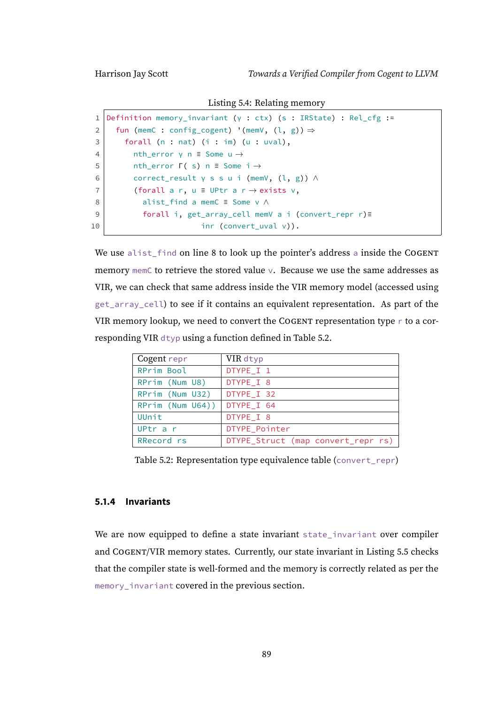Listing 5.4: Relating memory

<span id="page-94-0"></span>

|                | Definition memory_invariant ( $\gamma$ : ctx) (s : IRState) : Rel_cfg := |
|----------------|--------------------------------------------------------------------------|
| $\overline{2}$ | fun (memC : config_cogent) '(memV, $(l, g)$ ) $\Rightarrow$              |
| 3              | forall $(n : nat)$ $(i : im)$ $(u : uval)$ ,                             |
| $\overline{4}$ | nth error $y$ n = Some $u \rightarrow$                                   |
| 5              | nth error $\Gamma$ ( s) n = Some $i \rightarrow$                         |
| 6              | correct_result $\gamma$ s s u i (memV, $(l, g)$ ) $\wedge$               |
| $\overline{7}$ | (forall a r, $u \equiv$ UPtr a r $\rightarrow$ exists v,                 |
| 8              | alist_find a memC $\equiv$ Some $\vee \wedge$                            |
| 9              | forall i, get_array_cell memV a i (convert_repr r)=                      |
| 10             | inr (convert uval $v$ )).                                                |

We use alist\_find on line 8 to look up the pointer's address a inside the COGENT memory memC to retrieve the stored value v. Because we use the same addresses as VIR, we can check that same address inside the VIR memory model (accessed using get\_array\_cell) to see if it contains an equivalent representation. As part of the VIR memory lookup, we need to convert the COGENT representation type r to a corresponding VIR dtyp using a function defined in Table [5.2.](#page-94-1)

<span id="page-94-1"></span>

| Cogent repr      | VIR dtyp                           |
|------------------|------------------------------------|
| RPrim Bool       | DTYPE_I 1                          |
| RPrim (Num U8)   | DTYPE I 8                          |
| RPrim (Num U32)  | DTYPE_I 32                         |
| RPrim (Num U64)) | DTYPE_I 64                         |
| UUnit            | DTYPE_I 8                          |
| UPtr a r         | DTYPE_Pointer                      |
| RRecord rs       | DTYPE_Struct (map convert_repr rs) |

Table 5.2: Representation type equivalence table (convert\_repr)

#### **5.1.4 Invariants**

We are now equipped to define a state invariant state\_invariant over compiler and COGENT/VIR memory states. Currently, our state invariant in Listing [5.5](#page-95-0) checks that the compiler state is well-formed and the memory is correctly related as per the memory\_invariant covered in the previous section.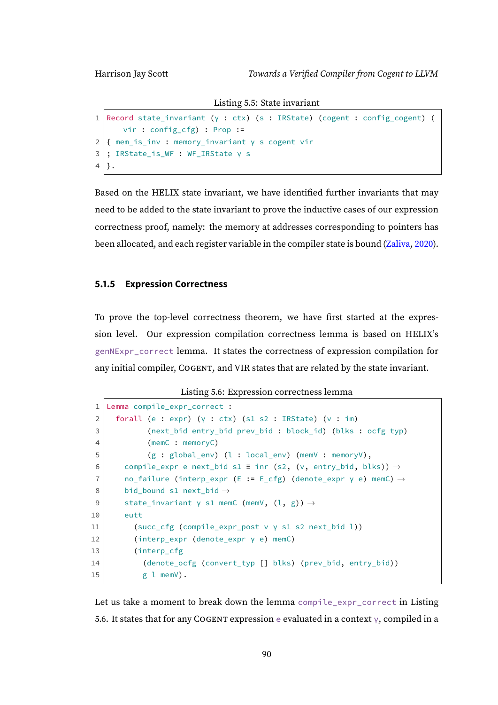Listing 5.5: State invariant

```
1 Record state_invariant (γ : ctx) (s : IRState) (cogent : config_cogent) (
      vir : config_cfg) : Prop :=
2 { mem_is_inv : memory_invariant γ s cogent vir
3 ; IRState_is_WF : WF_IRState γ s
4 |.
```
Based on the HELIX state invariant, we have identified further invariants that may need to be added to the state invariant to prove the inductive cases of our expression correctness proof, namely: the memory at addresses corresponding to pointers has been allocated, and each register variable in the compiler state is bound [\(Zaliva,](#page-111-2) [2020\)](#page-111-2).

#### **5.1.5 Expression Correctness**

To prove the top-level correctness theorem, we have first started at the expression level. Our expression compilation correctness lemma is based on HELIX's genNExpr\_correct lemma. It states the correctness of expression compilation for any initial compiler, COGENT, and VIR states that are related by the state invariant.

Listing 5.6: Expression correctness lemma

```
1 Lemma compile_expr_correct :
2 forall (e : expr) (γ : ctx) (s1 s2 : IRState) (v : im)
3 (next_bid entry_bid prev_bid : block_id) (blks : ocfg typ)
4 (memC : memoryC)
 5 (g : global_env) (l : local_env) (memV : memoryV),
 6 compile_expr e next_bid s1 \equiv inr (s2, (v, entry_bid, blks)) \rightarrow7 | no_failure (interp_expr (E := E_cfg) (denote_expr γ e) memC) \rightarrow8 bid bound s1 next bid \rightarrow9 state_invariant γ s1 memC (memV, (l, g)) \rightarrow10 eutt
11 (succ_cfg (compile_expr_post v \gamma s1 s2 next_bid l))
12 (interp_expr (denote_expr γ e) memC)
13 (interp_cfg
14 (denote_ocfg (convert_typ [] blks) (prev_bid, entry_bid))
15 g l memV).
```
Let us take a moment to break down the lemma compile\_expr\_correct in Listing [5.6.](#page-95-1) It states that for any COGENT expression e evaluated in a context  $\gamma$ , compiled in a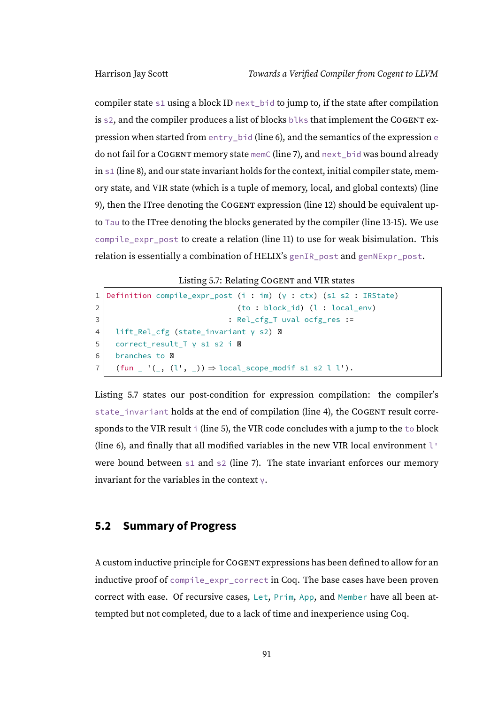compiler state s1 using a block ID next\_bid to jump to, if the state after compilation is s2, and the compiler produces a list of blocks blks that implement the COGENT expression when started from entry\_bid (line 6), and the semantics of the expression e do not fail for a COGENT memory state memC (line 7), and next\_bid was bound already in s1 (line 8), and our state invariant holds for the context, initial compiler state, memory state, and VIR state (which is a tuple of memory, local, and global contexts) (line 9), then the ITree denoting the COGENT expression (line 12) should be equivalent upto Tau to the ITree denoting the blocks generated by the compiler (line 13-15). We use compile\_expr\_post to create a relation (line 11) to use for weak bisimulation. This relation is essentially a combination of HELIX's genIR\_post and genNExpr\_post.

Listing 5.7: Relating COGENT and VIR states

```
1 Definition compile_expr_post (i : im) (γ : ctx) (s1 s2 : IRState)
2 (to : block id) (l : local env)
3 | Solution : Rel_cfg_T uval ocfg_res :=
4 lift_Rel_cfg (state_invariant γ s2) �
5 correct_result_T γ s1 s2 i �
6 branches to \boxtimes7 \mid (fun \mid '(_, (l', _)) \Rightarrow local_scope_modif s1 s2 l l').
```
Listing [5.7](#page-96-0) states our post-condition for expression compilation: the compiler's state\_invariant holds at the end of compilation (line 4), the COGENT result corresponds to the VIR result  $\dagger$  (line 5), the VIR code concludes with a jump to the  $\dagger$ o block (line 6), and finally that all modified variables in the new VIR local environment l' were bound between  $\leq 1$  and  $\leq 2$  (line 7). The state invariant enforces our memory invariant for the variables in the context  $\vee$ .

#### **5.2 Summary of Progress**

A custom inductive principle for COGENT expressions has been defined to allow for an inductive proof of compile\_expr\_correct in Coq. The base cases have been proven correct with ease. Of recursive cases, Let, Prim, App, and Member have all been attempted but not completed, due to a lack of time and inexperience using Coq.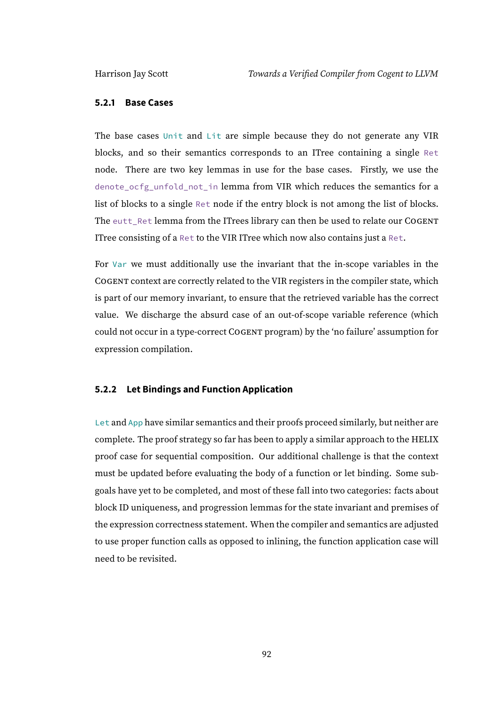#### **5.2.1 Base Cases**

The base cases Unit and Lit are simple because they do not generate any VIR blocks, and so their semantics corresponds to an ITree containing a single Ret node. There are two key lemmas in use for the base cases. Firstly, we use the denote\_ocfg\_unfold\_not\_in lemma from VIR which reduces the semantics for a list of blocks to a single Ret node if the entry block is not among the list of blocks. The eutt\_Ret lemma from the ITrees library can then be used to relate our COGENT ITree consisting of a Ret to the VIR ITree which now also contains just a Ret.

For Var we must additionally use the invariant that the in-scope variables in the COGENT context are correctly related to the VIR registers in the compiler state, which is part of our memory invariant, to ensure that the retrieved variable has the correct value. We discharge the absurd case of an out-of-scope variable reference (which could not occur in a type-correct COGENT program) by the 'no failure' assumption for expression compilation.

#### **5.2.2 Let Bindings and Function Application**

Let and App have similar semantics and their proofs proceed similarly, but neither are complete. The proof strategy so far has been to apply a similar approach to the HELIX proof case for sequential composition. Our additional challenge is that the context must be updated before evaluating the body of a function or let binding. Some subgoals have yet to be completed, and most of these fall into two categories: facts about block ID uniqueness, and progression lemmas for the state invariant and premises of the expression correctness statement. When the compiler and semantics are adjusted to use proper function calls as opposed to inlining, the function application case will need to be revisited.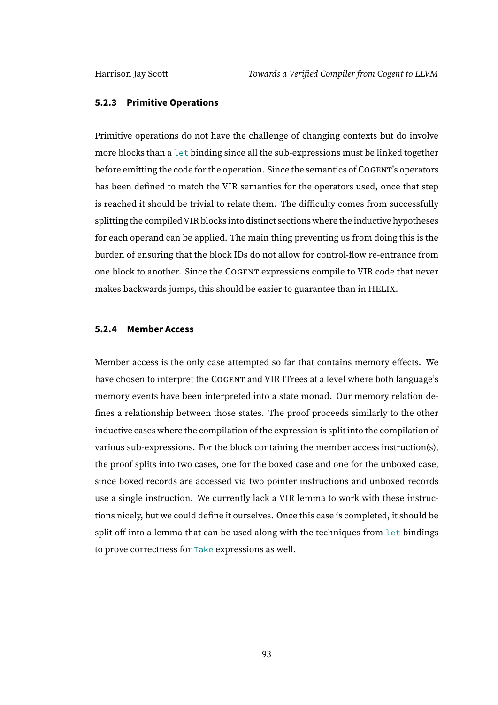#### **5.2.3 Primitive Operations**

Primitive operations do not have the challenge of changing contexts but do involve more blocks than a let binding since all the sub-expressions must be linked together before emitting the code for the operation. Since the semantics of COGENT's operators has been defined to match the VIR semantics for the operators used, once that step is reached it should be trivial to relate them. The difficulty comes from successfully splitting the compiledVIR blocks into distinct sections where the inductive hypotheses for each operand can be applied. The main thing preventing us from doing this is the burden of ensuring that the block IDs do not allow for control-flow re-entrance from one block to another. Since the COGENT expressions compile to VIR code that never makes backwards jumps, this should be easier to guarantee than in HELIX.

#### **5.2.4 Member Access**

Member access is the only case attempted so far that contains memory effects. We have chosen to interpret the COGENT and VIR ITrees at a level where both language's memory events have been interpreted into a state monad. Our memory relation defines a relationship between those states. The proof proceeds similarly to the other inductive cases where the compilation of the expression is split into the compilation of various sub-expressions. For the block containing the member access instruction(s), the proof splits into two cases, one for the boxed case and one for the unboxed case, since boxed records are accessed via two pointer instructions and unboxed records use a single instruction. We currently lack a VIR lemma to work with these instructions nicely, but we could define it ourselves. Once this case is completed, it should be split off into a lemma that can be used along with the techniques from let bindings to prove correctness for Take expressions as well.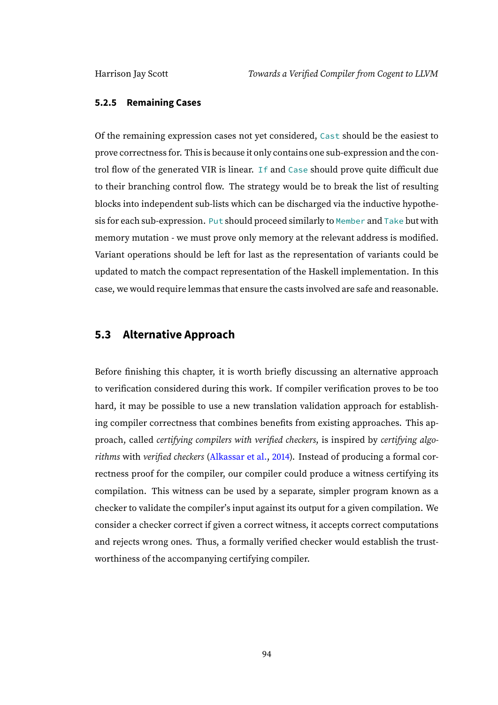#### **5.2.5 Remaining Cases**

Of the remaining expression cases not yet considered, Cast should be the easiest to prove correctness for. This is because it only contains one sub-expression and the control flow of the generated VIR is linear. If and Case should prove quite difficult due to their branching control flow. The strategy would be to break the list of resulting blocks into independent sub-lists which can be discharged via the inductive hypothesis for each sub-expression. Put should proceed similarly to Member and Take but with memory mutation - we must prove only memory at the relevant address is modified. Variant operations should be left for last as the representation of variants could be updated to match the compact representation of the Haskell implementation. In this case, we would require lemmas that ensure the casts involved are safe and reasonable.

#### **5.3 Alternative Approach**

Before finishing this chapter, it is worth briefly discussing an alternative approach to verification considered during this work. If compiler verification proves to be too hard, it may be possible to use a new translation validation approach for establishing compiler correctness that combines benefits from existing approaches. This approach, called certifying compilers with verified checkers, is inspired by certifying algorithms with verified checkers [\(Alkassar et al.,](#page-109-0) [2014\)](#page-109-0). Instead of producing a formal correctness proof for the compiler, our compiler could produce a witness certifying its compilation. This witness can be used by a separate, simpler program known as a checker to validate the compiler's input against its output for a given compilation. We consider a checker correct if given a correct witness, it accepts correct computations and rejects wrong ones. Thus, a formally verified checker would establish the trustworthiness of the accompanying certifying compiler.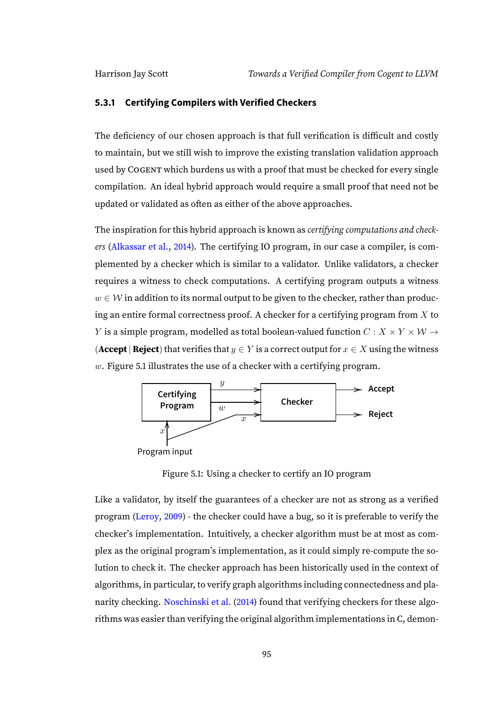#### **5.3.1 Certifying Compilers with Verified Checkers**

The deficiency of our chosen approach is that full verification is difficult and costly to maintain, but we still wish to improve the existing translation validation approach used by COGENT which burdens us with a proof that must be checked for every single compilation. An ideal hybrid approach would require a small proof that need not be updated or validated as often as either of the above approaches.

The inspiration for this hybrid approach is known as *certifying computations and check*ers [\(Alkassar et al.,](#page-109-0) [2014\)](#page-109-0). The certifying IO program, in our case a compiler, is complemented by a checker which is similar to a validator. Unlike validators, a checker requires a witness to check computations. A certifying program outputs a witness  $w \in \mathcal{W}$  in addition to its normal output to be given to the checker, rather than producing an entire formal correctness proof. A checker for a certifying program from  $X$  to Y is a simple program, modelled as total boolean-valued function  $C: X \times Y \times W \rightarrow$ (**Accept** | **Reject**) that verifies that  $y \in Y$  is a correct output for  $x \in X$  using the witness  $w$ . Figure [5.1](#page-100-0) illustrates the use of a checker with a certifying program.



<span id="page-100-0"></span>Figure 5.1: Using a checker to certify an IO program

Like a validator, by itself the guarantees of a checker are not as strong as a verified program [\(Leroy,](#page-110-1) [2009\)](#page-110-1) - the checker could have a bug, so it is preferable to verify the checker's implementation. Intuitively, a checker algorithm must be at most as complex as the original program's implementation, as it could simply re-compute the solution to check it. The checker approach has been historically used in the context of algorithms, in particular, to verify graph algorithms including connectedness and planarity checking. [Noschinski et al.](#page-110-2) [\(2014\)](#page-110-2) found that verifying checkers for these algorithms was easier than verifying the original algorithm implementations in C, demon-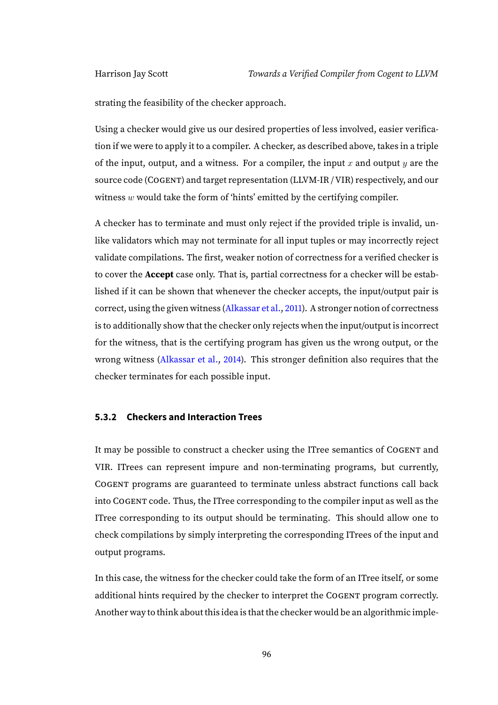strating the feasibility of the checker approach.

Using a checker would give us our desired properties of less involved, easier verification if we were to apply it to a compiler. A checker, as described above, takes in a triple of the input, output, and a witness. For a compiler, the input  $x$  and output  $y$  are the source code (COGENT) and target representation (LLVM-IR / VIR) respectively, and our witness  $w$  would take the form of 'hints' emitted by the certifying compiler.

A checker has to terminate and must only reject if the provided triple is invalid, unlike validators which may not terminate for all input tuples or may incorrectly reject validate compilations. The first, weaker notion of correctness for a verified checker is to cover the **Accept** case only. That is, partial correctness for a checker will be established if it can be shown that whenever the checker accepts, the input/output pair is correct, using the given witness [\(Alkassar et al.,](#page-109-1) [2011\)](#page-109-1). A stronger notion of correctness is to additionally show that the checker only rejects when the input/output is incorrect for the witness, that is the certifying program has given us the wrong output, or the wrong witness [\(Alkassar et al.,](#page-109-0) [2014\)](#page-109-0). This stronger definition also requires that the checker terminates for each possible input.

#### **5.3.2 Checkers and Interaction Trees**

It may be possible to construct a checker using the ITree semantics of COGENT and VIR. ITrees can represent impure and non-terminating programs, but currently, COGENT programs are guaranteed to terminate unless abstract functions call back into COGENT code. Thus, the ITree corresponding to the compiler input as well as the ITree corresponding to its output should be terminating. This should allow one to check compilations by simply interpreting the corresponding ITrees of the input and output programs.

In this case, the witness for the checker could take the form of an ITree itself, or some additional hints required by the checker to interpret the COGENT program correctly. Another way to think about this idea is that the checker would be an algorithmic imple-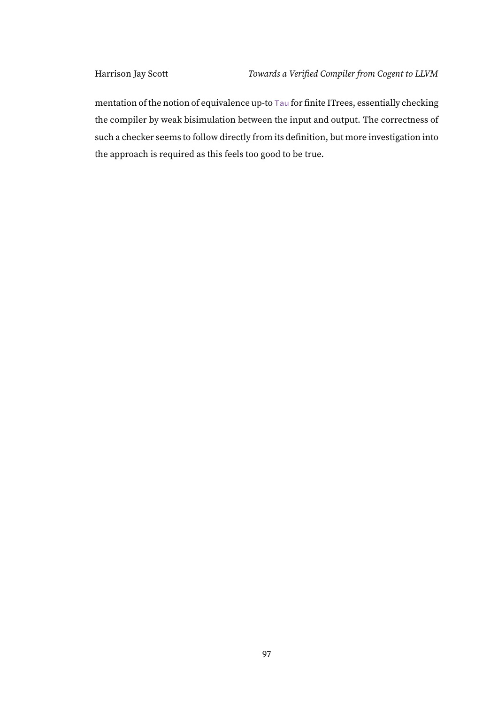mentation of the notion of equivalence up-to Tau for finite ITrees, essentially checking the compiler by weak bisimulation between the input and output. The correctness of such a checker seems to follow directly from its definition, but more investigation into the approach is required as this feels too good to be true.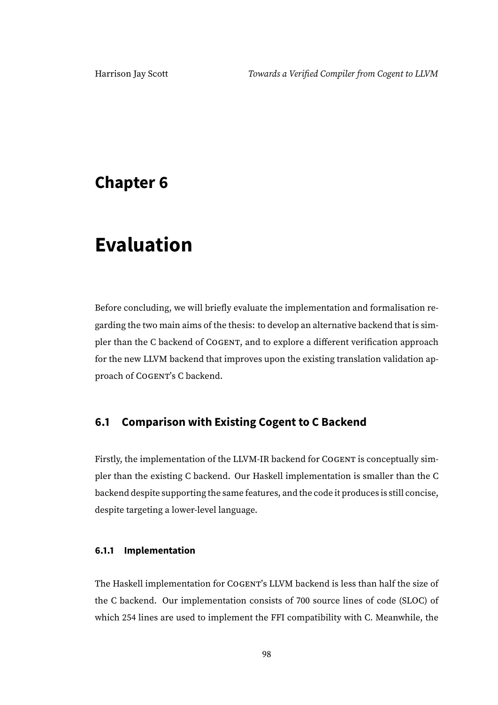## **Chapter 6**

# **Evaluation**

Before concluding, we will briefly evaluate the implementation and formalisation regarding the two main aims of the thesis: to develop an alternative backend that is simpler than the C backend of COGENT, and to explore a different verification approach for the new LLVM backend that improves upon the existing translation validation approach of COGENT's C backend.

### **6.1 Comparison with Existing Cogent to C Backend**

Firstly, the implementation of the LLVM-IR backend for COGENT is conceptually simpler than the existing C backend. Our Haskell implementation is smaller than the C backend despite supporting the same features, and the code it produces is still concise, despite targeting a lower-level language.

#### **6.1.1 Implementation**

The Haskell implementation for COGENT's LLVM backend is less than half the size of the C backend. Our implementation consists of 700 source lines of code (SLOC) of which 254 lines are used to implement the FFI compatibility with C. Meanwhile, the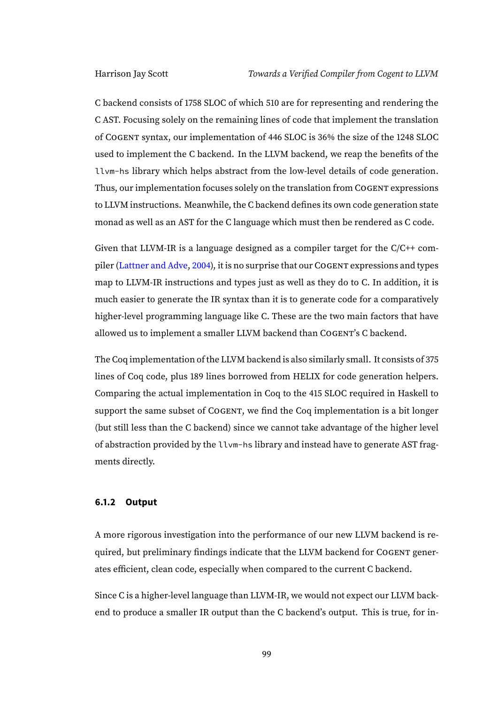C backend consists of 1758 SLOC of which 510 are for representing and rendering the C AST. Focusing solely on the remaining lines of code that implement the translation of COGENT syntax, our implementation of 446 SLOC is 36% the size of the 1248 SLOC used to implement the C backend. In the LLVM backend, we reap the benefits of the llvm-hs library which helps abstract from the low-level details of code generation. Thus, our implementation focuses solely on the translation from COGENT expressions to LLVM instructions. Meanwhile, the C backend defines its own code generation state monad as well as an AST for the C language which must then be rendered as C code.

Given that LLVM-IR is a language designed as a compiler target for the C/C++ compiler [\(Lattner and Adve,](#page-110-3) [2004\)](#page-110-3), it is no surprise that our COGENT expressions and types map to LLVM-IR instructions and types just as well as they do to C. In addition, it is much easier to generate the IR syntax than it is to generate code for a comparatively higher-level programming language like C. These are the two main factors that have allowed us to implement a smaller LLVM backend than COGENT's C backend.

The Coq implementation of the LLVM backend is also similarly small. It consists of 375 lines of Coq code, plus 189 lines borrowed from HELIX for code generation helpers. Comparing the actual implementation in Coq to the 415 SLOC required in Haskell to support the same subset of COGENT, we find the Coq implementation is a bit longer (but still less than the C backend) since we cannot take advantage of the higher level of abstraction provided by the llvm-hs library and instead have to generate AST fragments directly.

#### **6.1.2 Output**

A more rigorous investigation into the performance of our new LLVM backend is required, but preliminary findings indicate that the LLVM backend for COGENT generates efficient, clean code, especially when compared to the current C backend.

Since C is a higher-level language than LLVM-IR, we would not expect our LLVM backend to produce a smaller IR output than the C backend's output. This is true, for in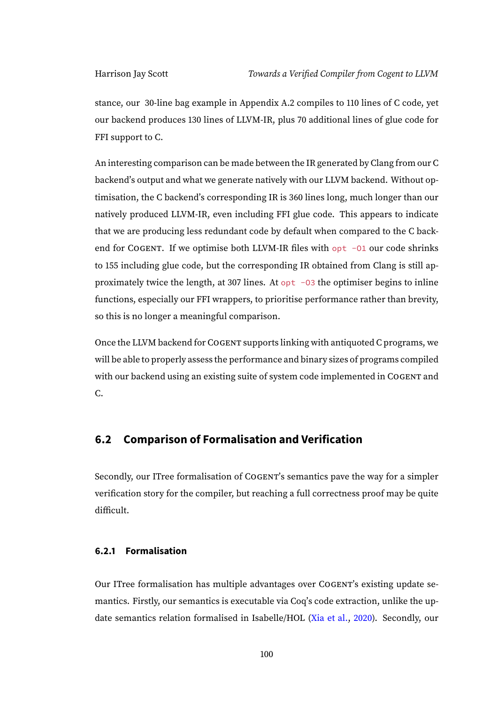stance, our 30-line bag example in Appendix [A.2](#page-115-0) compiles to 110 lines of C code, yet our backend produces 130 lines of LLVM-IR, plus 70 additional lines of glue code for FFI support to C.

An interesting comparison can be made between the IR generated by Clang from our C backend's output and what we generate natively with our LLVM backend. Without optimisation, the C backend's corresponding IR is 360 lines long, much longer than our natively produced LLVM-IR, even including FFI glue code. This appears to indicate that we are producing less redundant code by default when compared to the C backend for COGENT. If we optimise both LLVM-IR files with  $opt -01$  our code shrinks to 155 including glue code, but the corresponding IR obtained from Clang is still approximately twice the length, at 307 lines. At  $opt -03$  the optimiser begins to inline functions, especially our FFI wrappers, to prioritise performance rather than brevity, so this is no longer a meaningful comparison.

Once the LLVM backend for COGENT supports linking with antiquoted C programs, we will be able to properly assess the performance and binary sizes of programs compiled with our backend using an existing suite of system code implemented in COGENT and C.

#### **6.2 Comparison of Formalisation and Verification**

Secondly, our ITree formalisation of COGENT's semantics pave the way for a simpler verification story for the compiler, but reaching a full correctness proof may be quite difficult.

#### **6.2.1 Formalisation**

Our ITree formalisation has multiple advantages over COGENT's existing update semantics. Firstly, our semantics is executable via Coq's code extraction, unlike the update semantics relation formalised in Isabelle/HOL [\(Xia et al.,](#page-111-1) [2020\)](#page-111-1). Secondly, our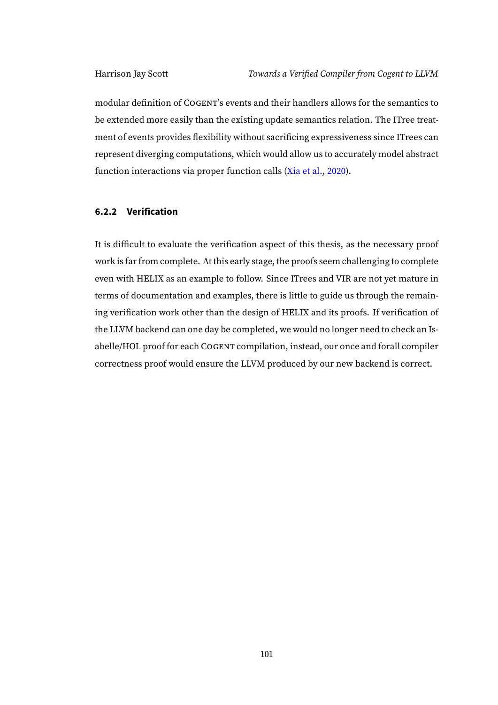modular definition of COGENT's events and their handlers allows for the semantics to be extended more easily than the existing update semantics relation. The ITree treatment of events provides flexibility without sacrificing expressiveness since ITrees can represent diverging computations, which would allow us to accurately model abstract function interactions via proper function calls [\(Xia et al.,](#page-111-1) [2020\)](#page-111-1).

#### **6.2.2 Verification**

It is difficult to evaluate the verification aspect of this thesis, as the necessary proof work is far from complete. At this early stage, the proofs seem challenging to complete even with HELIX as an example to follow. Since ITrees and VIR are not yet mature in terms of documentation and examples, there is little to guide us through the remaining verification work other than the design of HELIX and its proofs. If verification of the LLVM backend can one day be completed, we would no longer need to check an Isabelle/HOL proof for each COGENT compilation, instead, our once and forall compiler correctness proof would ensure the LLVM produced by our new backend is correct.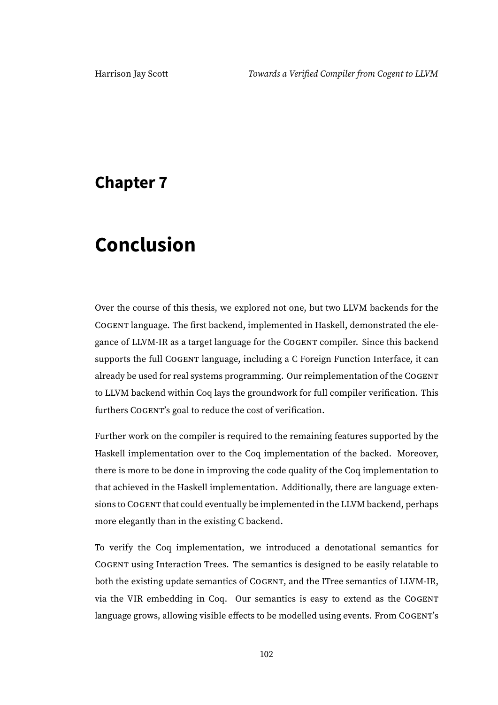## **Chapter 7**

# **Conclusion**

Over the course of this thesis, we explored not one, but two LLVM backends for the COGENT language. The first backend, implemented in Haskell, demonstrated the elegance of LLVM-IR as a target language for the COGENT compiler. Since this backend supports the full COGENT language, including a C Foreign Function Interface, it can already be used for real systems programming. Our reimplementation of the COGENT to LLVM backend within Coq lays the groundwork for full compiler verification. This furthers COGENT's goal to reduce the cost of verification.

Further work on the compiler is required to the remaining features supported by the Haskell implementation over to the Coq implementation of the backed. Moreover, there is more to be done in improving the code quality of the Coq implementation to that achieved in the Haskell implementation. Additionally, there are language extensions to COGENT that could eventually be implemented in the LLVM backend, perhaps more elegantly than in the existing C backend.

To verify the Coq implementation, we introduced a denotational semantics for COGENT using Interaction Trees. The semantics is designed to be easily relatable to both the existing update semantics of COGENT, and the ITree semantics of LLVM-IR, via the VIR embedding in Coq. Our semantics is easy to extend as the COGENT language grows, allowing visible effects to be modelled using events. From COGENT's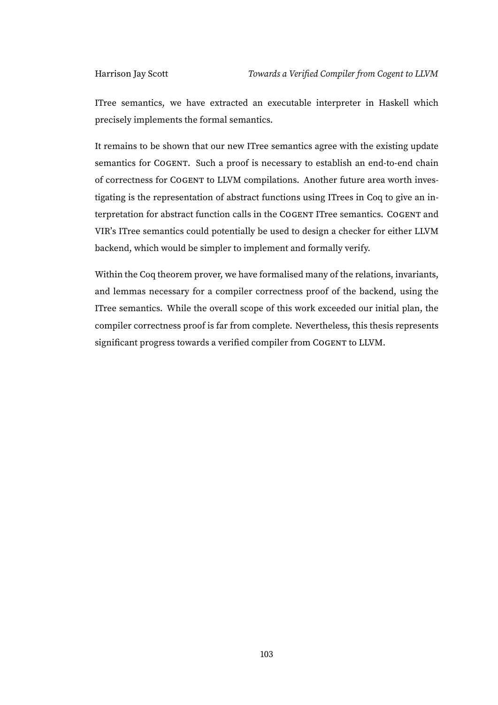ITree semantics, we have extracted an executable interpreter in Haskell which precisely implements the formal semantics.

It remains to be shown that our new ITree semantics agree with the existing update semantics for COGENT. Such a proof is necessary to establish an end-to-end chain of correctness for COGENT to LLVM compilations. Another future area worth investigating is the representation of abstract functions using ITrees in Coq to give an interpretation for abstract function calls in the COGENT ITree semantics. COGENT and VIR's ITree semantics could potentially be used to design a checker for either LLVM backend, which would be simpler to implement and formally verify.

Within the Coq theorem prover, we have formalised many of the relations, invariants, and lemmas necessary for a compiler correctness proof of the backend, using the ITree semantics. While the overall scope of this work exceeded our initial plan, the compiler correctness proof is far from complete. Nevertheless, this thesis represents significant progress towards a verified compiler from COGENT to LLVM.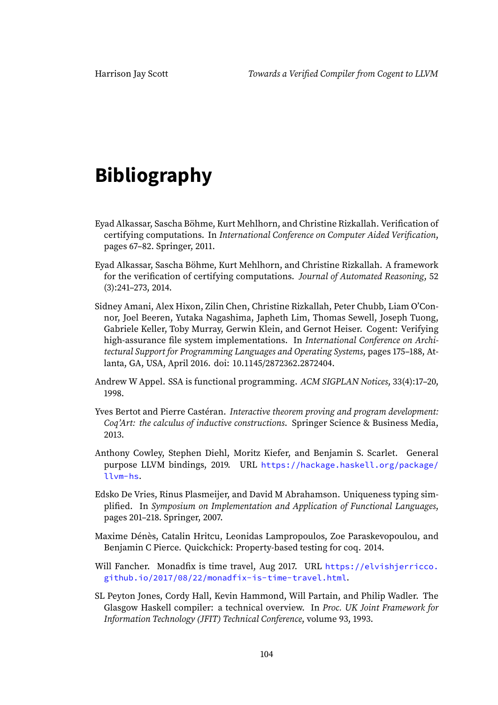# **Bibliography**

- Eyad Alkassar, Sascha Böhme, Kurt Mehlhorn, and Christine Rizkallah. Verification of certifying computations. In International Conference on Computer Aided Verification, pages 67–82. Springer, 2011.
- Eyad Alkassar, Sascha Böhme, Kurt Mehlhorn, and Christine Rizkallah. A framework for the verification of certifying computations. Journal of Automated Reasoning, 52 (3):241–273, 2014.
- Sidney Amani, Alex Hixon, Zilin Chen, Christine Rizkallah, Peter Chubb, Liam O'Connor, Joel Beeren, Yutaka Nagashima, Japheth Lim, Thomas Sewell, Joseph Tuong, Gabriele Keller, Toby Murray, Gerwin Klein, and Gernot Heiser. Cogent: Verifying high-assurance file system implementations. In International Conference on Architectural Support for Programming Languages and Operating Systems, pages 175–188, Atlanta, GA, USA, April 2016. doi: 10.1145/2872362.2872404.
- Andrew W Appel. SSA is functional programming. ACM SIGPLAN Notices, 33(4):17–20, 1998.
- Yves Bertot and Pierre Castéran. Interactive theorem proving and program development: Coq'Art: the calculus of inductive constructions. Springer Science & Business Media, 2013.
- Anthony Cowley, Stephen Diehl, Moritz Kiefer, and Benjamin S. Scarlet. General purpose LLVM bindings, 2019. URL [https://hackage.haskell.org/package/](https://hackage.haskell.org/package/llvm-hs) [llvm-hs](https://hackage.haskell.org/package/llvm-hs).
- Edsko De Vries, Rinus Plasmeijer, and David M Abrahamson. Uniqueness typing simplified. In Symposium on Implementation and Application of Functional Languages, pages 201–218. Springer, 2007.
- Maxime Dénès, Catalin Hritcu, Leonidas Lampropoulos, Zoe Paraskevopoulou, and Benjamin C Pierce. Quickchick: Property-based testing for coq. 2014.
- Will Fancher. Monadfix is time travel, Aug 2017. URL [https://elvishjerricco.](https://elvishjerricco.github.io/2017/08/22/monadfix-is-time-travel.html) [github.io/2017/08/22/monadfix-is-time-travel.html](https://elvishjerricco.github.io/2017/08/22/monadfix-is-time-travel.html).
- SL Peyton Jones, Cordy Hall, Kevin Hammond, Will Partain, and Philip Wadler. The Glasgow Haskell compiler: a technical overview. In Proc. UK Joint Framework for Information Technology (JFIT) Technical Conference, volume 93, 1993.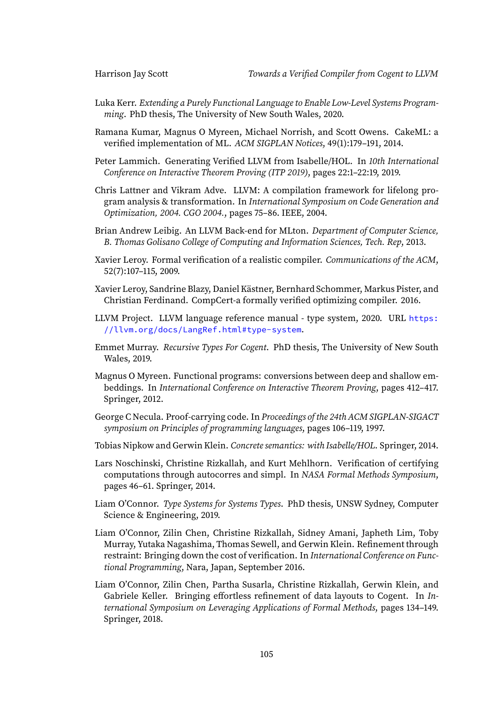- Luka Kerr. Extending a Purely Functional Language to Enable Low-Level Systems Programming. PhD thesis, The University of New South Wales, 2020.
- Ramana Kumar, Magnus O Myreen, Michael Norrish, and Scott Owens. CakeML: a verified implementation of ML. ACM SIGPLAN Notices, 49(1):179–191, 2014.
- Peter Lammich. Generating Verified LLVM from Isabelle/HOL. In 10th International Conference on Interactive Theorem Proving (ITP 2019), pages 22:1–22:19, 2019.
- Chris Lattner and Vikram Adve. LLVM: A compilation framework for lifelong program analysis & transformation. In International Symposium on Code Generation and Optimization, 2004. CGO 2004., pages 75–86. IEEE, 2004.
- Brian Andrew Leibig. An LLVM Back-end for MLton. Department of Computer Science, B. Thomas Golisano College of Computing and Information Sciences, Tech. Rep, 2013.
- Xavier Leroy. Formal verification of a realistic compiler. Communications of the ACM, 52(7):107–115, 2009.
- Xavier Leroy, Sandrine Blazy, Daniel Kästner, Bernhard Schommer, Markus Pister, and Christian Ferdinand. CompCert-a formally verified optimizing compiler. 2016.
- LLVM Project. LLVM language reference manual type system, 2020. URL [https:](https://llvm.org/docs/LangRef.html#type-system) [//llvm.org/docs/LangRef.html#type-system](https://llvm.org/docs/LangRef.html#type-system).
- Emmet Murray. Recursive Types For Cogent. PhD thesis, The University of New South Wales, 2019.
- Magnus O Myreen. Functional programs: conversions between deep and shallow embeddings. In International Conference on Interactive Theorem Proving, pages 412–417. Springer, 2012.
- George C Necula. Proof-carrying code. In Proceedings of the 24th ACM SIGPLAN-SIGACT symposium on Principles of programming languages, pages 106–119, 1997.
- Tobias Nipkow and Gerwin Klein. Concrete semantics: with Isabelle/HOL. Springer, 2014.
- Lars Noschinski, Christine Rizkallah, and Kurt Mehlhorn. Verification of certifying computations through autocorres and simpl. In NASA Formal Methods Symposium, pages 46–61. Springer, 2014.
- Liam O'Connor. Type Systems for Systems Types. PhD thesis, UNSW Sydney, Computer Science & Engineering, 2019.
- Liam O'Connor, Zilin Chen, Christine Rizkallah, Sidney Amani, Japheth Lim, Toby Murray, Yutaka Nagashima, Thomas Sewell, and Gerwin Klein. Refinement through restraint: Bringing down the cost of verification. In International Conference on Functional Programming, Nara, Japan, September 2016.
- Liam O'Connor, Zilin Chen, Partha Susarla, Christine Rizkallah, Gerwin Klein, and Gabriele Keller. Bringing effortless refinement of data layouts to Cogent. In *In*ternational Symposium on Leveraging Applications of Formal Methods, pages 134–149. Springer, 2018.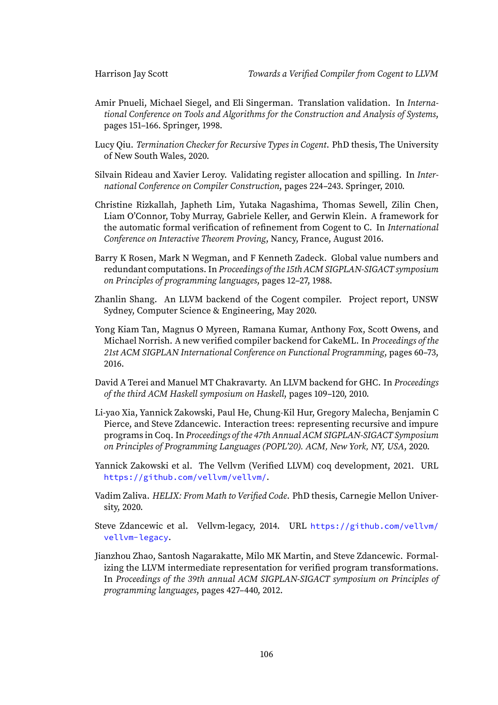- Amir Pnueli, Michael Siegel, and Eli Singerman. Translation validation. In International Conference on Tools and Algorithms for the Construction and Analysis of Systems, pages 151–166. Springer, 1998.
- Lucy Qiu. Termination Checker for Recursive Types in Cogent. PhD thesis, The University of New South Wales, 2020.
- Silvain Rideau and Xavier Leroy. Validating register allocation and spilling. In International Conference on Compiler Construction, pages 224–243. Springer, 2010.
- Christine Rizkallah, Japheth Lim, Yutaka Nagashima, Thomas Sewell, Zilin Chen, Liam O'Connor, Toby Murray, Gabriele Keller, and Gerwin Klein. A framework for the automatic formal verification of refinement from Cogent to C. In International Conference on Interactive Theorem Proving, Nancy, France, August 2016.
- Barry K Rosen, Mark N Wegman, and F Kenneth Zadeck. Global value numbers and redundant computations. In Proceedings of the 15th ACM SIGPLAN-SIGACT symposium on Principles of programming languages, pages 12–27, 1988.
- Zhanlin Shang. An LLVM backend of the Cogent compiler. Project report, UNSW Sydney, Computer Science & Engineering, May 2020.
- Yong Kiam Tan, Magnus O Myreen, Ramana Kumar, Anthony Fox, Scott Owens, and Michael Norrish. A new verified compiler backend for CakeML. In Proceedings of the 21st ACM SIGPLAN International Conference on Functional Programming, pages 60–73, 2016.
- David A Terei and Manuel MT Chakravarty. An LLVM backend for GHC. In Proceedings of the third ACM Haskell symposium on Haskell, pages 109–120, 2010.
- Li-yao Xia, Yannick Zakowski, Paul He, Chung-Kil Hur, Gregory Malecha, Benjamin C Pierce, and Steve Zdancewic. Interaction trees: representing recursive and impure programs in Coq. In Proceedings of the 47th Annual ACM SIGPLAN-SIGACT Symposium on Principles of Programming Languages (POPL'20). ACM, New York, NY, USA, 2020.
- Yannick Zakowski et al. The Vellvm (Verified LLVM) coq development, 2021. URL <https://github.com/vellvm/vellvm/>.
- Vadim Zaliva. HELIX: From Math to Verified Code. PhD thesis, Carnegie Mellon University, 2020.
- Steve Zdancewic et al. Vellvm-legacy, 2014. URL [https://github.com/vellvm/](https://github.com/vellvm/vellvm-legacy) [vellvm-legacy](https://github.com/vellvm/vellvm-legacy).
- Jianzhou Zhao, Santosh Nagarakatte, Milo MK Martin, and Steve Zdancewic. Formalizing the LLVM intermediate representation for verified program transformations. In Proceedings of the 39th annual ACM SIGPLAN-SIGACT symposium on Principles of programming languages, pages 427–440, 2012.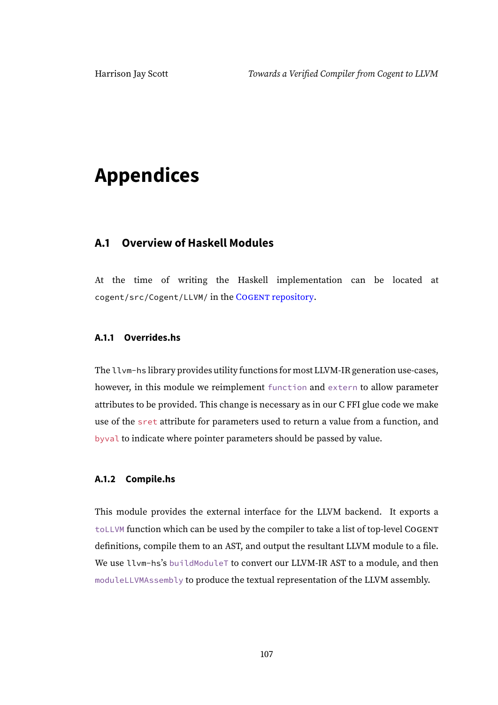# **Appendices**

# **A.1 Overview of Haskell Modules**

At the time of writing the Haskell implementation can be located at cogent/src/Cogent/LLVM/ in the COGENT [repository.](https://github.com/NICTA/cogent/tree/97d22c1163f86b584c4b8009dba07854f06bbcad/cogent/src/Cogent/LLVM)

# **A.1.1 Overrides.hs**

The llvm-hs library provides utility functions for most LLVM-IR generation use-cases, however, in this module we reimplement function and extern to allow parameter attributes to be provided. This change is necessary as in our C FFI glue code we make use of the sret attribute for parameters used to return a value from a function, and byval to indicate where pointer parameters should be passed by value.

# **A.1.2 Compile.hs**

This module provides the external interface for the LLVM backend. It exports a toLLVM function which can be used by the compiler to take a list of top-level COGENT definitions, compile them to an AST, and output the resultant LLVM module to a file. We use llvm-hs's buildModuleT to convert our LLVM-IR AST to a module, and then moduleLLVMAssembly to produce the textual representation of the LLVM assembly.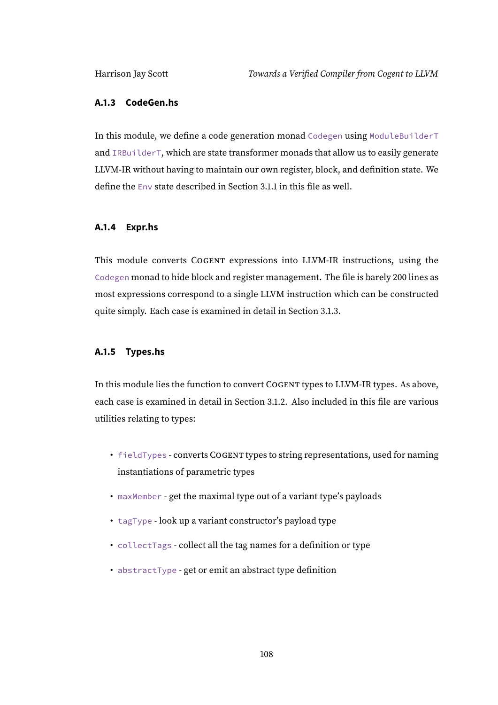# **A.1.3 CodeGen.hs**

In this module, we define a code generation monad Codegen using ModuleBuilderT and IRBuilderT, which are state transformer monads that allow us to easily generate LLVM-IR without having to maintain our own register, block, and definition state. We define the Env state described in Section [3.1.1](#page-27-0) in this file as well.

# **A.1.4 Expr.hs**

This module converts COGENT expressions into LLVM-IR instructions, using the Codegen monad to hide block and register management. The file is barely 200 lines as most expressions correspond to a single LLVM instruction which can be constructed quite simply. Each case is examined in detail in Section [3.1.3.](#page-32-0)

# **A.1.5 Types.hs**

In this module lies the function to convert COGENT types to LLVM-IR types. As above, each case is examined in detail in Section [3.1.2.](#page-28-0) Also included in this file are various utilities relating to types:

- fieldTypes converts COGENT types to string representations, used for naming instantiations of parametric types
- maxMember get the maximal type out of a variant type's payloads
- tagType look up a variant constructor's payload type
- collectTags collect all the tag names for a definition or type
- abstractType get or emit an abstract type definition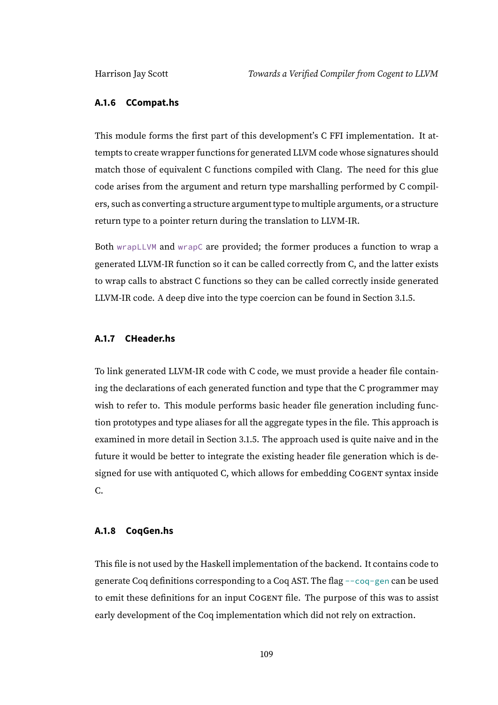#### **A.1.6 CCompat.hs**

This module forms the first part of this development's C FFI implementation. It attempts to create wrapper functions for generated LLVM code whose signatures should match those of equivalent C functions compiled with Clang. The need for this glue code arises from the argument and return type marshalling performed by C compilers, such as converting a structure argument type to multiple arguments, or a structure return type to a pointer return during the translation to LLVM-IR.

Both wrapLLVM and wrapC are provided; the former produces a function to wrap a generated LLVM-IR function so it can be called correctly from C, and the latter exists to wrap calls to abstract C functions so they can be called correctly inside generated LLVM-IR code. A deep dive into the type coercion can be found in Section [3.1.5.](#page-44-0)

### **A.1.7 CHeader.hs**

To link generated LLVM-IR code with C code, we must provide a header file containing the declarations of each generated function and type that the C programmer may wish to refer to. This module performs basic header file generation including function prototypes and type aliases for all the aggregate types in the file. This approach is examined in more detail in Section [3.1.5.](#page-52-0) The approach used is quite naive and in the future it would be better to integrate the existing header file generation which is designed for use with antiquoted C, which allows for embedding COGENT syntax inside C.

# **A.1.8 CoqGen.hs**

This file is not used by the Haskell implementation of the backend. It contains code to generate Coq definitions corresponding to a Coq AST. The flag --coq-gen can be used to emit these definitions for an input COGENT file. The purpose of this was to assist early development of the Coq implementation which did not rely on extraction.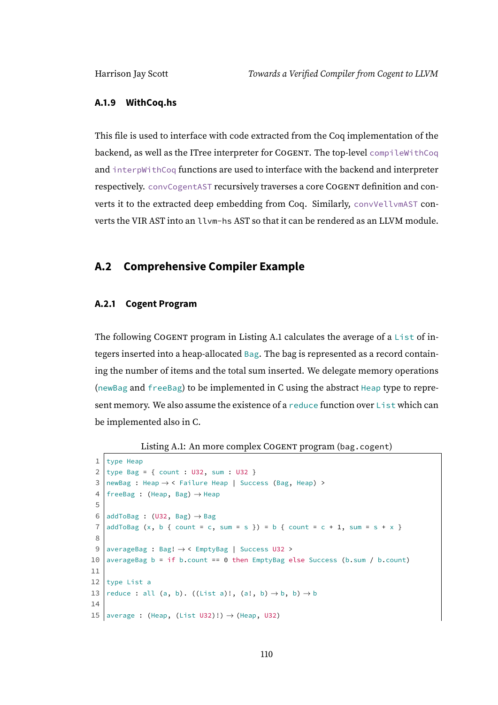#### **A.1.9 WithCoq.hs**

This file is used to interface with code extracted from the Coq implementation of the backend, as well as the ITree interpreter for COGENT. The top-level compileWithCoq and interpWithCoq functions are used to interface with the backend and interpreter respectively. convCogentAST recursively traverses a core COGENT definition and converts it to the extracted deep embedding from Coq. Similarly, convVellvmAST converts the VIR AST into an llvm-hs AST so that it can be rendered as an LLVM module.

# **A.2 Comprehensive Compiler Example**

#### **A.2.1 Cogent Program**

The following COGENT program in Listing [A.1](#page-115-0) calculates the average of a List of integers inserted into a heap-allocated Bag. The bag is represented as a record containing the number of items and the total sum inserted. We delegate memory operations (newBag and freeBag) to be implemented in C using the abstract Heap type to represent memory. We also assume the existence of a reduce function over List which can be implemented also in C.

Listing A.1: An more complex COGENT program (bag.cogent)

```
1 type Heap
 2 type Bag = { count : U32, sum : U32 }
 3 newBag : Heap \rightarrow < Failure Heap | Success (Bag, Heap) >
 4 | freeBag : (Heap, Bag) \rightarrow Heap
 5
 6 addToBag : (U32, Bag) \rightarrow Bag7 \mid \text{addToBag}(x, b \mid \text{count} = c, \text{ sum} = s)) = b { count = c + 1, sum = s + x }
 8
 9 averageBag : Bag! → < EmptyBag | Success U32 >
10 averageBag b = if b.count == 0 then EmptyBag else Success (b.sum / b.count)
11
12 type List a
13 reduce : all (a, b). ((List a)!, (a!, b) \rightarrow b, b) \rightarrow b
14
15 average : (Heap, (List U32)!) \rightarrow (Heap, U32)
```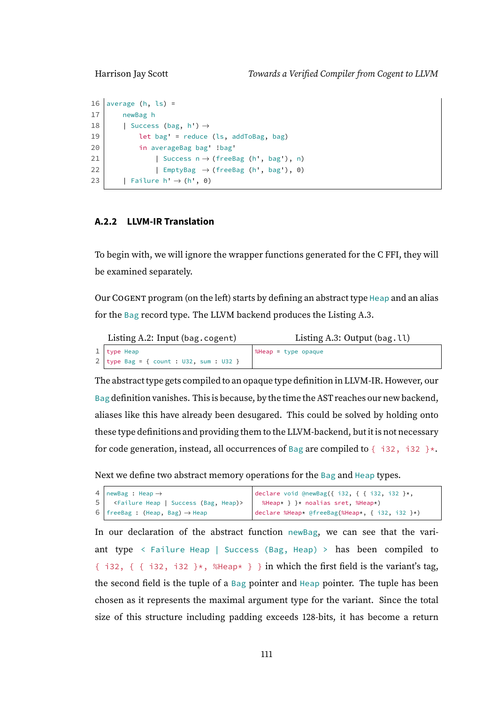```
16 average (h, ls) =
17 newBag h
18 | Success (bag, h') \rightarrow19 \vert let bag' = reduce (ls, addToBag, bag)
20 in averageBag bag' !bag'
21 | Success n \rightarrow (freeBag (h', bag'), n)
22 | EmptyBag \rightarrow (freeBag (h', bag'), 0)
23 | Failure h' \rightarrow (h', 0)
```
# **A.2.2 LLVM-IR Translation**

To begin with, we will ignore the wrapper functions generated for the C FFI, they will be examined separately.

Our COGENT program (on the left) starts by defining an abstract type Heap and an alias for the Bag record type. The LLVM backend produces the Listing [A.3.](#page-116-0)

<span id="page-116-0"></span>

| Listing A.2: Input (bag.cogent)             | Listing A.3: Output $(bag. \mathcal{U})$ |
|---------------------------------------------|------------------------------------------|
| $1  $ type Heap                             | SHeap = type opaque                      |
| $2   type Bag = { count : U32, sum : U32 }$ |                                          |

The abstract type gets compiled to an opaque type definition in LLVM-IR. However, our Bag definition vanishes. This is because, by the time the AST reaches our new backend, aliases like this have already been desugared. This could be solved by holding onto these type definitions and providing them to the LLVM-backend, but it is not necessary for code generation, instead, all occurrences of Bag are compiled to  $\{-132, 132\}$ \*.

Next we define two abstract memory operations for the Bag and Heap types.

```
4 \midnewBag : Heap \rightarrow5 <Failure Heap | Success (Bag, Heap)>
6 | freeBag : (Heap, Bag) \rightarrow Heap
                                                 declare void @newBag({ i32, { { i32, i32 }*,
                                                  %Heap* } }* noalias sret, %Heap*)
                                                declare %Heap* @freeBag(%Heap*, { i32, i32 }*)
```
In our declaration of the abstract function newBag, we can see that the variant type  $\le$  Failure Heap | Success (Bag, Heap) > has been compiled to { i32, { { i32, i32 } $\star$ , %Heap $\star$  } } in which the first field is the variant's tag, the second field is the tuple of a Bag pointer and Heap pointer. The tuple has been chosen as it represents the maximal argument type for the variant. Since the total size of this structure including padding exceeds 128-bits, it has become a return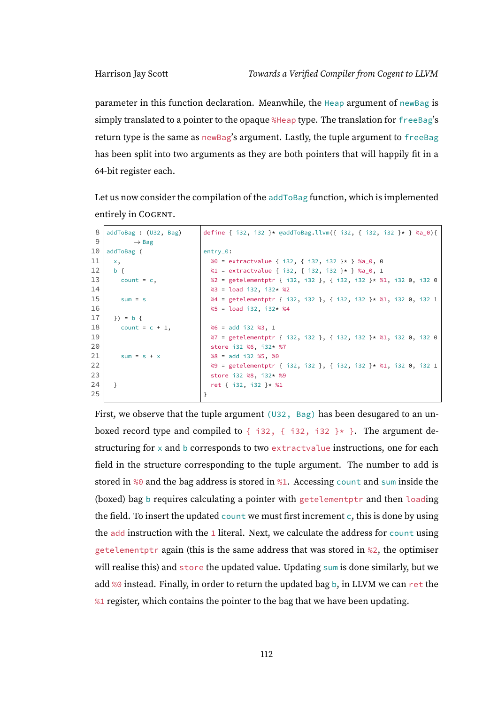parameter in this function declaration. Meanwhile, the Heap argument of newBag is simply translated to a pointer to the opaque %Heap type. The translation for freeBag's return type is the same as newBag's argument. Lastly, the tuple argument to freeBag has been split into two arguments as they are both pointers that will happily fit in a 64-bit register each.

Let us now consider the compilation of the addToBag function, which is implemented entirely in COGENT.

```
8 \midaddToBag : (U32, Bag)
 9 \rightarrow Bag
10 addToBag (
11 \mid x,12 b {
13 count = c,
14
15 sum = s
16
17 }) = b {
18 count = c + 1.
19
2021 sum = s + x
222324 \mid }
25
                              define { i32, i32 }* @addToBag.llvm({ i32, { i32, i32 }* } %a_0){
                             entry_0:
                               %0 = extractvalue { i32, { i32, i32 }* } %a_0, 0
                               %1 = extractvalue { i32, { i32, i32 }* } %a_0, 1
                               %2 = getelementptr { i32, i32 }, { i32, i32 }* %1, i32 0, i32 0
                               %3 = load i32, i32* %2
                               %4 = getelementptr { i32, i32 }, { i32, i32 }* %1, i32 0, i32 1
                               %5 = load i32, i32* %4%6 = add i32 %3, 1
                               %7 = getelementptr { i32, i32 }, { i32, i32 }* %1, i32 0, i32 0
                                store i32 %6, i32* %7
                                %8 = add i32 %5, %0
                                %9 = getelementptr { i32, i32 }, { i32, i32 }* %1, i32 0, i32 1
                                store i32 %8, i32* %9
                                ret { i32, i32 }* %1
                              }
```
First, we observe that the tuple argument  $(U32, Bag)$  has been desugared to an unboxed record type and compiled to  $\{ \text{ i}32, \{ \text{ i}32, \text{ i}32 \} \}$ . The argument destructuring for x and b corresponds to two extractvalue instructions, one for each field in the structure corresponding to the tuple argument. The number to add is stored in %0 and the bag address is stored in %1. Accessing count and sum inside the (boxed) bag b requires calculating a pointer with getelementptr and then loading the field. To insert the updated count we must first increment  $c$ , this is done by using the add instruction with the  $1$  literal. Next, we calculate the address for count using getelementptr again (this is the same address that was stored in %2, the optimiser will realise this) and store the updated value. Updating sum is done similarly, but we add %0 instead. Finally, in order to return the updated bag b, in LLVM we can ret the %1 register, which contains the pointer to the bag that we have been updating.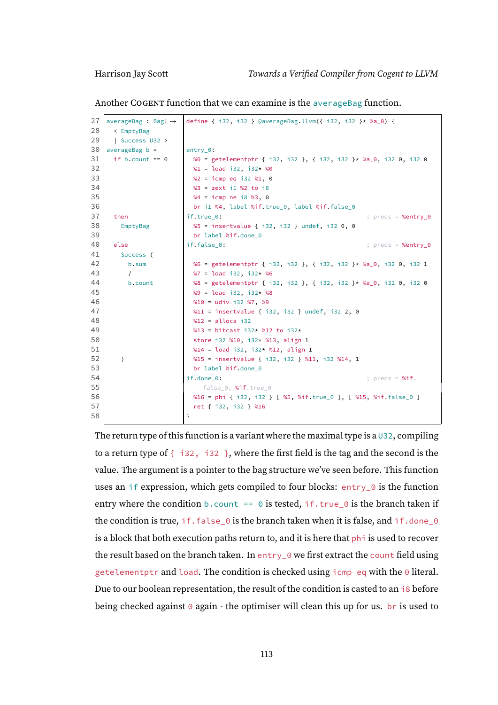Another COGENT function that we can examine is the averageBag function.

```
27 averageBag : Bag! \rightarrow28 < EmptyBag
29 | Success U32 >
30 averageBag b =
31 if b.count == 0
32
33
34
35
36
37 then
38 EmptyBag
39
40 else
41 Success (
42 b.sum
43 /
44 b.count
45
46
47
48
49
50
51
52 )
53
54
55
56
57
58
                        define { i32, i32 } @averageBag.llvm({ i32, i32 }* %a_0) {
                        entry_0:
                         %0 = getelementptr { i32, i32 }, { i32, i32 }* %a_0, i32 0, i32 0
                         %1 = load i32, i32* %0%2 = icmp eq i32 %1, 0
                         %3 = zext i1 %2 to i8
                         %4 = icmp ne i8 %3, 0
                         br i1 %4, label %if.true_0, label %if.false_0
                        if.true_0: \qquad \qquad ; preds = %entry_0
                         %5 = insertvalue { i32, i32 } undef, i32 0, 0
                         br label %if.done 0
                        if.false_0: \qquad \qquad ; preds = %entry_0
                         %6 = getelementptr { i32, i32 }, { i32, i32 }* %a_0, i32 0, i32 1
                         %7 = load i32, i32* %6
                         %8 = getelementptr { i32, i32 }, { i32, i32 }* %a_0, i32 0, i32 0
                         %9 = load i32, i32* %8
                         %10 = udiv i32 %7, %9
                         %11 = insertvalue { i32, i32 } undef, i32 2, 0
                         %12 = alloca i32
                         %13 = bitcast i32* %12 to i32*
                         store i32 %10, i32* %13, align 1
                         %14 = load i32, i32* %12, align 1
                         %15 = insertvalue { i32, i32 } %11, i32 %14, 1
                         br label %if.done_0
                        if.done_0: ; preds = %if.
                           false_0, %if.true_0
                         %16 = phi { i32, i32 } [ %5, %if.true_0 ], [ %15, %if.false_0 ]
                         ret { i32, i32 } %16
                        }
```
The return type of this function is a variant where the maximal type is a  $\cup$  32, compiling to a return type of  $\{-i32, i32\}$ , where the first field is the tag and the second is the value. The argument is a pointer to the bag structure we've seen before. This function uses an if expression, which gets compiled to four blocks: entry\_0 is the function entry where the condition b.count == 0 is tested, if.true\_0 is the branch taken if the condition is true, if.false\_0 is the branch taken when it is false, and if.done\_0 is a block that both execution paths return to, and it is here that phi is used to recover the result based on the branch taken. In entry  $\theta$  we first extract the count field using getelementptr and load. The condition is checked using icmp eq with the 0 literal. Due to our boolean representation, the result of the condition is casted to an  $\frac{1}{8}$  before being checked against  $\theta$  again - the optimiser will clean this up for us. br is used to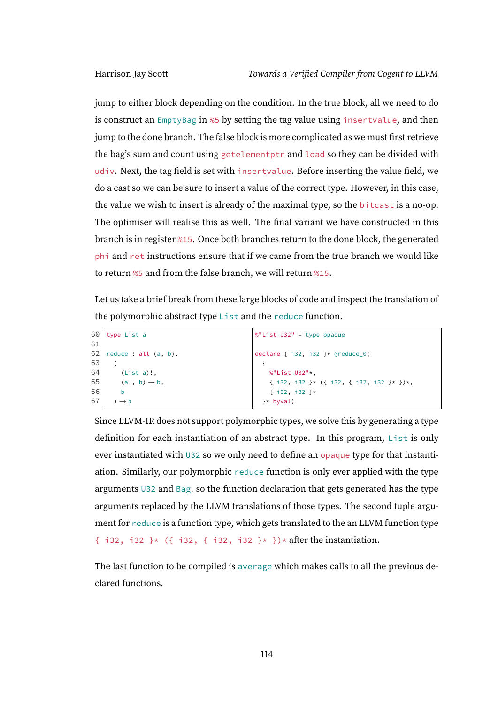jump to either block depending on the condition. In the true block, all we need to do is construct an EmptyBag in %5 by setting the tag value using insertvalue, and then jump to the done branch. The false block is more complicated as we must first retrieve the bag's sum and count using getelementptr and load so they can be divided with udiv. Next, the tag field is set with insertvalue. Before inserting the value field, we do a cast so we can be sure to insert a value of the correct type. However, in this case, the value we wish to insert is already of the maximal type, so the bitcast is a no-op. The optimiser will realise this as well. The final variant we have constructed in this branch is in register %15. Once both branches return to the done block, the generated phi and ret instructions ensure that if we came from the true branch we would like to return %5 and from the false branch, we will return %15.

Let us take a brief break from these large blocks of code and inspect the translation of the polymorphic abstract type List and the reduce function.

| 60 | type List a               | $\%$ "List U32" = type opaque                                    |
|----|---------------------------|------------------------------------------------------------------|
| 61 |                           |                                                                  |
| 62 | reduce : $all$ $(a, b)$ . | declare $\{ i32, i32 \} \star$ @reduce_0(                        |
| 63 |                           |                                                                  |
| 64 | $(List a)!$ ,             | %"List U32"*,                                                    |
| 65 | $(a!, b) \rightarrow b$ , | $\{ i32, i32 \} \star \{ \{ i32, \{ i32, i32 \} \star \} \star,$ |
| 66 | b                         | $\{ i32, i32 \}$ *                                               |
| 67 | $\rightarrow b$           | }* byval)                                                        |
|    |                           |                                                                  |

Since LLVM-IR does not support polymorphic types, we solve this by generating a type definition for each instantiation of an abstract type. In this program, List is only ever instantiated with U32 so we only need to define an opaque type for that instantiation. Similarly, our polymorphic reduce function is only ever applied with the type arguments U32 and Bag, so the function declaration that gets generated has the type arguments replaced by the LLVM translations of those types. The second tuple argument for reduce is a function type, which gets translated to the an LLVM function type { i32, i32 }\* ({ i32, { i32, i32 }\* })\* after the instantiation.

The last function to be compiled is average which makes calls to all the previous declared functions.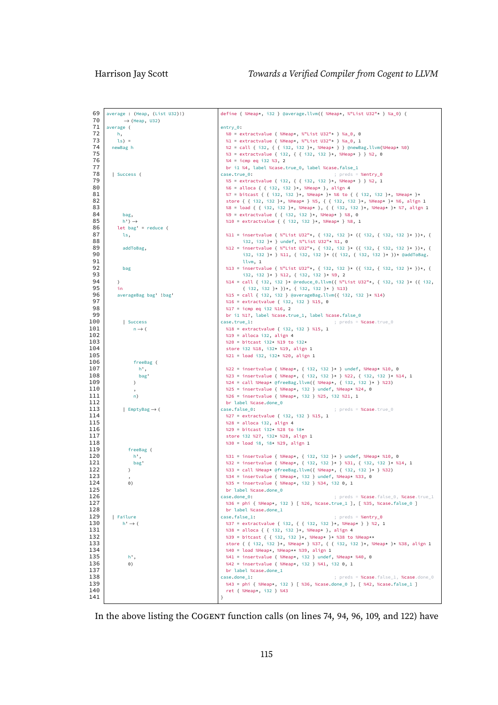| 69<br>70   | average: (Heap, (List U32)!)           | define { %Heap*, i32 } @average.llvm({ %Heap*, %"List U32"* } %a_0) {                                                                                  |
|------------|----------------------------------------|--------------------------------------------------------------------------------------------------------------------------------------------------------|
| 71         | $\rightarrow$ (Heap, U32)<br>average ( | $entry_0:$                                                                                                                                             |
| 72         | h,                                     | %0 = extractvalue { %Heap*, %"List U32"* } %a_0, 0                                                                                                     |
| 73         | $ls) =$                                | %1 = extractvalue { %Heap*, %"List U32"* } %a_0, 1                                                                                                     |
| 74         | newBag h                               | %2 = call { i32, { { i32, i32 }*, %Heap* } } @newBag.llvm(%Heap* %0)                                                                                   |
| 75         |                                        | %3 = extractvalue { i32, { { i32, i32 }*, %Heap* } } %2, 0                                                                                             |
| 76         |                                        | $%4 = i$ cmp eq i32 $%3, 2$                                                                                                                            |
| 77         |                                        | br il %4, label %case.true_0, label %case.false_1                                                                                                      |
| 78         | Success (                              | case.true_0:<br>; preds = %entry_0                                                                                                                     |
| 79         |                                        | %5 = extractvalue { i32, { { i32, i32 }*, %Heap* } } %2, 1                                                                                             |
| 80<br>81   |                                        | %6 = alloca { { i32, i32 }*, %Heap* }, align 4                                                                                                         |
| 82         |                                        | %7 = bitcast { { i32, i32 }*, %Heap* }* %6 to { { i32, i32 }*, %Heap* }*<br>store { { i32, i32 }*, %Heap* } %5, { { i32, i32 }*, %Heap* }* %6, align 1 |
| 83         |                                        | %8 = load { { i32, i32 }*, %Heap* }, { { i32, i32 }*, %Heap* }* %7, align 1                                                                            |
| 84         | bag,                                   | %9 = extractvalue { { i32, i32 }*, %Heap* } %8, 0                                                                                                      |
| 85         | $h'$ ) $\rightarrow$                   | %10 = extractvalue { { i32, i32 }*, %Heap* } %8, 1                                                                                                     |
| 86         | $let bag' = reduce ($                  |                                                                                                                                                        |
| 87         | ls,                                    | %11 = insertvalue { %"List U32"*, { i32, i32 }* ({ i32, { i32, i32 }* })*, {                                                                           |
| 88         |                                        | i32, i32 }* } undef, %"List U32"* %1, 0                                                                                                                |
| 89<br>90   | addToBag,                              | %12 = insertvalue { %"List U32"*, { i32, i32 }* ({ i32, { i32, i32 }* })*, {<br>i32, i32 }* } %11, { i32, i32 }* ({ i32, { i32, i32 }* })* @addToBag.  |
| 91         |                                        | llvm, 1                                                                                                                                                |
| 92         | bag                                    | %13 = insertvalue { %"List U32"*, { i32, i32 }* ({ i32, { i32, i32 }* })*, {                                                                           |
| 93         |                                        | $132, 132$ }* } %12, { $132, 132$ }* %9, 2                                                                                                             |
| 94         | $\lambda$                              | %14 = call { i32, i32 }* @reduce_0.llvm({ %"List U32"*, { i32, i32 }* ({ i32,                                                                          |
| 95         | in                                     | ${ \; \; i32, \; i32 \; } \star \; }$ $}) \star$ , ${ \; \; i32, \; i32 \; } \star \; }$ %13)                                                          |
| 96         | averageBag bag 'bag'                   | %15 = call { i32, i32 } @averageBag.llvm({ i32, i32 }* %14)                                                                                            |
| 97<br>98   |                                        | %16 = extractvalue { i32, i32 } %15, 0                                                                                                                 |
| 99         |                                        | %17 = icmp eq i32 %16, 2<br>br il %17, label %case.true_1, label %case.false_0                                                                         |
| 100        | Success                                | case.true_1:<br>; preds = $%case,true 0$                                                                                                               |
| 101        | $n \rightarrow ($                      | %18 = extractvalue { i32, i32 } %15, 1                                                                                                                 |
| 102        |                                        | $%19 =$ alloca i32, align 4                                                                                                                            |
| 103        |                                        | %20 = bitcast i32* %19 to i32*                                                                                                                         |
| 104        |                                        | store i32 %18, i32* %19, align 1                                                                                                                       |
| 105<br>106 | freeBag (                              | %21 = load i32, i32* %20, align 1                                                                                                                      |
| 107        | h',                                    | %22 = insertvalue { %Heap*, { i32, i32 }* } undef, %Heap* %10, 0                                                                                       |
| 108        | bag'                                   | %23 = insertvalue { %Heap*, { i32, i32 }* } %22, { i32, i32 }* %14, 1                                                                                  |
| 109        | $\lambda$                              | %24 = call %Heap* @freeBag.llvm({ %Heap*, { i32, i32 }* } %23)                                                                                         |
| 110        |                                        | %25 = insertvalue { %Heap*, i32 } undef, %Heap* %24, 0                                                                                                 |
| 111        | n)                                     | %26 = insertvalue { %Heap*, i32 } %25, i32 %21, 1                                                                                                      |
| 112<br>113 |                                        | br label %case.done_0                                                                                                                                  |
| 114        | EmptyBag $\rightarrow$ (               | case.false_0:<br>; $preds = %case,true_0$<br>%27 = extractvalue { i32, i32 } %15, 1                                                                    |
| 115        |                                        | %28 = alloca i32, align 4                                                                                                                              |
| 116        |                                        | %29 = bitcast i32* %28 to i8*                                                                                                                          |
| 117        |                                        | store i32 %27, i32* %28, align 1                                                                                                                       |
| 118        |                                        | %30 = load i8, i8* %29, align 1                                                                                                                        |
| 119        | freeBag (                              |                                                                                                                                                        |
| 120<br>121 | h',<br>bag'                            | %31 = insertvalue { %Heap*, { i32, i32 }* } undef, %Heap* %10, 0<br>%32 = insertvalue { %Heap*, { i32, i32 }* } %31, { i32, i32 }* %14, 1              |
| 122        | $\lambda$                              | %33 = call %Heap* @freeBag.llvm({ %Heap*, { i32, i32 }* } %32)                                                                                         |
| 123        | $\cdot$                                | %34 = insertvalue { %Heap*, i32 } undef, %Heap* %33, 0                                                                                                 |
| 124        | $\Theta$ )                             | %35 = insertvalue { %Heap*, i32 } %34, i32 0, 1                                                                                                        |
| 125        |                                        | br label %case.done_0                                                                                                                                  |
| 126        |                                        | case.done_0:<br>; preds = %case.false_0, %case.true_1                                                                                                  |
| 127<br>128 |                                        | %36 = phi { %Heap*, i32 } [ %26, %case.true_1 ], [ %35, %case.false_0 ]<br>br label %case.done_1                                                       |
| 129        | Failure                                | case.false_1:<br>; preds = %entry_0                                                                                                                    |
| 130        | $h' \rightarrow ($                     | %37 = extractvalue { i32, { { i32, i32 }*, %Heap* } } %2, 1                                                                                            |
| 131        |                                        | %38 = alloca { { i32, i32 }*, %Heap* }, align 4                                                                                                        |
| 132        |                                        | %39 = bitcast { { i32, i32 }*, %Heap* }* %38 to %Heap**                                                                                                |
| 133        |                                        | store { { i32, i32 }*, %Heap* } %37, { { i32, i32 }*, %Heap* }* %38, align 1                                                                           |
| 134<br>135 |                                        | %40 = load %Heap*, %Heap** %39, align 1                                                                                                                |
| 136        | h',<br>$\Theta$ )                      | %41 = insertvalue { %Heap*, i32 } undef, %Heap* %40, 0<br>%42 = insertvalue { %Heap*, i32 } %41, i32 0, 1                                              |
| 137        |                                        | br label %case.done_1                                                                                                                                  |
| 138        |                                        | case.done_1:<br>; preds = %case.false_1, %case.done_0                                                                                                  |
| 139        |                                        | %43 = phi { %Heap*, i32 } [ %36, %case.done_0 ], [ %42, %case.false_1 ]                                                                                |
| 140        |                                        | ret { %Heap*, i32 } %43                                                                                                                                |
| 141        |                                        | }                                                                                                                                                      |

In the above listing the COGENT function calls (on lines 74, 94, 96, 109, and 122) have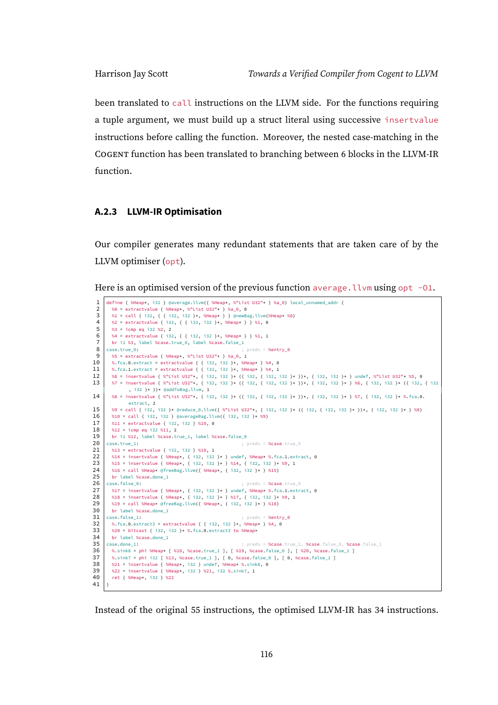been translated to call instructions on the LLVM side. For the functions requiring a tuple argument, we must build up a struct literal using successive insertvalue instructions before calling the function. Moreover, the nested case-matching in the COGENT function has been translated to branching between 6 blocks in the LLVM-IR function.

## **A.2.3 LLVM-IR Optimisation**

Our compiler generates many redundant statements that are taken care of by the LLVM optimiser (opt).

Here is an optimised version of the previous function average. Llvm using opt -01.

```
1 define { %Heap*, i32 } @average.llvm({ %Heap*, %"List U32"* } %a_0) local_unnamed_addr {
  2 %0 = extractvalue { %Heap*, %"List U32"* } %a_0, 0<br>3 %1 = call { i32. { { i32. i32 } *. %Heap* } } @newBa
           3 %1 = call { i32, { { i32, i32 }*, %Heap* } } @newBag.llvm(%Heap* %0)
  4 \begin{array}{|c|c|c|c|c|c|c|c|}\n4 & \n\text{%}2 & = \text{extractvalue} & \text{if } 32, \text{ } \{\text{ } 132, \text{ } 132 \text{ } \}\times \text{, } 8\text{Heap} \times \text{ } \}\n\end{array} %1, 0<br>5 \begin{array}{|c|c|c|c|c|c|c|c|}\n\end{array} %3 = icmp eq i32 %2, 2
  5 %3 = icmp eq i32 %2, 2<br>6 %4 = extractvalue { i32
  6 \begin{array}{|l|} 6 & \text{%}4 = \text{extractvalue} \{ 32, \{ 132, 32 \} \star \} \text{ , } \text{84} \star \} \} \text{ , } 1 \\ \text{57} & \text{br i1 } \text{ %3, label } \text{ %case true_0, label } \text{ %case false_1} \end{array}7 br i1 %3, label %case.true_0, label %case.false_1
  8 \text{ erg} \cdot \text{m}9 \frac{1}{3} %5 = extractvalue { %Heap*, %"List U32"* } %a 0, 1
10 | %.fca.0.extract = extractvalue { { i32, i32 }*, %Heap* } %4, 0
11 | %.fca.1.extract = extractvalue { { i32, i32 }\star, %Heap\star } %4, 1
12 %6 = insertvalue { %"List U32"*, { i32, i32 }* ({ i32, { i32, i32 }* })*, { i32, i32 }* } undef, %"List U32"* %5, 0<br>13 %7 = insertvalue { %"list U32"*. { i32, i32 }* ({ i32, { i32, i32 }* })*, { i32, i32 }* } %6. { i32
        13 %7 = insertvalue { %"List U32"*, { i32, i32 }* ({ i32, { i32, i32 }* })*, { i32, i32 }* } %6, { i32, i32 }* ({ i32, { i32
                     , i32 }* })* @addToBag.llvm, 1
14 | %8 = insertvalue { %"List U32"*, { i32, i32 }* ({ i32, i32 }* })*, { i32, i32 }* } %7, { i32, i32 }* %.fca.0.
                   extract, 2
15 | %9 = call { i32, i32 }* @reduce_0.llvm({ %"List U32"*, { i32, i32 }* ({ i32, { i32, i32 }* })*, { i32, i32 }* } %8)
16 \begin{bmatrix} 16 & 10 \\ 0 & 10 \end{bmatrix} = call { i32, i32 } @averageBag.llvm({ i32, i32 }* %9)
17 %11 = extractvalue { i32, i32 } %10, 0<br>18 %12 = icmp eq i32 %11, 2
\begin{array}{|c|c|c|c|}\n 18 & \times 12 & = \text{icmp eq i32 } \times 11, 2 \\
 \text{br i1 } \text{$\times 12$, label } \text{$\times case.t}\n\end{array}19 br i1 %12, label %case.true_1, label %case.false_0<br>20 case.true 1:
20 case.true_1: ; preds = %case.true_0
         21 %13 = extractvalue { i32, i32 } %10, 1
22 %14 = insertvalue { %Heap*, { i32, i32 }* } undef, %Heap* %.fca.1.extract, 0<br>23 %15 = insertvalue { %Heap*. { i32, i32 }* } %14. { i32, i32 }* %9. 1
23 \frac{1}{2} %15 = insertvalue { %Heap*, { i32, i32 }* } %14, { i32, i32 }* %9, 1<br>24 \frac{1}{2} %16 = call %Heap*, & of \frac{1}{2} (i32, i32 }* $ 14, { i32, i32 }* %9, 1
          %16 = call %Heap* @freeBag.llvm({ %Heap*, { i32, i32 }* } %15)
25 br label %case.done_1<br>26 case.false 0:
26 case.false_0: ; preds = %case.true_0<br>27 singlet f %Heap*, { i32, i32 }* } undef, %Heap* %,fca.i.extr
27 %17 = insertvalue { %Heap*, { i32, i32 }* } undef, %Heap* %.fca.1.extract, 0<br>28 %18 = insertvalue { %Heap*, { i32, i32 }* } %17, { i32, i32 }* %9, 1
28 | %18 = insertvalue { %Heap*, { i32, i32 }* } %17, { i32, i32 }* %9, 1
29 \, %19 = call %Heap* @freeBag.llvm({ %Heap*, { i32, i32 }* } %18)
\begin{array}{c|c} 30 & \text{br label } \% \text{case done_1} \\ 31 & \text{case false_1}: \end{array}31 case.false_1: ; preds = %entry_0
32 %.fca.0.extract3 = extractvalue { { i32, i32 }*, %Heap* } %4, 0<br>33 %20 = bitcast { i32, i32 }* %.fca.0.extract3 to %Heap*
33 %20 = bitcast { i32, i32 }* %.fca.0.extract3 to %Heap* br label %case.done 1
       br label %case.done_1<br>case.done_1:
35 \vert case.done_1: \vert ; preds = %case.true_1, %case.false_0, %case.false_1
36 %.sink8 = phi %Heap* [ %16, %case.true_1 ], [ %19, %case.false_0 ], [ %20, %case.false_1 ]<br>37 %.sink7 = phi i32 [ %13. %case.true 1 ], [ 0. %case.false 0 ], [ 0. %case.false 1 ]
37 %.sink7 = phi i32 [ %13, %case.true_1 ], [ 0, %case.false_0 ], [ 0, %case.false_1 ]<br>38 %21 = insertvalue { %Heap*, i32 } undef, %Heap* %.sink8, 0
38 \begin{bmatrix} 321 = \text{insertvalue} \{ 8\text{Heap} \star, 132 \} \text{ under, } 8\text{Heap} \star, 8\text{si} \text{ in } 0 \end{bmatrix}<br>39 \begin{bmatrix} 822 = \text{insertvalue} \{ 8\text{Heap} \star, 132 \} \text{ and } 1 \end{bmatrix} \begin{bmatrix} 3221 \cdot 1328 \cdot 1511 \cdot 1328 \cdot 1511 \cdot 1511 \cdot 1511 \cdot 1511 \cdot 1511 \cdot 1511 \cdot 1511 \cdot 1511 \39 %22 = insertvalue { %Heap*, i32 } %21, i32 %.sink7, 1
           40 ret { %Heap*, i32 } %22
41 }
```
Instead of the original 55 instructions, the optimised LLVM-IR has 34 instructions.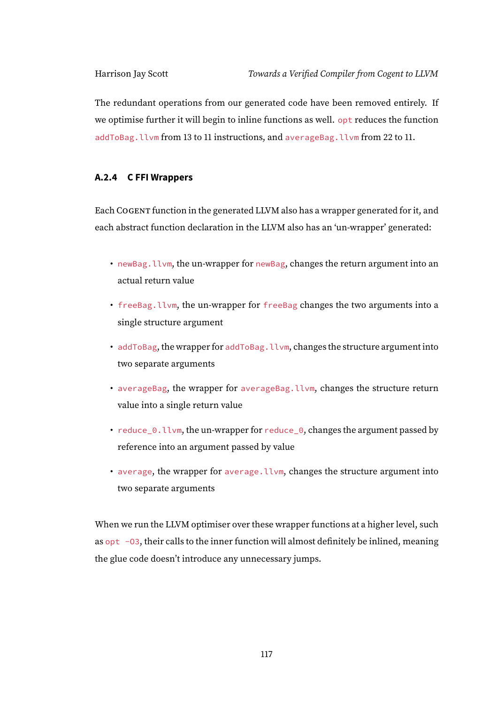The redundant operations from our generated code have been removed entirely. If we optimise further it will begin to inline functions as well. opt reduces the function addToBag.llvm from 13 to 11 instructions, and averageBag.llvm from 22 to 11.

# **A.2.4 C FFI Wrappers**

Each COGENT function in the generated LLVM also has a wrapper generated for it, and each abstract function declaration in the LLVM also has an 'un-wrapper' generated:

- newBag.llvm, the un-wrapper for newBag, changes the return argument into an actual return value
- freeBag.llvm, the un-wrapper for freeBag changes the two arguments into a single structure argument
- addToBag, the wrapper for addToBag.llvm, changes the structure argument into two separate arguments
- averageBag, the wrapper for averageBag.llvm, changes the structure return value into a single return value
- reduce\_0.llvm, the un-wrapper for reduce\_0, changes the argument passed by reference into an argument passed by value
- average, the wrapper for average.llvm, changes the structure argument into two separate arguments

When we run the LLVM optimiser over these wrapper functions at a higher level, such as  $opt$  -03, their calls to the inner function will almost definitely be inlined, meaning the glue code doesn't introduce any unnecessary jumps.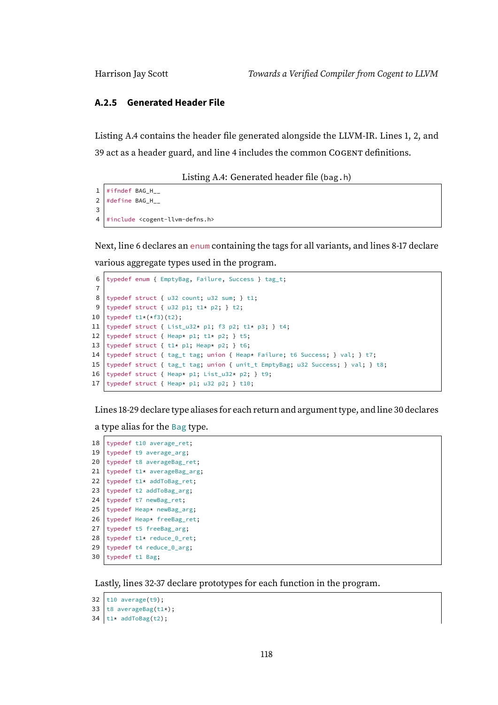### **A.2.5 Generated Header File**

Listing [A.4](#page-123-0) contains the header file generated alongside the LLVM-IR. Lines 1, 2, and 39 act as a header guard, and line 4 includes the common COGENT definitions.

Listing A.4: Generated header file (bag.h)

```
1 \mid \#ifndef BAG H
2 #define BAG_H_
3
4 #include <cogent-llvm-defns.h>
```
Next, line 6 declares an enum containing the tags for all variants, and lines 8-17 declare various aggregate types used in the program.

```
6 typedef enum { EmptyBag, Failure, Success } tag_t;
 7
 8 typedef struct { u32 count; u32 sum; } t1;
 9 typedef struct { u32 p1; t1* p2; } t2;
10 typedef t1*(*f3)(t2);
11 typedef struct { List_u32* p1; f3 p2; t1* p3; } t4;
12 typedef struct { Heap* p1; t1* p2; } t5;
13 typedef struct { t1* p1; Heap* p2; } t6;
14 typedef struct { tag_t tag; union { Heap* Failure; t6 Success; } val; } t7;
15 typedef struct { tag_t tag; union { unit_t EmptyBag; u32 Success; } val; } t8;
16 typedef struct { Heap* p1; List u32* p2; } t9;
17 typedef struct { Heap* p1; u32 p2; } t10;
```
Lines 18-29 declare type aliases for each return and argument type, and line 30 declares

a type alias for the Bag type.

```
18 typedef t10 average_ret;
19 typedef t9 average_arg;
20 typedef t8 averageBag_ret;
21 typedef t1* averageBag_arg;
22 typedef t1* addToBag_ret;
23 typedef t2 addToBag_arg;
24 typedef t7 newBag_ret;
25 typedef Heap* newBag_arg;
26 typedef Heap* freeBag_ret;
27 typedef t5 freeBag_arg;
28 typedef t1* reduce_0_ret;
29 typedef t4 reduce 0 arg;
30 typedef t1 Bag;
```
Lastly, lines 32-37 declare prototypes for each function in the program.

```
32 t10 average(t9);
```

```
33 | t8 averageBag(t1*);
```

```
34 \vert t1* addToBag(t2);
```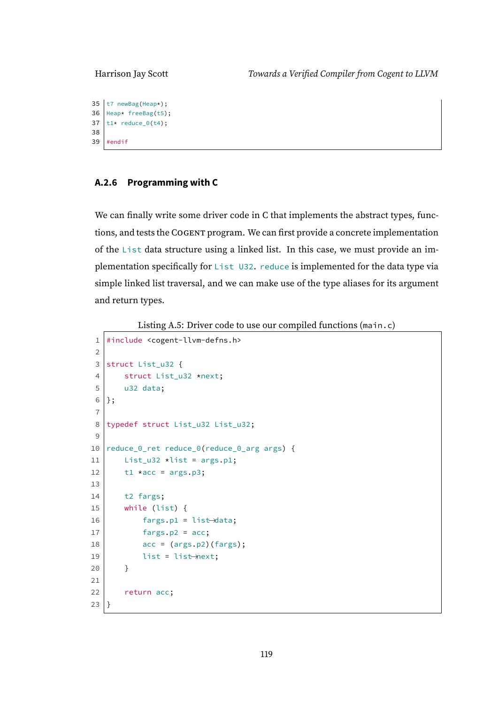```
35 t7 newBag(Heap*);
36 heap* freeBag(t5);
37 | t1* reduce_0(t4);
38
39 #endif
```
# **A.2.6 Programming with C**

We can finally write some driver code in C that implements the abstract types, functions, and tests the COGENT program. We can first provide a concrete implementation of the List data structure using a linked list. In this case, we must provide an implementation specifically for List U32. reduce is implemented for the data type via simple linked list traversal, and we can make use of the type aliases for its argument and return types.

Listing A.5: Driver code to use our compiled functions (main.c)

```
1 #include <cogent-llvm-defns.h>
2
3 struct List_u32 {
4 struct List_u32 *next;
5 u32 data:
6 };
7
8 typedef struct List_u32 List_u32;
9
10 | reduce_0_ret reduce_0(reduce_0_arg args) {
11 List_u32 *list = args.p1;
12 t1 *acc = args.p3;
13
14 t2 fargs;
15 while (list) {
16 fargs.pl = list-data;17 fargs.p2 = acc;
18 \vert acc = (args.p2)(fargs);
19 list = list—next;
20 }
21
22 return acc;
23 }
```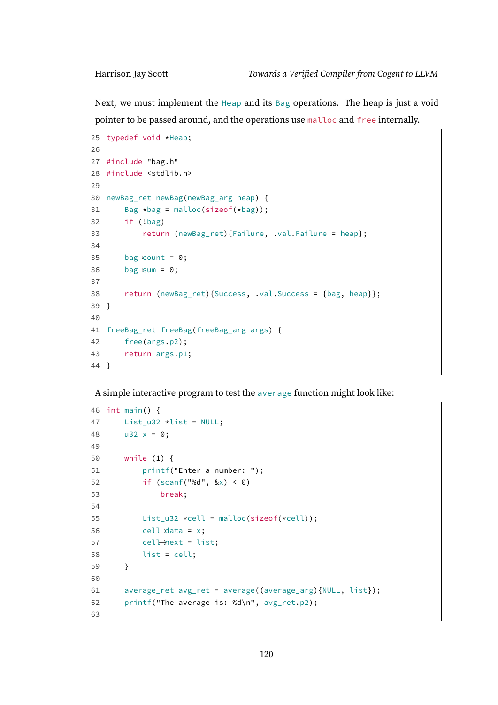Next, we must implement the Heap and its Bag operations. The heap is just a void pointer to be passed around, and the operations use malloc and free internally.

```
25 typedef void *Heap;
26
27 #include "bag.h"
28 #include <stdlib.h>
29
30 newBag_ret newBag(newBag_arg heap) {
31 Bag *bag = malloc(sizeof(*bag));
32 if (!bag)
33 return (newBag_ret){Failure, .val.Failure = heap};
34
35 bag→count = 0;
36 bag—sum = 0;
37
38 return (newBag_ret){Success, .val.Success = {bag, heap}};
39 |40
41 freeBag_ret freeBag(freeBag_arg args) {
42 free(args.p2);
43 return args.p1;
44 | ]
```
A simple interactive program to test the average function might look like:

```
46 | int main() \{47 List_u32 \starlist = NULL;
48 u32 x = 0;49
50 while (1) {
51 | printf("Enter a number: ");
52 if (scanf("%d", &(x) < 0)
53 break;
54
55 List_u32 *cell = malloc(sizeof(*cell));
56 cell\rightarrowdata = x;
57 cell—next = list;
58 list = cell;
59 }
60
61 average_ret avg_ret = average((average_arg){NULL, list});
62 printf("The average is: %d\n", avg_ret.p2);
63
```